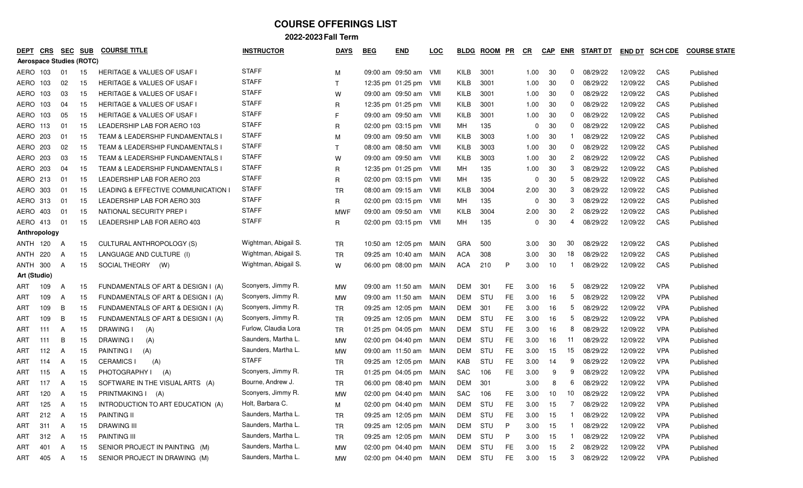| DEPT         | <b>CRS</b>                      | <b>SEC</b> | <b>SUB</b> | <b>COURSE TITLE</b>                    | <b>INSTRUCTOR</b>    | <b>DAYS</b>  | <b>BEG</b> | <b>END</b>                  | <b>LOC</b> | <b>BLDG</b> | <b>ROOM</b> | PR        | <u>CR</u>    | <b>CAP</b> | ENR          | <b>START DT</b> | <b>END DT</b> | <b>SCH CDE</b> | <b>COURSE STATE</b> |
|--------------|---------------------------------|------------|------------|----------------------------------------|----------------------|--------------|------------|-----------------------------|------------|-------------|-------------|-----------|--------------|------------|--------------|-----------------|---------------|----------------|---------------------|
|              | <b>Aerospace Studies (ROTC)</b> |            |            |                                        |                      |              |            |                             |            |             |             |           |              |            |              |                 |               |                |                     |
| AERO         | 103                             | 01         | 15         | <b>HERITAGE &amp; VALUES OF USAF I</b> | <b>STAFF</b>         | М            |            | 09:00 am 09:50 am VMI       |            | KILB        | 3001        |           | 1.00         | 30         | $\mathbf{0}$ | 08/29/22        | 12/09/22      | CAS            | Published           |
| AERO         | 103                             | 02         | 15         | <b>HERITAGE &amp; VALUES OF USAF I</b> | <b>STAFF</b>         | $\top$       |            | 12:35 pm 01:25 pm           | - VMI      | KILB        | 3001        |           | 1.00         | 30         | 0            | 08/29/22        | 12/09/22      | CAS            | Published           |
| AERO         | 103                             | 03         | 15         | <b>HERITAGE &amp; VALUES OF USAF I</b> | <b>STAFF</b>         | W            |            | 09:00 am 09:50 am VMI       |            | KILB        | 3001        |           | 1.00         | 30         | $\mathbf{0}$ | 08/29/22        | 12/09/22      | CAS            | Published           |
| AERO         | 103                             | -04        | 15         | <b>HERITAGE &amp; VALUES OF USAF I</b> | <b>STAFF</b>         | R            |            | 12:35 pm 01:25 pm           | - VMI      | KILB        | 3001        |           | 1.00         | 30         | 0            | 08/29/22        | 12/09/22      | CAS            | Published           |
| AERO         | 103                             | 05         | 15         | <b>HERITAGE &amp; VALUES OF USAF I</b> | <b>STAFF</b>         | F            |            | 09:00 am 09:50 am           | - VMI      | KILB        | 3001        |           | 1.00         | 30         | 0            | 08/29/22        | 12/09/22      | CAS            | Published           |
| AERO         | 113                             | 01         | 15         | LEADERSHIP LAB FOR AERO 103            | <b>STAFF</b>         | R            |            | 02:00 pm 03:15 pm           | - VMI      | МH          | 135         |           | <sup>0</sup> | 30         | 0            | 08/29/22        | 12/09/22      | CAS            | Published           |
| AERO         | 203                             | 01         | 15         | TEAM & LEADERSHIP FUNDAMENTALS I       | <b>STAFF</b>         | м            |            | 09:00 am 09:50 am           | - VMI      | KILB        | 3003        |           | 1.00         | 30         |              | 08/29/22        | 12/09/22      | CAS            | Published           |
| AERO         | 203                             | 02         | 15         | TEAM & LEADERSHIP FUNDAMENTALS I       | <b>STAFF</b>         | $\mathsf{T}$ |            | 08:00 am 08:50 am           | - VMI      | KILB        | 3003        |           | 1.00         | 30         | 0            | 08/29/22        | 12/09/22      | CAS            | Published           |
| AERO         | 203                             | 03         | 15         | TEAM & LEADERSHIP FUNDAMENTALS I       | <b>STAFF</b>         | W            |            | 09:00 am 09:50 am           | - VMI      | KILB        | 3003        |           | 1.00         | 30         | 2            | 08/29/22        | 12/09/22      | CAS            | Published           |
| AERO         | 203                             | 04         | 15         | TEAM & LEADERSHIP FUNDAMENTALS I       | <b>STAFF</b>         | R            |            | 12:35 pm 01:25 pm           | - VMI      | МH          | 135         |           | 1.00         | 30         | 3            | 08/29/22        | 12/09/22      | CAS            | Published           |
| AERO         | 213                             | 01         | 15         | LEADERSHIP LAB FOR AERO 203            | <b>STAFF</b>         | R            |            | $02:00 \text{ pm}$ 03:15 pm | VMI        | МH          | 135         |           | <sup>0</sup> | 30         | 5            | 08/29/22        | 12/09/22      | CAS            | Published           |
| AERO         | 303                             | 01         | 15         | LEADING & EFFECTIVE COMMUNICATION      | <b>STAFF</b>         | <b>TR</b>    |            | 08:00 am 09:15 am           | - VMI      | KILB        | 3004        |           | 2.00         | 30         | 3            | 08/29/22        | 12/09/22      | CAS            | Published           |
| AERO         | 313                             | 01         | 15         | LEADERSHIP LAB FOR AERO 303            | <b>STAFF</b>         | R            |            | $02:00 \text{ pm}$ 03:15 pm | - VMI      | MН          | 135         |           | $\Omega$     | 30         | 3            | 08/29/22        | 12/09/22      | CAS            | Published           |
| AERO         | 403                             | -01        | 15         | NATIONAL SECURITY PREP                 | <b>STAFF</b>         | <b>MWF</b>   |            | 09:00 am 09:50 am           | - VMI      | KILB        | 3004        |           | 2.00         | 30         | 2            | 08/29/22        | 12/09/22      | CAS            | Published           |
| AERO 413     |                                 | 01         | 15         | LEADERSHIP LAB FOR AERO 403            | <b>STAFF</b>         | R            |            | 02:00 pm 03:15 pm VMI       |            | МH          | 135         |           | 0            | 30         | 4            | 08/29/22        | 12/09/22      | CAS            | Published           |
|              | Anthropology                    |            |            |                                        |                      |              |            |                             |            |             |             |           |              |            |              |                 |               |                |                     |
| ANTH         | 120                             | A          | 15         | CULTURAL ANTHROPOLOGY (S)              | Wightman, Abigail S. | <b>TR</b>    |            | 10:50 am 12:05 pm           | MAIN       | GRA         | 500         |           | 3.00         | 30         | 30           | 08/29/22        | 12/09/22      | CAS            | Published           |
| <b>ANTH</b>  | 220                             | A          | 15         | LANGUAGE AND CULTURE (I)               | Wightman, Abigail S. | <b>TR</b>    |            | 09:25 am 10:40 am           | MAIN       | <b>ACA</b>  | 308         |           | 3.00         | 30         | 18           | 08/29/22        | 12/09/22      | CAS            | Published           |
| ANTH         | 300                             | A          | 15         | SOCIAL THEORY<br>(W)                   | Wightman, Abigail S. | W            |            | 06:00 pm 08:00 pm           | MAIN       | <b>ACA</b>  | 210         | P         | 3.00         | 10         |              | 08/29/22        | 12/09/22      | CAS            | Published           |
| Art (Studio) |                                 |            |            |                                        |                      |              |            |                             |            |             |             |           |              |            |              |                 |               |                |                     |
| ART          | 109                             | A          | 15         | FUNDAMENTALS OF ART & DESIGN I (A)     | Sconyers, Jimmy R.   | <b>MW</b>    |            | 09:00 am 11:50 am           | MAIN       | DEM         | 301         | FE        | 3.00         | 16         | 5            | 08/29/22        | 12/09/22      | <b>VPA</b>     | Published           |
| ART          | 109                             | A          | 15         | FUNDAMENTALS OF ART & DESIGN I (A)     | Sconyers, Jimmy R.   | МW           |            | 09:00 am 11:50 am           | MAIN       | DEM         | STU         | FE        | 3.00         | 16         | 5            | 08/29/22        | 12/09/22      | <b>VPA</b>     | Published           |
| ART          | 109                             | B          | 15         | FUNDAMENTALS OF ART & DESIGN I (A)     | Sconyers, Jimmy R.   | TR           |            | 09:25 am 12:05 pm           | MAIN       | DEM         | 301         | FE        | 3.00         | 16         | 5            | 08/29/22        | 12/09/22      | <b>VPA</b>     | Published           |
| ART          | 109                             | B          | 15         | FUNDAMENTALS OF ART & DESIGN I (A)     | Sconyers, Jimmy R.   | <b>TR</b>    |            | 09:25 am 12:05 pm           | MAIN       | DEM         | STU         | FE        | 3.00         | 16         | 5            | 08/29/22        | 12/09/22      | <b>VPA</b>     | Published           |
| ART          | 111                             | A          | 15         | <b>DRAWING</b><br>(A)                  | Furlow, Claudia Lora | <b>TR</b>    |            | 01:25 pm 04:05 pm           | MAIN       | DEM         | STU         | FE        | 3.00         | 16         | 8            | 08/29/22        | 12/09/22      | <b>VPA</b>     | Published           |
| ART          | 111                             | B          | 15         | <b>DRAWING</b><br>(A)                  | Saunders, Martha L.  | МW           |            | 02:00 pm 04:40 pm           | MAIN       | DEM         | STU         | FE        | 3.00         | 16         | -11          | 08/29/22        | 12/09/22      | <b>VPA</b>     | Published           |
| ART          | 112                             | A          | 15         | <b>PAINTING I</b><br>(A)               | Saunders, Martha L.  | <b>MW</b>    |            | 09:00 am 11:50 am           | MAIN       | DEM         | STU         | FE        | 3.00         | 15         | 15           | 08/29/22        | 12/09/22      | <b>VPA</b>     | Published           |
| ART          | 114                             | A          | 15         | <b>CERAMICS I</b><br>(A)               | <b>STAFF</b>         | <b>TR</b>    |            | 09:25 am 12:05 pm           | MAIN       | KAB         | STU         | FE        | 3.00         | 14         | 9            | 08/29/22        | 12/09/22      | <b>VPA</b>     | Published           |
| ART          | 115                             | A          | 15         | PHOTOGRAPHY I<br>(A)                   | Sconyers, Jimmy R.   | <b>TR</b>    |            | 01:25 pm $04:05$ pm         | MAIN       | SAC         | 106         | FE.       | 3.00         | 9          | 9            | 08/29/22        | 12/09/22      | <b>VPA</b>     | Published           |
| ART          | 117                             | A          | 15         | SOFTWARE IN THE VISUAL ARTS (A)        | Bourne, Andrew J.    | TR           |            | 06:00 pm 08:40 pm           | MAIN       | DEM         | 301         |           | 3.00         | 8          | 6            | 08/29/22        | 12/09/22      | <b>VPA</b>     | Published           |
| ART          | 120                             | A          | 15         | PRINTMAKING I<br>(A)                   | Sconyers, Jimmy R.   | <b>MW</b>    |            | 02:00 pm 04:40 pm MAIN      |            | SAC         | 106         | FE.       | 3.00         | 10         | 10           | 08/29/22        | 12/09/22      | <b>VPA</b>     | Published           |
| ART          | 125                             | A          | 15         | INTRODUCTION TO ART EDUCATION (A)      | Holt, Barbara C.     | M            |            | 02:00 pm 04:40 pm MAIN      |            | DEM         | STU         | FE        | 3.00         | 15         |              | 08/29/22        | 12/09/22      | <b>VPA</b>     | Published           |
| ART          | 212                             | A          | 15         | PAINTING II                            | Saunders, Martha L.  | TR           |            | 09:25 am 12:05 pm MAIN      |            | DEM         | STU         | FE.       | 3.00         | 15         |              | 08/29/22        | 12/09/22      | <b>VPA</b>     | Published           |
| ART          | 311                             | A          | 15         | DRAWING III                            | Saunders, Martha L.  | TR           |            | 09:25 am 12:05 pm MAIN      |            | DEM         | STU         | P         | 3.00         | 15         |              | 08/29/22        | 12/09/22      | <b>VPA</b>     | Published           |
| ART          | 312                             | A          | 15         | PAINTING III                           | Saunders, Martha L.  | <b>TR</b>    |            | 09:25 am 12:05 pm MAIN      |            | <b>DEM</b>  | STU         | P         | 3.00         | 15         |              | 08/29/22        | 12/09/22      | <b>VPA</b>     | Published           |
| ART          | 401                             | A          | 15         | SENIOR PROJECT IN PAINTING (M)         | Saunders, Martha L.  | <b>MW</b>    |            | 02:00 pm 04:40 pm MAIN      |            | DEM         | STU         | <b>FE</b> | 3.00         | 15         | $\mathbf{2}$ | 08/29/22        | 12/09/22      | <b>VPA</b>     | Published           |
| ART          | 405                             | A          | 15         | SENIOR PROJECT IN DRAWING (M)          | Saunders, Martha L.  | MW           |            | 02:00 pm 04:40 pm MAIN      |            | DEM STU     |             | FE.       | 3.00         | 15         | 3            | 08/29/22        | 12/09/22      | <b>VPA</b>     | Published           |
|              |                                 |            |            |                                        |                      |              |            |                             |            |             |             |           |              |            |              |                 |               |                |                     |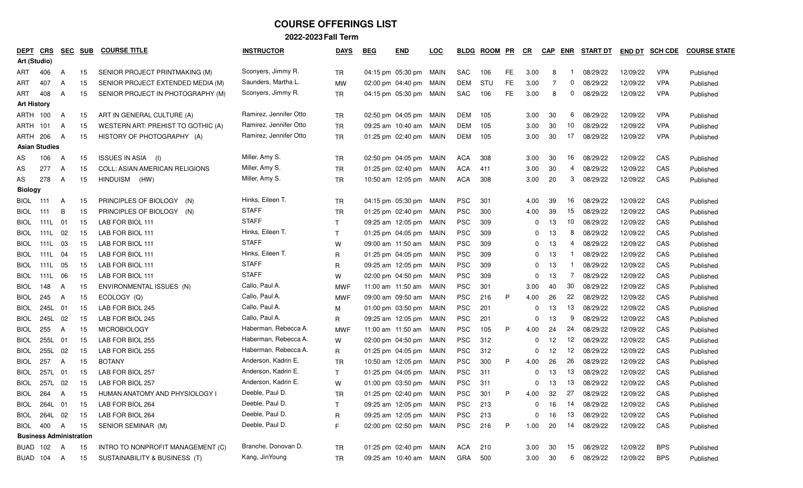| <b>DEPT</b>    | CRS<br>Art (Studio)            | <b>SEC</b> | <b>SUB</b> | <b>COURSE TITLE</b>                   | <b>INSTRUCTOR</b>      | <b>DAYS</b>  | <b>BEG</b> | <b>END</b>             | <u>LOC</u> | <b>BLDG</b> | <b>ROOM</b> | $P$ R | $_{CR}$  | CAP | <b>ENR</b> | <b>START DT</b> | <b>END DT</b> | <b>SCH CDE</b> | <b>COURSE STATE</b> |
|----------------|--------------------------------|------------|------------|---------------------------------------|------------------------|--------------|------------|------------------------|------------|-------------|-------------|-------|----------|-----|------------|-----------------|---------------|----------------|---------------------|
| ART            | 406                            | A          | 15         | SENIOR PROJECT PRINTMAKING (M)        | Sconyers, Jimmy R.     | <b>TR</b>    |            | 04:15 pm 05:30 pm MAIN |            | <b>SAC</b>  | 106         | FE    | 3.00     | 8   |            | 08/29/22        | 12/09/22      | <b>VPA</b>     | Published           |
| ART            | 407                            | A          | 15         | SENIOR PROJECT EXTENDED MEDIA (M)     | Saunders, Martha L.    | МW           |            | 02:00 pm 04:40 pm      | MAIN       | DEM         | STU         | FE    | 3.00     | -7  | 0          | 08/29/22        | 12/09/22      | <b>VPA</b>     | Published           |
| ART            | 408                            | A          | 15         | SENIOR PROJECT IN PHOTOGRAPHY (M)     | Sconyers, Jimmy R.     | TR           |            | 04:15 pm 05:30 pm MAIN |            | SAC         | 106         | FE    | 3.00     | 8   | 0          | 08/29/22        | 12/09/22      | <b>VPA</b>     | Published           |
|                | <b>Art History</b>             |            |            |                                       |                        |              |            |                        |            |             |             |       |          |     |            |                 |               |                |                     |
|                | ARTH 100                       | A          | 15         | ART IN GENERAL CULTURE (A)            | Ramirez, Jennifer Otto | TR           |            | 02:50 pm 04:05 pm MAIN |            | DEM         | 105         |       | 3.00     | 30  | 6          | 08/29/22        | 12/09/22      | <b>VPA</b>     | Published           |
|                | ARTH 101                       | A          | 15         | WESTERN ART: PREHIST TO GOTHIC (A)    | Ramirez, Jennifer Otto | <b>TR</b>    |            | 09:25 am 10:40 am MAIN |            | DEM         | 105         |       | 3.00     | 30  | 10         | 08/29/22        | 12/09/22      | <b>VPA</b>     | Published           |
| ARTH           | 206                            | A          | 15         | HISTORY OF PHOTOGRAPHY (A)            | Ramirez, Jennifer Otto | <b>TR</b>    |            | 01:25 pm 02:40 pm MAIN |            | DEM         | 105         |       | 3.00     | 30  | 17         | 08/29/22        | 12/09/22      | <b>VPA</b>     | Published           |
|                | <b>Asian Studies</b>           |            |            |                                       |                        |              |            |                        |            |             |             |       |          |     |            |                 |               |                |                     |
| AS             | 106                            | A          | 15         | ISSUES IN ASIA (I)                    | Miller, Amy S.         | TR           |            | 02:50 pm 04:05 pm MAIN |            | ACA         | 308         |       | 3.00     | 30  | 16         | 08/29/22        | 12/09/22      | CAS            | Published           |
| AS             | 277                            | A          | 15         | <b>COLL: ASIAN AMERICAN RELIGIONS</b> | Miller, Amy S.         | <b>TR</b>    |            | 01:25 pm 02:40 pm MAIN |            | ACA         | 411         |       | 3.00     | 30  | 4          | 08/29/22        | 12/09/22      | CAS            | Published           |
| AS             | 278                            | A          | 15         | HINDUISM (HW)                         | Miller, Amy S.         | TR           |            | 10:50 am 12:05 pm MAIN |            | ACA         | 308         |       | 3.00     | 20  | 3          | 08/29/22        | 12/09/22      | CAS            | Published           |
| <b>Biology</b> |                                |            |            |                                       |                        |              |            |                        |            |             |             |       |          |     |            |                 |               |                |                     |
| <b>BIOL</b>    | 111                            | A          | 15         | PRINCIPLES OF BIOLOGY<br>(N)          | Hinks, Eileen T.       | TR           |            | 04:15 pm 05:30 pm MAIN |            | <b>PSC</b>  | 301         |       | 4.00     | 39  | 16         | 08/29/22        | 12/09/22      | CAS            | Published           |
| <b>BIOL</b>    | 111                            | В          | 15         | PRINCIPLES OF BIOLOGY (N)             | <b>STAFF</b>           | <b>TR</b>    |            | 01:25 pm 02:40 pm MAIN |            | <b>PSC</b>  | 300         |       | 4.00     | 39  | 15         | 08/29/22        | 12/09/22      | CAS            | Published           |
| <b>BIOL</b>    | 111L                           | 01         | 15         | LAB FOR BIOL 111                      | <b>STAFF</b>           | $\mathsf{T}$ |            | 09:25 am 12:05 pm MAIN |            | <b>PSC</b>  | 309         |       | 0        | 13  | 10         | 08/29/22        | 12/09/22      | CAS            | Published           |
| BIOL           | 111L                           | 02         | 15         | LAB FOR BIOL 111                      | Hinks, Eileen T.       | T            |            | 01:25 pm 04:05 pm MAIN |            | <b>PSC</b>  | 309         |       |          | 13  | 8          | 08/29/22        | 12/09/22      | CAS            | Published           |
| BIOL           | 111L                           | 03         | 15         | LAB FOR BIOL 111                      | <b>STAFF</b>           | W            |            | 09:00 am 11:50 am MAIN |            | <b>PSC</b>  | 309         |       | 0        | 13  | 4          | 08/29/22        | 12/09/22      | CAS            | Published           |
| <b>BIOL</b>    | 111L                           | 04         | 15         | LAB FOR BIOL 111                      | Hinks, Eileen T.       | R            |            | 01:25 pm 04:05 pm MAIN |            | <b>PSC</b>  | 309         |       | 0        | 13  |            | 08/29/22        | 12/09/22      | CAS            | Published           |
| <b>BIOL</b>    | 111L                           | 05         | 15         | LAB FOR BIOL 111                      | <b>STAFF</b>           | R            |            | 09:25 am 12:05 pm MAIN |            | <b>PSC</b>  | 309         |       | $\Omega$ | 13  |            | 08/29/22        | 12/09/22      | CAS            | Published           |
| <b>BIOL</b>    | 111L                           | 06         | 15         | LAB FOR BIOL 111                      | <b>STAFF</b>           | W            |            | 02:00 pm 04:50 pm MAIN |            | <b>PSC</b>  | 309         |       |          | 13  | 7          | 08/29/22        | 12/09/22      | CAS            | Published           |
| <b>BIOL</b>    | 148                            | A          | 15         | ENVIRONMENTAL ISSUES (N)              | Callo, Paul A.         | <b>MWF</b>   |            | 11:00 am 11:50 am MAIN |            | <b>PSC</b>  | 301         |       | 3.00     | 40  | 30         | 08/29/22        | 12/09/22      | CAS            | Published           |
| <b>BIOL</b>    | 245                            | A          | 15         | ECOLOGY (Q)                           | Callo, Paul A.         | <b>MWF</b>   |            | 09:00 am 09:50 am MAIN |            | <b>PSC</b>  | 216         | P     | 4.00     | 26  | 22         | 08/29/22        | 12/09/22      | CAS            | Published           |
| <b>BIOL</b>    | 245L                           | 01         | 15         | LAB FOR BIOL 245                      | Callo, Paul A.         | М            |            | 01:00 pm 03:50 pm MAIN |            | <b>PSC</b>  | 201         |       | 0        | 13  | 13         | 08/29/22        | 12/09/22      | CAS            | Published           |
| <b>BIOL</b>    | 245L                           | 02         | 15         | LAB FOR BIOL 245                      | Callo, Paul A.         | R            |            | 09:25 am 12:05 pm MAIN |            | <b>PSC</b>  | 201         |       |          | 13  | 9          | 08/29/22        | 12/09/22      | CAS            | Published           |
| <b>BIOL</b>    | 255                            | A          | 15         | <b>MICROBIOLOGY</b>                   | Haberman, Rebecca A.   | <b>MWF</b>   |            | 11:00 am 11:50 am MAIN |            | <b>PSC</b>  | 105         | P     | 4.00     | 24  | 24         | 08/29/22        | 12/09/22      | CAS            | Published           |
| <b>BIOL</b>    | 255L                           | 01         | 15         | LAB FOR BIOL 255                      | Haberman, Rebecca A.   | W            |            | 02:00 pm 04:50 pm MAIN |            | <b>PSC</b>  | 312         |       | 0        | 12  | 12         | 08/29/22        | 12/09/22      | CAS            | Published           |
| BIOL           | 255L                           | 02         | 15         | LAB FOR BIOL 255                      | Haberman, Rebecca A.   | R            |            | 01:25 pm 04:05 pm MAIN |            | <b>PSC</b>  | 312         |       | 0        | 12  | 12         | 08/29/22        | 12/09/22      | CAS            | Published           |
| BIOL           | 257                            | A          | 15         | <b>BOTANY</b>                         | Anderson, Kadrin E.    | <b>TR</b>    |            | 10:50 am 12:05 pm MAIN |            | <b>PSC</b>  | 300         | P     | 4.00     | 26  | 26         | 08/29/22        | 12/09/22      | CAS            | Published           |
| <b>BIOL</b>    | 257L                           | 01         | 15         | LAB FOR BIOL 257                      | Anderson, Kadrin E.    | T.           |            | 01:25 pm 04:05 pm MAIN |            | <b>PSC</b>  | 311         |       |          | 13  | 13         | 08/29/22        | 12/09/22      | CAS            | Published           |
| BIOL           | 257L 02                        |            | 15         | LAB FOR BIOL 257                      | Anderson, Kadrin E.    | W            |            | 01:00 pm 03:50 pm MAIN |            | <b>PSC</b>  | 311         |       | 0        | 13  | 13         | 08/29/22        | 12/09/22      | CAS            | Published           |
| <b>BIOL</b>    | 264                            | A          | 15         | HUMAN ANATOMY AND PHYSIOLOGY I        | Deeble, Paul D.        | TR           |            | 01:25 pm 02:40 pm MAIN |            | <b>PSC</b>  | 301         | P     | 4.00     | 32  | 27         | 08/29/22        | 12/09/22      | CAS            | Published           |
|                | BIOL 264L 01                   |            | 15         | LAB FOR BIOL 264                      | Deeble, Paul D.        | $\mathbf{r}$ |            | 09:25 am 12:05 pm MAIN |            | PSC         | 213         |       |          | 16  | 14         | 08/29/22        | 12/09/22      | CAS            | Published           |
| BIOL           | 264L 02                        |            | 15         | LAB FOR BIOL 264                      | Deeble, Paul D.        | R            |            | 09:25 am 12:05 pm MAIN |            | PSC         | 213         |       |          | 16  | 13         | 08/29/22        | 12/09/22      | CAS            | Published           |
| BIOL           | 400 A                          |            | 15         | SENIOR SEMINAR (M)                    | Deeble, Paul D.        | F            |            | 02:00 pm 02:50 pm MAIN |            | PSC         | 216         | P     | 1.00     | 20  |            | 14 08/29/22     | 12/09/22      | CAS            | Published           |
|                | <b>Business Administration</b> |            |            |                                       |                        |              |            |                        |            |             |             |       |          |     |            |                 |               |                |                     |
|                | BUAD 102 A                     |            | 15         | INTRO TO NONPROFIT MANAGEMENT (C)     | Branche, Donovan D.    | TR           |            | 01:25 pm 02:40 pm MAIN |            | ACA         | 210         |       | 3.00     | 30  |            | 15 08/29/22     | 12/09/22      | <b>BPS</b>     | Published           |
|                | BUAD 104                       | A          | 15         | SUSTAINABILITY & BUSINESS (T)         | Kang, JinYoung         | <b>TR</b>    |            | 09:25 am 10:40 am MAIN |            | GRA 500     |             |       | 3.00     | 30  |            | 6 08/29/22      | 12/09/22      | <b>BPS</b>     | Published           |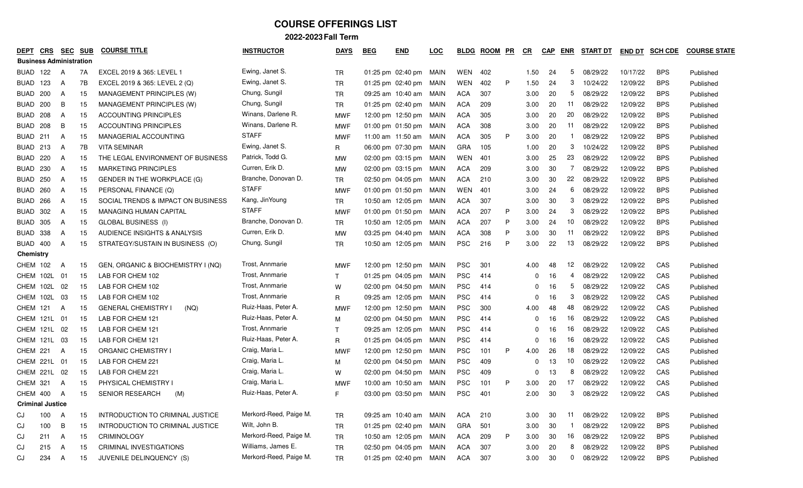| DEPT                           | CRS | <b>SEC</b> | <b>SUB</b> | <b>COURSE TITLE</b>                | <b>INSTRUCTOR</b>      | <b>DAYS</b>  | <b>BEG</b> | <b>END</b>             | <u>LOC</u> | <b>BLDG</b> | <b>ROOM</b> | PR | $CR$     | <b>CAP</b> | ENR | <b>START DT</b> | <b>END DT</b> | <b>SCH CDE</b> | <b>COURSE STATE</b> |
|--------------------------------|-----|------------|------------|------------------------------------|------------------------|--------------|------------|------------------------|------------|-------------|-------------|----|----------|------------|-----|-----------------|---------------|----------------|---------------------|
| <b>Business Administration</b> |     |            |            |                                    |                        |              |            |                        |            |             |             |    |          |            |     |                 |               |                |                     |
| BUAD                           | 122 | A          | 7A         | EXCEL 2019 & 365: LEVEL 1          | Ewing, Janet S.        | TR           |            | 01:25 pm 02:40 pm MAIN |            | WEN         | 402         |    | 1.50     | 24         | 5   | 08/29/22        | 10/17/22      | <b>BPS</b>     | Published           |
| BUAD                           | 123 | A          | 7B         | EXCEL 2019 & 365: LEVEL 2 (Q)      | Ewing, Janet S.        | <b>TR</b>    |            | 01:25 pm 02:40 pm      | MAIN       | WEN         | 402         | P  | 1.50     | 24         | 3   | 10/24/22        | 12/09/22      | <b>BPS</b>     | Published           |
| BUAD                           | 200 | A          | 15         | MANAGEMENT PRINCIPLES (W)          | Chung, Sungil          | <b>TR</b>    |            | 09:25 am 10:40 am MAIN |            | <b>ACA</b>  | 307         |    | 3.00     | 20         | 5   | 08/29/22        | 12/09/22      | <b>BPS</b>     | Published           |
| BUAD                           | 200 | B          | 15         | MANAGEMENT PRINCIPLES (W)          | Chung, Sungil          | <b>TR</b>    |            | 01:25 pm 02:40 pm MAIN |            | <b>ACA</b>  | 209         |    | 3.00     | 20         | -11 | 08/29/22        | 12/09/22      | <b>BPS</b>     | Published           |
| <b>BUAD</b>                    | 208 | A          | 15         | <b>ACCOUNTING PRINCIPLES</b>       | Winans, Darlene R.     | <b>MWF</b>   |            | 12:00 pm 12:50 pm MAIN |            | <b>ACA</b>  | 305         |    | 3.00     | 20         | 20  | 08/29/22        | 12/09/22      | <b>BPS</b>     | Published           |
| BUAD                           | 208 | B          | 15         | <b>ACCOUNTING PRINCIPLES</b>       | Winans, Darlene R.     | <b>MWF</b>   |            | 01:00 pm 01:50 pm MAIN |            | <b>ACA</b>  | 308         |    | 3.00     | 20         | 11  | 08/29/22        | 12/09/22      | <b>BPS</b>     | Published           |
| BUAD                           | 211 | A          | 15         | MANAGERIAL ACCOUNTING              | <b>STAFF</b>           | <b>MWF</b>   |            | 11:00 am 11:50 am      | MAIN       | <b>ACA</b>  | 305         | P  | 3.00     | 20         |     | 08/29/22        | 12/09/22      | <b>BPS</b>     | Published           |
| BUAD                           | 213 | A          | 7B         | <b>VITA SEMINAR</b>                | Ewing, Janet S.        | R            |            | 06:00 pm 07:30 pm      | MAIN       | <b>GRA</b>  | 105         |    | 1.00     | 20         | 3   | 10/24/22        | 12/09/22      | <b>BPS</b>     | Published           |
| <b>BUAD</b>                    | 220 | A          | 15         | THE LEGAL ENVIRONMENT OF BUSINESS  | Patrick, Todd G.       | <b>MW</b>    |            | 02:00 pm 03:15 pm MAIN |            | WEN         | 401         |    | 3.00     | 25         | 23  | 08/29/22        | 12/09/22      | <b>BPS</b>     | Published           |
| <b>BUAD</b>                    | 230 | A          | 15         | <b>MARKETING PRINCIPLES</b>        | Curren, Erik D.        | <b>MW</b>    |            | 02:00 pm 03:15 pm MAIN |            | <b>ACA</b>  | 209         |    | 3.00     | 30         | 7   | 08/29/22        | 12/09/22      | <b>BPS</b>     | Published           |
| BUAD                           | 250 | A          | 15         | GENDER IN THE WORKPLACE (G)        | Branche, Donovan D.    | <b>TR</b>    |            | 02:50 pm 04:05 pm MAIN |            | <b>ACA</b>  | 210         |    | 3.00     | 30         | 22  | 08/29/22        | 12/09/22      | <b>BPS</b>     | Published           |
| BUAD                           | 260 | A          | 15         | PERSONAL FINANCE (Q)               | <b>STAFF</b>           | MWF          |            | 01:00 pm 01:50 pm MAIN |            | WEN         | 401         |    | 3.00     | 24         | 6   | 08/29/22        | 12/09/22      | <b>BPS</b>     | Published           |
| <b>BUAD</b>                    | 266 | A          | 15         | SOCIAL TRENDS & IMPACT ON BUSINESS | Kang, JinYoung         | <b>TR</b>    |            | 10:50 am 12:05 pm MAIN |            | ACA         | 307         |    | 3.00     | 30         | 3   | 08/29/22        | 12/09/22      | <b>BPS</b>     | Published           |
| BUAD                           | 302 | A          | 15         | <b>MANAGING HUMAN CAPITAL</b>      | <b>STAFF</b>           | MWF          |            | 01:00 pm 01:50 pm MAIN |            | ACA         | 207         | P  | 3.00     | 24         | 3   | 08/29/22        | 12/09/22      | <b>BPS</b>     | Published           |
| BUAD                           | 305 | A          | 15         | <b>GLOBAL BUSINESS (I)</b>         | Branche, Donovan D.    | <b>TR</b>    |            | 10:50 am 12:05 pm MAIN |            | <b>ACA</b>  | 207         | P  | 3.00     | 24         | 10  | 08/29/22        | 12/09/22      | <b>BPS</b>     | Published           |
| <b>BUAD</b>                    | 338 | A          | 15         | AUDIENCE INSIGHTS & ANALYSIS       | Curren, Erik D.        | <b>MW</b>    |            | 03:25 pm 04:40 pm MAIN |            | <b>ACA</b>  | 308         | P  | 3.00     | 30         | 11  | 08/29/22        | 12/09/22      | <b>BPS</b>     | Published           |
| <b>BUAD</b>                    | 400 | A          | 15         | STRATEGY/SUSTAIN IN BUSINESS (O)   | Chung, Sungil          | <b>TR</b>    |            | 10:50 am 12:05 pm      | MAIN       | <b>PSC</b>  | 216         | P  | 3.00     | 22         | 13  | 08/29/22        | 12/09/22      | <b>BPS</b>     | Published           |
| <b>Chemistry</b>               |     |            |            |                                    |                        |              |            |                        |            |             |             |    |          |            |     |                 |               |                |                     |
| <b>CHEM 102</b>                |     | A          | 15         | GEN, ORGANIC & BIOCHEMISTRY I (NQ) | Trost, Annmarie        | <b>MWF</b>   |            | 12:00 pm 12:50 pm MAIN |            | <b>PSC</b>  | 301         |    | 4.00     | 48         | 12  | 08/29/22        | 12/09/22      | CAS            | Published           |
| CHEM 102L                      |     | -01        | 15         | LAB FOR CHEM 102                   | Trost, Annmarie        | $\mathsf{T}$ |            | 01:25 pm 04:05 pm MAIN |            | <b>PSC</b>  | 414         |    | 0        | 16         | 4   | 08/29/22        | 12/09/22      | CAS            | Published           |
| CHEM 102L                      |     | 02         | 15         | LAB FOR CHEM 102                   | Trost, Annmarie        | W            |            | 02:00 pm 04:50 pm MAIN |            | <b>PSC</b>  | 414         |    | $\Omega$ | 16         | 5   | 08/29/22        | 12/09/22      | CAS            | Published           |
| CHEM 102L                      |     | -03        | 15         | LAB FOR CHEM 102                   | Trost, Annmarie        | R            |            | 09:25 am 12:05 pm MAIN |            | <b>PSC</b>  | 414         |    |          | 16         | 3   | 08/29/22        | 12/09/22      | CAS            | Published           |
| <b>CHEM 121</b>                |     | A          | 15         | <b>GENERAL CHEMISTRY I</b><br>(NO) | Ruiz-Haas, Peter A.    | <b>MWF</b>   |            | 12:00 pm 12:50 pm MAIN |            | <b>PSC</b>  | 300         |    | 4.00     | 48         | 48  | 08/29/22        | 12/09/22      | CAS            | Published           |
| CHEM 121L                      |     | -01        | 15         | LAB FOR CHEM 121                   | Ruiz-Haas, Peter A.    | M            |            | 02:00 pm 04:50 pm MAIN |            | <b>PSC</b>  | 414         |    | 0        | 16         | 16  | 08/29/22        | 12/09/22      | CAS            | Published           |
| CHEM 121L                      |     | 02         | 15         | LAB FOR CHEM 121                   | Trost, Annmarie        | $\mathsf{T}$ |            | 09:25 am 12:05 pm MAIN |            | <b>PSC</b>  | 414         |    | $\Omega$ | 16         | 16  | 08/29/22        | 12/09/22      | CAS            | Published           |
| CHEM 121L 03                   |     |            | 15         | LAB FOR CHEM 121                   | Ruiz-Haas, Peter A.    | R            |            | 01:25 pm 04:05 pm MAIN |            | <b>PSC</b>  | 414         |    | 0        | 16         | 16  | 08/29/22        | 12/09/22      | CAS            | Published           |
| CHEM 221                       |     | A          | 15         | <b>ORGANIC CHEMISTRY I</b>         | Craig, Maria L.        | <b>MWF</b>   |            | 12:00 pm 12:50 pm MAIN |            | <b>PSC</b>  | 101         | P  | 4.00     | 26         | 18  | 08/29/22        | 12/09/22      | CAS            | Published           |
| CHEM 221L 01                   |     |            | 15         | LAB FOR CHEM 221                   | Craig, Maria L.        | М            |            | 02:00 pm 04:50 pm MAIN |            | <b>PSC</b>  | 409         |    | 0        | 13         | 10  | 08/29/22        | 12/09/22      | CAS            | Published           |
| CHEM 221L                      |     | 02         | 15         | LAB FOR CHEM 221                   | Craig, Maria L.        | W            |            | 02:00 pm 04:50 pm      | MAIN       | <b>PSC</b>  | 409         |    | $\Omega$ | 13         | 8   | 08/29/22        | 12/09/22      | CAS            | Published           |
| CHEM 321                       |     | A          | 15         | PHYSICAL CHEMISTRY I               | Craig, Maria L.        | <b>MWF</b>   |            | 10:00 am 10:50 am      | MAIN       | <b>PSC</b>  | 101         | P  | 3.00     | 20         | 17  | 08/29/22        | 12/09/22      | CAS            | Published           |
| CHEM 400                       |     | A          | 15         | <b>SENIOR RESEARCH</b><br>(M)      | Ruiz-Haas, Peter A.    | F.           |            | 03:00 pm 03:50 pm MAIN |            | <b>PSC</b>  | 401         |    | 2.00     | 30         | 3   | 08/29/22        | 12/09/22      | CAS            | Published           |
| <b>Criminal Justice</b>        |     |            |            |                                    |                        |              |            |                        |            |             |             |    |          |            |     |                 |               |                |                     |
| CJ                             | 100 | A          | 15         | INTRODUCTION TO CRIMINAL JUSTICE   | Merkord-Reed, Paige M. | <b>TR</b>    |            | 09:25 am 10:40 am MAIN |            | <b>ACA</b>  | 210         |    | 3.00     | 30         | 11  | 08/29/22        | 12/09/22      | <b>BPS</b>     | Published           |
| CJ                             | 100 | В          | 15         | INTRODUCTION TO CRIMINAL JUSTICE   | Wilt, John B.          | TR           |            | 01:25 pm 02:40 pm MAIN |            | GRA         | 501         |    | 3.00     | 30         | -1  | 08/29/22        | 12/09/22      | <b>BPS</b>     | Published           |
| CJ                             | 211 | A          | 15         | <b>CRIMINOLOGY</b>                 | Merkord-Reed, Paige M. | TR           |            | 10:50 am 12:05 pm MAIN |            | ACA         | 209         | P  | 3.00     | 30         | 16  | 08/29/22        | 12/09/22      | <b>BPS</b>     | Published           |
| CJ                             | 215 | A          | 15         | <b>CRIMINAL INVESTIGATIONS</b>     | Williams, James E.     | TR           |            | 02:50 pm 04:05 pm MAIN |            | ACA         | 307         |    | 3.00     | 20         | 8   | 08/29/22        | 12/09/22      | <b>BPS</b>     | Published           |
| CJ                             | 234 | A          | 15         | JUVENILE DELINQUENCY (S)           | Merkord-Reed, Paige M. | <b>TR</b>    |            | 01:25 pm 02:40 pm MAIN |            | ACA         | 307         |    | 3.00     | 30         | 0   | 08/29/22        | 12/09/22      | <b>BPS</b>     | Published           |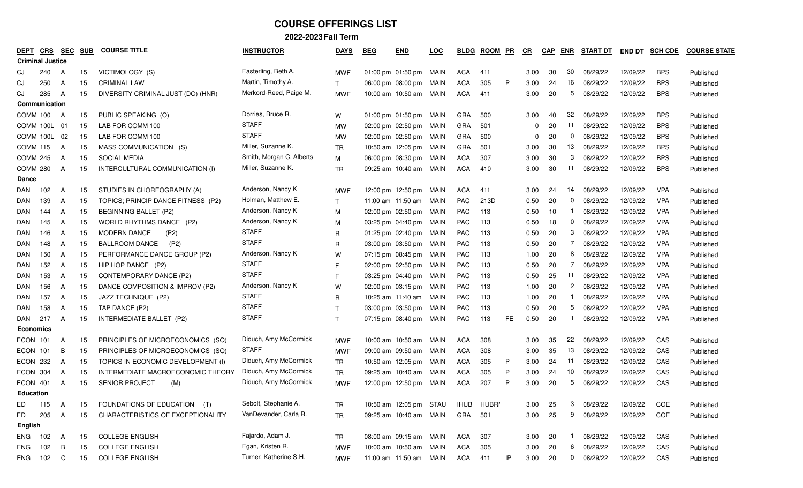| DEPT             | <u>CRS</u>              | <b>SEC</b> | <b>SUB</b> | <b>COURSE TITLE</b>                | <b>INSTRUCTOR</b>        | <b>DAYS</b>  | <b>BEG</b> | <b>END</b>                        | <b>LOC</b> | <b>BLDG</b> | <b>ROOM</b> | PR  | CR           | <b>CAP</b> | <u>ENR</u>     | <b>START DT</b> | <b>END DT</b> | <b>SCH CDE</b> | <b>COURSE STATE</b> |
|------------------|-------------------------|------------|------------|------------------------------------|--------------------------|--------------|------------|-----------------------------------|------------|-------------|-------------|-----|--------------|------------|----------------|-----------------|---------------|----------------|---------------------|
|                  | <b>Criminal Justice</b> |            |            |                                    |                          |              |            |                                   |            |             |             |     |              |            |                |                 |               |                |                     |
| CJ               | 240                     | A          | 15         | VICTIMOLOGY (S)                    | Easterling, Beth A.      | <b>MWF</b>   |            | 01:00 pm 01:50 pm MAIN            |            | ACA         | 411         |     | 3.00         | 30         | 30             | 08/29/22        | 12/09/22      | <b>BPS</b>     | Published           |
| CJ               | 250                     | A          | 15         | <b>CRIMINAL LAW</b>                | Martin, Timothy A.       | T            |            | 06:00 pm 08:00 pm                 | MAIN       | <b>ACA</b>  | 305         | P   | 3.00         | 24         | 16             | 08/29/22        | 12/09/22      | <b>BPS</b>     | Published           |
| CJ               | 285                     | A          | 15         | DIVERSITY CRIMINAL JUST (DO) (HNR) | Merkord-Reed, Paige M.   | <b>MWF</b>   |            | 10:00 am 10:50 am                 | MAIN       | ACA         | 411         |     | 3.00         | 20         | 5              | 08/29/22        | 12/09/22      | <b>BPS</b>     | Published           |
|                  | Communication           |            |            |                                    |                          |              |            |                                   |            |             |             |     |              |            |                |                 |               |                |                     |
| COMM 100         |                         | A          | 15         | PUBLIC SPEAKING (O)                | Dorries, Bruce R.        | W            |            | 01:00 pm 01:50 pm MAIN            |            | <b>GRA</b>  | 500         |     | 3.00         | 40         | 32             | 08/29/22        | 12/09/22      | <b>BPS</b>     | Published           |
|                  | COMM 100L               | - 01       | 15         | LAB FOR COMM 100                   | <b>STAFF</b>             | МW           |            | 02:00 pm 02:50 pm MAIN            |            | <b>GRA</b>  | 501         |     | 0            | 20         | 11             | 08/29/22        | 12/09/22      | <b>BPS</b>     | Published           |
|                  | COMM 100L 02            |            | 15         | LAB FOR COMM 100                   | <b>STAFF</b>             | MW           |            | 02:00 pm 02:50 pm MAIN            |            | <b>GRA</b>  | 500         |     | <sup>0</sup> | 20         | 0              | 08/29/22        | 12/09/22      | <b>BPS</b>     | Published           |
| <b>COMM 115</b>  |                         | A          | 15         | MASS COMMUNICATION (S)             | Miller, Suzanne K.       | <b>TR</b>    |            | 10:50 am 12:05 pm                 | MAIN       | <b>GRA</b>  | 501         |     | 3.00         | 30         | 13             | 08/29/22        | 12/09/22      | <b>BPS</b>     | Published           |
| <b>COMM 245</b>  |                         | A          | 15         | SOCIAL MEDIA                       | Smith, Morgan C. Alberts | M            |            | 06:00 pm 08:30 pm                 | MAIN       | <b>ACA</b>  | 307         |     | 3.00         | 30         | 3              | 08/29/22        | 12/09/22      | <b>BPS</b>     | Published           |
| COMM 280         |                         | A          | 15         | INTERCULTURAL COMMUNICATION (I)    | Miller, Suzanne K.       | <b>TR</b>    |            | 09:25 am 10:40 am                 | MAIN       | ACA         | 410         |     | 3.00         | 30         | -11            | 08/29/22        | 12/09/22      | <b>BPS</b>     | Published           |
| <b>Dance</b>     |                         |            |            |                                    |                          |              |            |                                   |            |             |             |     |              |            |                |                 |               |                |                     |
| DAN              | 102                     | A          | 15         | STUDIES IN CHOREOGRAPHY (A)        | Anderson, Nancy K        | <b>MWF</b>   |            | 12:00 pm 12:50 pm                 | MAIN       | <b>ACA</b>  | 411         |     | 3.00         | 24         | 14             | 08/29/22        | 12/09/22      | <b>VPA</b>     | Published           |
| DAN              | 139                     | A          | 15         | TOPICS; PRINCIP DANCE FITNESS (P2) | Holman, Matthew E.       | $\mathsf{T}$ |            | 11:00 am 11:50 am                 | MAIN       | <b>PAC</b>  | 213D        |     | 0.50         | 20         | 0              | 08/29/22        | 12/09/22      | <b>VPA</b>     | Published           |
| <b>DAN</b>       | 144                     | A          | 15         | <b>BEGINNING BALLET (P2)</b>       | Anderson, Nancy K        | М            |            | 02:00 pm 02:50 pm                 | MAIN       | <b>PAC</b>  | 113         |     | 0.50         | 10         |                | 08/29/22        | 12/09/22      | <b>VPA</b>     | Published           |
| DAN              | 145                     | A          | 15         | WORLD RHYTHMS DANCE (P2)           | Anderson, Nancy K        | M            |            | 03:25 pm 04:40 pm MAIN            |            | <b>PAC</b>  | 113         |     | 0.50         | 18         | 0              | 08/29/22        | 12/09/22      | <b>VPA</b>     | Published           |
| DAN              | 146                     | A          | 15         | <b>MODERN DANCE</b><br>(P2)        | <b>STAFF</b>             | R            |            | 01:25 pm 02:40 pm                 | MAIN       | <b>PAC</b>  | 113         |     | 0.50         | 20         | 3              | 08/29/22        | 12/09/22      | <b>VPA</b>     | Published           |
| <b>DAN</b>       | 148                     | A          | 15         | <b>BALLROOM DANCE</b><br>(P2)      | <b>STAFF</b>             | R            |            | 03:00 pm 03:50 pm MAIN            |            | <b>PAC</b>  | 113         |     | 0.50         | 20         | 7              | 08/29/22        | 12/09/22      | <b>VPA</b>     | Published           |
| <b>DAN</b>       | 150                     | A          | 15         | PERFORMANCE DANCE GROUP (P2)       | Anderson, Nancy K        | W            |            | 07:15 pm 08:45 pm                 | MAIN       | <b>PAC</b>  | 113         |     | 1.00         | 20         | 8              | 08/29/22        | 12/09/22      | <b>VPA</b>     | Published           |
| DAN              | 152                     | A          | 15         | HIP HOP DANCE (P2)                 | <b>STAFF</b>             | F            |            | 02:00 pm 02:50 pm MAIN            |            | <b>PAC</b>  | 113         |     | 0.50         | 20         | 7              | 08/29/22        | 12/09/22      | <b>VPA</b>     | Published           |
| DAN              | 153                     | A          | 15         | CONTEMPORARY DANCE (P2)            | <b>STAFF</b>             | F            |            | 03:25 pm 04:40 pm MAIN            |            | <b>PAC</b>  | 113         |     | 0.50         | 25         | 11             | 08/29/22        | 12/09/22      | <b>VPA</b>     | Published           |
| DAN              | 156                     | A          | 15         | DANCE COMPOSITION & IMPROV (P2)    | Anderson, Nancy K        | W            |            | 02:00 pm 03:15 pm MAIN            |            | PAC         | 113         |     | 1.00         | 20         | $\overline{2}$ | 08/29/22        | 12/09/22      | <b>VPA</b>     | Published           |
| DAN              | 157                     | A          | 15         | JAZZ TECHNIQUE (P2)                | <b>STAFF</b>             | R            |            | 10:25 am 11:40 am MAIN            |            | <b>PAC</b>  | 113         |     | 1.00         | 20         |                | 08/29/22        | 12/09/22      | <b>VPA</b>     | Published           |
| DAN              | 158                     | A          | 15         | TAP DANCE (P2)                     | <b>STAFF</b>             | $\mathsf{T}$ |            | 03:00 pm 03:50 pm MAIN            |            | <b>PAC</b>  | 113         |     | 0.50         | 20         | 5              | 08/29/22        | 12/09/22      | <b>VPA</b>     | Published           |
| DAN              | 217                     | A          | 15         | INTERMEDIATE BALLET (P2)           | <b>STAFF</b>             | T            |            | 07:15 pm 08:40 pm MAIN            |            | PAC         | 113         | FE. | 0.50         | 20         |                | 08/29/22        | 12/09/22      | <b>VPA</b>     | Published           |
| <b>Economics</b> |                         |            |            |                                    |                          |              |            |                                   |            |             |             |     |              |            |                |                 |               |                |                     |
| <b>ECON</b>      | 101                     | A          | 15         | PRINCIPLES OF MICROECONOMICS (SQ)  | Diduch, Amy McCormick    | <b>MWF</b>   |            | 10:00 am 10:50 am                 | MAIN       | <b>ACA</b>  | 308         |     | 3.00         | 35         | 22             | 08/29/22        | 12/09/22      | CAS            | Published           |
| ECON             | 101                     | B          | 15         | PRINCIPLES OF MICROECONOMICS (SQ)  | <b>STAFF</b>             | <b>MWF</b>   |            | 09:00 am 09:50 am MAIN            |            | ACA         | 308         |     | 3.00         | 35         | 13             | 08/29/22        | 12/09/22      | CAS            | Published           |
| ECON 232         |                         | A          | 15         | TOPICS IN ECONOMIC DEVELOPMENT (I) | Diduch, Amy McCormick    | <b>TR</b>    |            | 10:50 am 12:05 pm MAIN            |            | ACA         | 305         | P   | 3.00         | 24         | -11            | 08/29/22        | 12/09/22      | CAS            | Published           |
| ECON 304         |                         | A          | 15         | INTERMEDIATE MACROECONOMIC THEORY  | Diduch, Amy McCormick    | TR           |            | 09:25 am 10:40 am MAIN            |            | <b>ACA</b>  | 305         | P   | 3.00         | 24         | 10             | 08/29/22        | 12/09/22      | CAS            | Published           |
| ECON 401         |                         | A          | 15         | SENIOR PROJECT<br>(M)              | Diduch, Amy McCormick    | <b>MWF</b>   |            | 12:00 pm 12:50 pm MAIN            |            | <b>ACA</b>  | 207         | P   | 3.00         | 20         | 5              | 08/29/22        | 12/09/22      | CAS            | Published           |
| <b>Education</b> |                         |            |            |                                    |                          |              |            |                                   |            |             |             |     |              |            |                |                 |               |                |                     |
| ED               | 115                     | A          | 15         | FOUNDATIONS OF EDUCATION (T)       | Sebolt, Stephanie A.     | ΤR           |            | 10:50 am 12:05 pm STAU IHUB HUBRI |            |             |             |     | 3.00         | 25         | 3              | 08/29/22        | 12/09/22      | COE            | Published           |
| ED               | 205                     | A          | 15         | CHARACTERISTICS OF EXCEPTIONALITY  | VanDevander, Carla R.    | <b>TR</b>    |            | 09:25 am 10:40 am MAIN            |            | GRA         | 501         |     | 3.00         | 25         | 9              | 08/29/22        | 12/09/22      | COE            | Published           |
| English          |                         |            |            |                                    |                          |              |            |                                   |            |             |             |     |              |            |                |                 |               |                |                     |
| ENG              | 102                     | A          | 15         | <b>COLLEGE ENGLISH</b>             | Fajardo, Adam J.         | TR           |            | 08:00 am 09:15 am MAIN            |            | ACA         | 307         |     | 3.00         | 20         |                | 08/29/22        | 12/09/22      | CAS            | Published           |
| <b>ENG</b>       | 102                     | B          | 15         | <b>COLLEGE ENGLISH</b>             | Egan, Kristen R.         | <b>MWF</b>   |            | 10:00 am 10:50 am MAIN            |            | ACA         | 305         |     | 3.00         | 20         | 6              | 08/29/22        | 12/09/22      | CAS            | Published           |
| <b>ENG</b>       | 102 C                   |            | 15         | <b>COLLEGE ENGLISH</b>             | Turner, Katherine S.H.   | <b>MWF</b>   |            | 11:00 am 11:50 am MAIN            |            | ACA 411     |             | IP  | 3.00         | 20         |                | 0 08/29/22      | 12/09/22      | CAS            | Published           |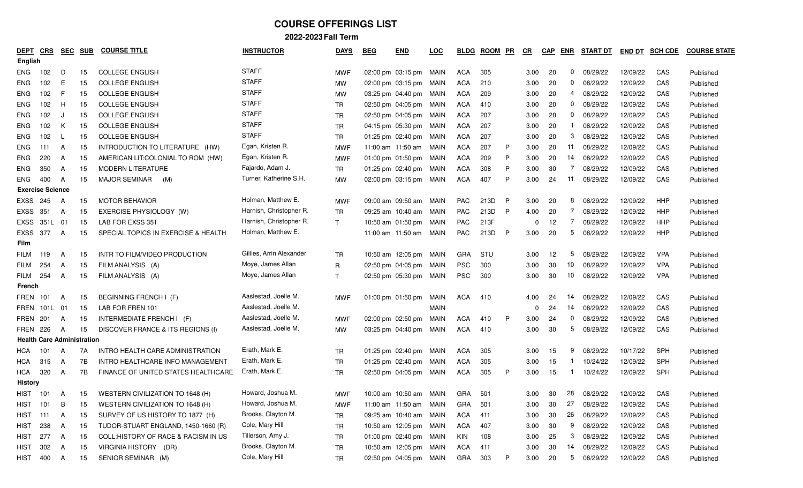| DEPT<br><b>English</b> | CRS                               | <u>SEC</u> | <b>SUB</b> | <b>COURSE TITLE</b>                  | <b>INSTRUCTOR</b>        | <b>DAYS</b>  | <b>BEG</b> | <b>END</b>             | <u>LOC</u>  | <b>BLDG</b> | <b>ROOM</b> | <b>PR</b> | C <sub>R</sub> | <b>CAP</b> | ENR          | <b>START DT</b> | <b>END DT</b> | <b>SCH CDE</b> | <b>COURSE STATE</b> |
|------------------------|-----------------------------------|------------|------------|--------------------------------------|--------------------------|--------------|------------|------------------------|-------------|-------------|-------------|-----------|----------------|------------|--------------|-----------------|---------------|----------------|---------------------|
| ENG                    | 102                               | D          | 15         | <b>COLLEGE ENGLISH</b>               | <b>STAFF</b>             | <b>MWF</b>   |            | 02:00 pm 03:15 pm MAIN |             | ACA         | 305         |           | 3.00           | -20        | $\mathbf{0}$ | 08/29/22        | 12/09/22      | CAS            | Published           |
| ENG                    | 102                               | E          | 15         | <b>COLLEGE ENGLISH</b>               | <b>STAFF</b>             | МW           |            | 02:00 pm 03:15 pm MAIN |             | <b>ACA</b>  | 210         |           | 3.00           | -20        | 0            | 08/29/22        | 12/09/22      | CAS            | Published           |
| ENG                    | 102                               | F          | 15         | <b>COLLEGE ENGLISH</b>               | <b>STAFF</b>             | МW           |            | 03:25 pm 04:40 pm MAIN |             | <b>ACA</b>  | 209         |           | 3.00           | 20         | 4            | 08/29/22        | 12/09/22      | CAS            | Published           |
| ENG                    | 102                               | H          | 15         | <b>COLLEGE ENGLISH</b>               | <b>STAFF</b>             | TR           |            | 02:50 pm 04:05 pm MAIN |             | <b>ACA</b>  | 410         |           | 3.00           | 20         | 0            | 08/29/22        | 12/09/22      | CAS            | Published           |
| ENG                    | 102                               | -J         | 15         | <b>COLLEGE ENGLISH</b>               | <b>STAFF</b>             | <b>TR</b>    |            | 02:50 pm 04:05 pm MAIN |             | <b>ACA</b>  | 207         |           | 3.00           | 20         | $\mathbf{0}$ | 08/29/22        | 12/09/22      | CAS            | Published           |
| ENG                    | 102                               | K          | 15         | <b>COLLEGE ENGLISH</b>               | <b>STAFF</b>             | <b>TR</b>    |            | 04:15 pm 05:30 pm MAIN |             | <b>ACA</b>  | 207         |           | 3.00           | 20         |              | 08/29/22        | 12/09/22      | CAS            | Published           |
| ENG                    | 102                               | <b>L</b>   | 15         | <b>COLLEGE ENGLISH</b>               | <b>STAFF</b>             | <b>TR</b>    |            | 01:25 pm 02:40 pm MAIN |             | ACA         | 207         |           | 3.00           | 20         | 3            | 08/29/22        | 12/09/22      | CAS            | Published           |
| ENG                    | 111                               | A          | 15         | INTRODUCTION TO LITERATURE (HW)      | Egan, Kristen R.         | <b>MWF</b>   |            | 11:00 am 11:50 am MAIN |             | <b>ACA</b>  | 207         | P         | 3.00           | 20         | 11           | 08/29/22        | 12/09/22      | CAS            | Published           |
| ENG                    | 220                               | A          | 15         | AMERICAN LIT: COLONIAL TO ROM (HW)   | Egan, Kristen R.         | <b>MWF</b>   |            | 01:00 pm 01:50 pm MAIN |             | <b>ACA</b>  | 209         | P         | 3.00           | 20         | 14           | 08/29/22        | 12/09/22      | CAS            | Published           |
| ENG                    | 350                               | A          | 15         | <b>MODERN LITERATURE</b>             | Fajardo, Adam J.         | TR           |            | 01:25 pm 02:40 pm MAIN |             | ACA         | 308         | P         | 3.00           | 30         | 7            | 08/29/22        | 12/09/22      | CAS            | Published           |
| ENG                    | 400                               | A          | 15         | <b>MAJOR SEMINAR</b><br>(M)          | Turner, Katherine S.H.   | МW           |            | 02:00 pm 03:15 pm MAIN |             | <b>ACA</b>  | 407         | P         | 3.00           | 24         | 11           | 08/29/22        | 12/09/22      | CAS            | Published           |
|                        | <b>Exercise Science</b>           |            |            |                                      |                          |              |            |                        |             |             |             |           |                |            |              |                 |               |                |                     |
| <b>EXSS</b>            | 245                               | A          | 15         | <b>MOTOR BEHAVIOR</b>                | Holman, Matthew E.       | <b>MWF</b>   |            | 09:00 am 09:50 am      | MAIN        | <b>PAC</b>  | 213D        | P         | 3.00           | 20         | 8            | 08/29/22        | 12/09/22      | HHP            | Published           |
| <b>EXSS</b>            | 351                               | A          | 15         | EXERCISE PHYSIOLOGY (W)              | Harnish, Christopher R.  | TR           |            | 09:25 am 10:40 am MAIN |             | <b>PAC</b>  | 213D        | P         | 4.00           | 20         | 7            | 08/29/22        | 12/09/22      | HHP            | Published           |
| EXSS                   | 351L                              | 01         | 15         | LAB FOR EXSS 351                     | Harnish, Christopher R.  | $\mathsf{T}$ |            | 10:50 am 01:50 pm MAIN |             | PAC         | 213F        |           | 0              | 12         | 7            | 08/29/22        | 12/09/22      | HHP            | Published           |
| <b>EXSS</b>            | 377                               | A          | 15         | SPECIAL TOPICS IN EXERCISE & HEALTH  | Holman, Matthew E.       |              |            | 11:00 am 11:50 am MAIN |             | PAC         | 213D        | P         | 3.00           | 20         | 5            | 08/29/22        | 12/09/22      | HHP            | Published           |
| <b>Film</b>            |                                   |            |            |                                      |                          |              |            |                        |             |             |             |           |                |            |              |                 |               |                |                     |
| <b>FILM</b>            | 119                               | A          | 15         | INTR TO FILM/VIDEO PRODUCTION        | Gillies. Arrin Alexander | TR           |            | 10:50 am 12:05 pm MAIN |             | <b>GRA</b>  | STU         |           | 3.00           | 12         | 5            | 08/29/22        | 12/09/22      | <b>VPA</b>     | Published           |
| <b>FILM</b>            | 254                               | A          | 15         | FILM ANALYSIS (A)                    | Moye, James Allan        | $\mathsf{R}$ |            | 02:50 pm 04:05 pm MAIN |             | <b>PSC</b>  | 300         |           | 3.00           | 30         | 10           | 08/29/22        | 12/09/22      | <b>VPA</b>     | Published           |
| FILM                   | 254                               | A          | 15         | FILM ANALYSIS (A)                    | Moye, James Allan        | $\mathsf{T}$ |            | 02:50 pm 05:30 pm MAIN |             | <b>PSC</b>  | 300         |           | 3.00           | 30         | 10           | 08/29/22        | 12/09/22      | <b>VPA</b>     | Published           |
| French                 |                                   |            |            |                                      |                          |              |            |                        |             |             |             |           |                |            |              |                 |               |                |                     |
| <b>FREN 101</b>        |                                   | A          | 15         | BEGINNING FRENCH I (F)               | Aaslestad, Joelle M.     | <b>MWF</b>   |            | 01:00 pm $01:50$ pm    | MAIN        | ACA         | 410         |           | 4.00           | 24         | 14           | 08/29/22        | 12/09/22      | CAS            | Published           |
| FREN                   | 101L                              | - 01       | 15         | LAB FOR FREN 101                     | Aaslestad, Joelle M.     |              |            |                        | <b>MAIN</b> |             |             |           | 0              | 24         | 14           | 08/29/22        | 12/09/22      | CAS            | Published           |
|                        | FREN 201                          | A          | 15         | INTERMEDIATE FRENCH I (F)            | Aaslestad, Joelle M.     | <b>MWF</b>   |            | 02:00 pm 02:50 pm      | MAIN        | ACA         | 410         | P         | 3.00           | 24         | 0            | 08/29/22        | 12/09/22      | CAS            | Published           |
| <b>FREN 226</b>        |                                   | A          | 15         | DISCOVER FRANCE & ITS REGIONS (I)    | Aaslestad, Joelle M.     | MW           |            | 03:25 pm 04:40 pm      | MAIN        | ACA         | 410         |           | 3.00           | 30         | 5            | 08/29/22        | 12/09/22      | CAS            | Published           |
|                        | <b>Health Care Administration</b> |            |            |                                      |                          |              |            |                        |             |             |             |           |                |            |              |                 |               |                |                     |
| HCA                    | 101                               | A          | 7A         | INTRO HEALTH CARE ADMINISTRATION     | Erath, Mark E.           | TR           |            | 01:25 pm 02:40 pm MAIN |             | ACA         | 305         |           | 3.00           | 15         | 9            | 08/29/22        | 10/17/22      | SPH            | Published           |
| HCA                    | 315                               | A          | 7B         | INTRO HEALTHCARE INFO MANAGEMENT     | Erath, Mark E.           | <b>TR</b>    |            | 01:25 pm 02:40 pm MAIN |             | <b>ACA</b>  | 305         |           | 3.00           | 15         |              | 10/24/22        | 12/09/22      | SPH            | Published           |
| HCA                    | 320                               | A          | 7B         | FINANCE OF UNITED STATES HEALTHCARE  | Erath, Mark E.           | <b>TR</b>    |            | 02:50 pm 04:05 pm MAIN |             | ACA         | 305         | P         | 3.00           | 15         |              | 10/24/22        | 12/09/22      | SPH            | Published           |
| History                |                                   |            |            |                                      |                          |              |            |                        |             |             |             |           |                |            |              |                 |               |                |                     |
| HIST                   | 101                               | A          | 15         | WESTERN CIVILIZATION TO 1648 (H)     | Howard, Joshua M.        | <b>MWF</b>   |            | 10:00 am 10:50 am MAIN |             | <b>GRA</b>  | 501         |           | 3.00           | 30         | 28           | 08/29/22        | 12/09/22      | CAS            | Published           |
| <b>HIST</b>            | 101                               | B          | 15         | WESTERN CIVILIZATION TO 1648 (H)     | Howard, Joshua M.        | <b>MWF</b>   |            | 11:00 am 11:50 am MAIN |             | GRA         | -501        |           | 3.00           | 30         | 27           | 08/29/22        | 12/09/22      | CAS            | Published           |
| <b>HIST</b>            | 111                               | A          | 15         | SURVEY OF US HISTORY TO 1877 (H)     | Brooks, Clayton M.       | TR           |            | 09:25 am 10:40 am MAIN |             | ACA         | 411         |           | 3.00           | 30         | 26           | 08/29/22        | 12/09/22      | CAS            | Published           |
| <b>HIST</b>            | 238                               | A          | 15         | TUDOR-STUART ENGLAND, 1450-1660 (R)  | Cole, Mary Hill          | <b>TR</b>    |            | 10:50 am 12:05 pm MAIN |             | ACA         | 407         |           | 3.00           | 30         | 9            | 08/29/22        | 12/09/22      | CAS            | Published           |
| <b>HIST</b>            | 277                               | A          | 15         | COLL: HISTORY OF RACE & RACISM IN US | Tillerson, Amy J.        | <b>TR</b>    |            | 01:00 pm 02:40 pm MAIN |             | KIN         | 108         |           | 3.00           | 25         | 3            | 08/29/22        | 12/09/22      | CAS            | Published           |
| <b>HIST</b>            | 302                               | A          | 15         | VIRGINIA HISTORY (DR)                | Brooks, Clayton M.       | TR           |            | 10:50 am 12:05 pm MAIN |             | ACA         | 411         |           | 3.00           | 30         |              | 14 08/29/22     | 12/09/22      | CAS            | Published           |
| HIST                   | 400                               | A          | 15         | SENIOR SEMINAR (M)                   | Cole, Mary Hill          | TR           |            | 02:50 pm 04:05 pm MAIN |             | GRA         | 303         | P         | 3.00           | 20         |              | 5 08/29/22      | 12/09/22      | CAS            | Published           |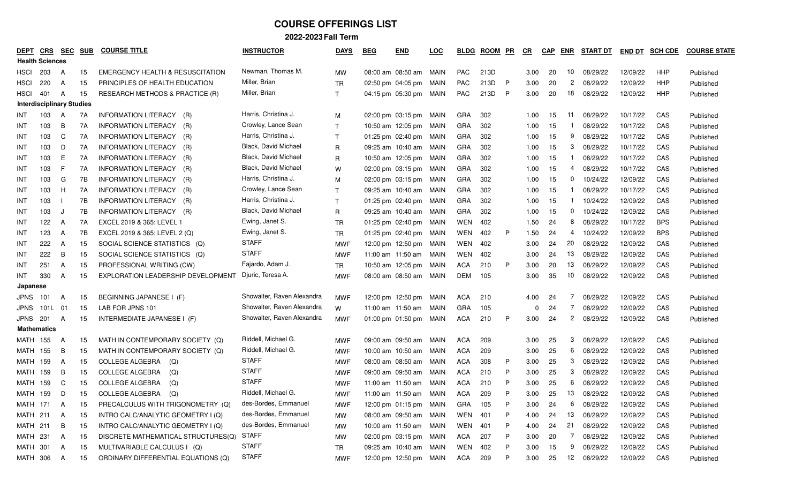| <b>DEPT</b>                      | <b>CRS</b> | <b>SEC</b> | <b>SUB</b> | <b>COURSE TITLE</b>                         | <b>INSTRUCTOR</b>          | <b>DAYS</b>  | <b>BEG</b> | <b>END</b>             | LOC  | <b>BLDG</b> | <b>ROOM</b> | PR | <u>CR</u> | <b>CAP</b> | <b>ENR</b>            | <b>START DT</b> | END DT   | <b>SCH CDE</b> | <b>COURSE STATE</b> |
|----------------------------------|------------|------------|------------|---------------------------------------------|----------------------------|--------------|------------|------------------------|------|-------------|-------------|----|-----------|------------|-----------------------|-----------------|----------|----------------|---------------------|
| <b>Health Sciences</b>           |            |            |            |                                             |                            |              |            |                        |      |             |             |    |           |            |                       |                 |          |                |                     |
| <b>HSCI</b>                      | 203        | A          | 15         | <b>EMERGENCY HEALTH &amp; RESUSCITATION</b> | Newman, Thomas M.          | <b>MW</b>    |            | 08:00 am 08:50 am MAIN |      | <b>PAC</b>  | 213D        |    | 3.00      | 20         | 10                    | 08/29/22        | 12/09/22 | HHP            | Published           |
| <b>HSCI</b>                      | 220        | A          | 15         | PRINCIPLES OF HEALTH EDUCATION              | Miller, Brian              | <b>TR</b>    |            | 02:50 pm 04:05 pm      | MAIN | <b>PAC</b>  | 213D        | P  | 3.00      | 20         | 2                     | 08/29/22        | 12/09/22 | HHP            | Published           |
| <b>HSCI</b>                      | 401        | A          | 15         | <b>RESEARCH METHODS &amp; PRACTICE (R)</b>  | Miller, Brian              | $\mathsf{T}$ |            | 04:15 pm 05:30 pm MAIN |      | <b>PAC</b>  | 213D        | P  | 3.00      | 20         | 18                    | 08/29/22        | 12/09/22 | HHP            | Published           |
| <b>Interdisciplinary Studies</b> |            |            |            |                                             |                            |              |            |                        |      |             |             |    |           |            |                       |                 |          |                |                     |
| INT                              | 103        | A          | 7A         | INFORMATION LITERACY<br>(R)                 | Harris, Christina J.       | M            |            | 02:00 pm 03:15 pm MAIN |      | <b>GRA</b>  | 302         |    | 1.00      | 15         | -11                   | 08/29/22        | 10/17/22 | CAS            | Published           |
| INT                              | 103        | B          | 7A         | <b>INFORMATION LITERACY</b><br>(R)          | Crowley, Lance Sean        | $\mathsf{T}$ |            | 10:50 am 12:05 pm MAIN |      | <b>GRA</b>  | 302         |    | 1.00      | 15         |                       | 08/29/22        | 10/17/22 | CAS            | Published           |
| INT                              | 103        | C          | 7A         | <b>INFORMATION LITERACY</b><br>(R)          | Harris, Christina J.       | $\mathsf{T}$ |            | 01:25 pm 02:40 pm MAIN |      | <b>GRA</b>  | 302         |    | 1.00      | 15         | 9                     | 08/29/22        | 10/17/22 | CAS            | Published           |
| INT                              | 103        | D          | 7A         | <b>INFORMATION LITERACY</b><br>(R)          | Black, David Michael       | R            |            | 09:25 am 10:40 am MAIN |      | <b>GRA</b>  | 302         |    | 1.00      | 15         | 3                     | 08/29/22        | 10/17/22 | CAS            | Published           |
| INT                              | 103        | E          | 7A         | INFORMATION LITERACY<br>(R)                 | Black, David Michael       | R            |            | 10:50 am 12:05 pm MAIN |      | <b>GRA</b>  | 302         |    | 1.00      | 15         |                       | 08/29/22        | 10/17/22 | CAS            | Published           |
| INT                              | 103        | F          | 7A         | <b>INFORMATION LITERACY</b><br>(R)          | Black, David Michael       | W            |            | 02:00 pm 03:15 pm MAIN |      | <b>GRA</b>  | 302         |    | 1.00      | 15         | 4                     | 08/29/22        | 10/17/22 | CAS            | Published           |
| INT                              | 103        | G          | 7В         | <b>INFORMATION LITERACY</b><br>(R)          | Harris, Christina J.       | м            |            | 02:00 pm 03:15 pm MAIN |      | <b>GRA</b>  | 302         |    | 1.00      | 15         | 0                     | 10/24/22        | 12/09/22 | CAS            | Published           |
| INT                              | 103        | H          | 7A         | INFORMATION LITERACY<br>(R)                 | Crowley, Lance Sean        | $\mathsf{T}$ |            | 09:25 am 10:40 am MAIN |      | <b>GRA</b>  | 302         |    | 1.00      | 15         |                       | 08/29/22        | 10/17/22 | CAS            | Published           |
| INT                              | 103        |            | 7B         | INFORMATION LITERACY<br>(R)                 | Harris, Christina J.       | $\mathsf{T}$ |            | 01:25 pm 02:40 pm MAIN |      | <b>GRA</b>  | 302         |    | 1.00      | 15         |                       | 10/24/22        | 12/09/22 | CAS            | Published           |
| INT                              | 103        | J          | 7B         | INFORMATION LITERACY (R)                    | Black, David Michael       | R            |            | 09:25 am 10:40 am MAIN |      | <b>GRA</b>  | 302         |    | 1.00      | 15         | 0                     | 10/24/22        | 12/09/22 | CAS            | Published           |
| INT                              | 122        | A          | 7A         | EXCEL 2019 & 365: LEVEL 1                   | Ewing, Janet S.            | TR           |            | 01:25 pm 02:40 pm MAIN |      | WEN         | 402         |    | 1.50      | 24         | 8                     | 08/29/22        | 10/17/22 | <b>BPS</b>     | Published           |
| INT                              | 123        | A          | 7B         | EXCEL 2019 & 365: LEVEL 2 (Q)               | Ewing, Janet S.            | <b>TR</b>    |            | 01:25 pm 02:40 pm MAIN |      | WEN         | 402         | P  | 1.50      | 24         | 4                     | 10/24/22        | 12/09/22 | <b>BPS</b>     | Published           |
| INT                              | 222        | A          | 15         | SOCIAL SCIENCE STATISTICS (Q)               | <b>STAFF</b>               | <b>MWF</b>   |            | 12:00 pm 12:50 pm MAIN |      | WEN         | 402         |    | 3.00      | 24         | 20                    | 08/29/22        | 12/09/22 | CAS            | Published           |
| INT                              | 222        | B          | 15         | SOCIAL SCIENCE STATISTICS (Q)               | <b>STAFF</b>               | <b>MWF</b>   |            | 11:00 am 11:50 am      | MAIN | WEN         | 402         |    | 3.00      | 24         | 13                    | 08/29/22        | 12/09/22 | CAS            | Published           |
| INT                              | 251        | A          | 15         | PROFESSIONAL WRITING (CW)                   | Fajardo, Adam J.           | TR           |            | 10:50 am 12:05 pm MAIN |      | ACA         | 210         | P  | 3.00      | 20         | 13                    | 08/29/22        | 12/09/22 | CAS            | Published           |
| INT                              | 330        | A          | 15         | EXPLORATION LEADERSHIP DEVELOPMENT          | Djuric, Teresa A.          | <b>MWF</b>   |            | 08:00 am 08:50 am      | MAIN | <b>DEM</b>  | 105         |    | 3.00      | 35         | 10                    | 08/29/22        | 12/09/22 | CAS            | Published           |
| Japanese                         |            |            |            |                                             |                            |              |            |                        |      |             |             |    |           |            |                       |                 |          |                |                     |
| <b>JPNS</b>                      | 101        | A          | 15         | BEGINNING JAPANESE I (F)                    | Showalter, Raven Alexandra | <b>MWF</b>   |            | 12:00 pm 12:50 pm MAIN |      | <b>ACA</b>  | 210         |    | 4.00      | 24         | 7                     | 08/29/22        | 12/09/22 | CAS            | Published           |
| JPNS                             | 101L       | 01         | 15         | LAB FOR JPNS 101                            | Showalter, Raven Alexandra | W            |            | 11:00 am 11:50 am      | MAIN | <b>GRA</b>  | 105         |    | $\Omega$  | 24         | 7                     | 08/29/22        | 12/09/22 | CAS            | Published           |
| JPNS                             | 201        | A          | 15         | INTERMEDIATE JAPANESE I (F)                 | Showalter, Raven Alexandra | <b>MWF</b>   |            | 01:00 pm 01:50 pm MAIN |      | ACA         | 210         | P  | 3.00      | 24         | $\mathbf{2}^{\prime}$ | 08/29/22        | 12/09/22 | CAS            | Published           |
| <b>Mathematics</b>               |            |            |            |                                             |                            |              |            |                        |      |             |             |    |           |            |                       |                 |          |                |                     |
| <b>MATH</b>                      | 155        | A          | 15         | MATH IN CONTEMPORARY SOCIETY (Q)            | Riddell, Michael G.        | <b>MWF</b>   |            | 09:00 am 09:50 am MAIN |      | <b>ACA</b>  | 209         |    | 3.00      | 25         | 3                     | 08/29/22        | 12/09/22 | CAS            | Published           |
| MATH                             | 155        | B          | 15         | MATH IN CONTEMPORARY SOCIETY (Q)            | Riddell, Michael G.        | MWF          |            | 10:00 am 10:50 am MAIN |      | <b>ACA</b>  | 209         |    | 3.00      | 25         | 6                     | 08/29/22        | 12/09/22 | CAS            | Published           |
| MATH                             | 159        | A          | 15         | COLLEGE ALGEBRA<br>(Q)                      | <b>STAFF</b>               | MWF          |            | 08:00 am 08:50 am MAIN |      | <b>ACA</b>  | 308         | P  | 3.00      | 25         | 3                     | 08/29/22        | 12/09/22 | CAS            | Published           |
| MATH                             | 159        | B          | 15         | COLLEGE ALGEBRA<br>(Q)                      | <b>STAFF</b>               | <b>MWF</b>   |            | 09:00 am 09:50 am      | MAIN | <b>ACA</b>  | 210         | P  | 3.00      | 25         | 3                     | 08/29/22        | 12/09/22 | CAS            | Published           |
| MATH                             | 159        | C          | 15         | <b>COLLEGE ALGEBRA</b><br>(Q)               | <b>STAFF</b>               | <b>MWF</b>   |            | 11:00 am 11:50 am      | MAIN | <b>ACA</b>  | 210         | P  | 3.00      | 25         | 6                     | 08/29/22        | 12/09/22 | CAS            | Published           |
| <b>MATH 159</b>                  |            | D          | 15         | COLLEGE ALGEBRA<br>(Q)                      | Riddell, Michael G.        | <b>MWF</b>   |            | 11:00 am 11:50 am MAIN |      | ACA         | 209         | P  | 3.00      | 25         | 13                    | 08/29/22        | 12/09/22 | CAS            | Published           |
| <b>MATH 171</b>                  |            | A          | 15         | PRECALCULUS WITH TRIGONOMETRY (Q)           | des-Bordes, Emmanuel       | <b>MWF</b>   |            | 12:00 pm 01:15 pm MAIN |      | GRA         | 105         |    | 3.00      | 24         | 6                     | 08/29/22        | 12/09/22 | CAS            | Published           |
| <b>MATH 211</b>                  |            | A          | 15         | INTRO CALC/ANALYTIC GEOMETRY I (Q)          | des-Bordes, Emmanuel       | МW           |            | 08:00 am 09:50 am MAIN |      | WEN 401     |             |    | 4.00      | 24         | 13                    | 08/29/22        | 12/09/22 | CAS            | Published           |
| <b>MATH 211</b>                  |            | B          | 15         | INTRO CALC/ANALYTIC GEOMETRY I (Q)          | des-Bordes, Emmanuel       | MW           |            | 10:00 am 11:50 am MAIN |      | WEN         | 401         | P  | 4.00      | 24         | 21                    | 08/29/22        | 12/09/22 | CAS            | Published           |
| <b>MATH 231</b>                  |            | A          | 15         | DISCRETE MATHEMATICAL STRUCTURES(Q)         | <b>STAFF</b>               | МW           |            | 02:00 pm 03:15 pm MAIN |      | ACA         | 207         | P  | 3.00      | 20         | 7                     | 08/29/22        | 12/09/22 | CAS            | Published           |
| MATH 301                         |            | A          | 15         | MULTIVARIABLE CALCULUS I (Q)                | <b>STAFF</b>               | TR           |            | 09:25 am 10:40 am MAIN |      | WEN 402     |             | P  | 3.00      | 15         | 9                     | 08/29/22        | 12/09/22 | CAS            | Published           |
| MATH 306                         |            | A          | 15         | ORDINARY DIFFERENTIAL EQUATIONS (Q)         | <b>STAFF</b>               | <b>MWF</b>   |            | 12:00 pm 12:50 pm MAIN |      | ACA 209     |             | P  | 3.00      | 25         |                       | 12 08/29/22     | 12/09/22 | CAS            | Published           |
|                                  |            |            |            |                                             |                            |              |            |                        |      |             |             |    |           |            |                       |                 |          |                |                     |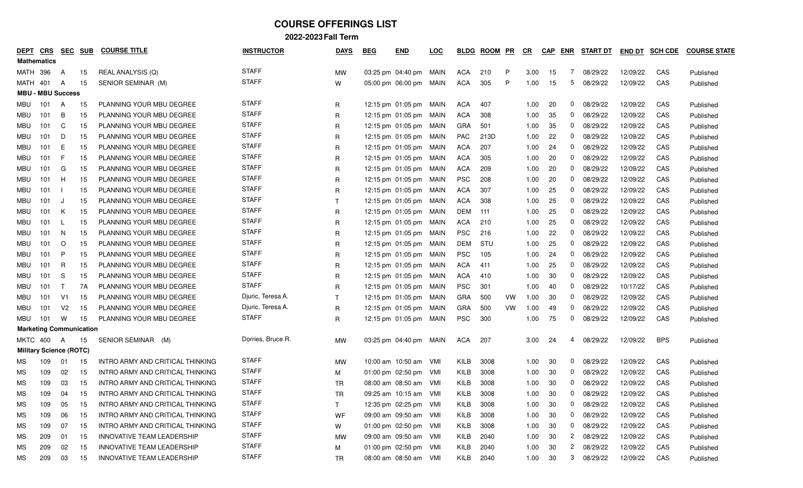| <b>DEPT</b>                    | CRS                            | <b>SEC</b>     | <b>SUB</b> | <b>COURSE TITLE</b>              | <b>INSTRUCTOR</b> | <b>DAYS</b>  | <b>BEG</b> | <b>END</b>                  | LOC   | <b>BLDG</b> | <b>ROOM</b> | PR | $_{CR}$ | <b>CAP</b> | ENR              | <b>START DT</b> | <b>END DT</b> | <b>SCH CDE</b> | <b>COURSE STATE</b> |
|--------------------------------|--------------------------------|----------------|------------|----------------------------------|-------------------|--------------|------------|-----------------------------|-------|-------------|-------------|----|---------|------------|------------------|-----------------|---------------|----------------|---------------------|
|                                | <b>Mathematics</b>             |                |            |                                  |                   |              |            |                             |       |             |             |    |         |            |                  |                 |               |                |                     |
| MATH                           | 396                            | A              | 15         | REAL ANALYSIS (Q)                | <b>STAFF</b>      | MW           |            | $03:25 \text{ pm}$ 04:40 pm | MAIN  | ACA         | 210         | P  | 3.00    | 15         | 7                | 08/29/22        | 12/09/22      | CAS            | Published           |
| MATH                           | 401                            | A              | 15         | SENIOR SEMINAR (M)               | <b>STAFF</b>      | W            |            | 05:00 pm 06:00 pm           | MAIN  | <b>ACA</b>  | 305         | P  | 1.00    | 15         | 5                | 08/29/22        | 12/09/22      | CAS            | Published           |
|                                | <b>MBU - MBU Success</b>       |                |            |                                  |                   |              |            |                             |       |             |             |    |         |            |                  |                 |               |                |                     |
| MBU                            | 101                            | A              | 15         | <b>PLANNING YOUR MBU DEGREE</b>  | <b>STAFF</b>      | R            |            | 12:15 pm $01:05$ pm         | MAIN  | <b>ACA</b>  | 407         |    | 1.00    | 20         | $\mathbf{0}$     | 08/29/22        | 12/09/22      | CAS            | Published           |
| MBU                            | 101                            | B              | 15         | PLANNING YOUR MBU DEGREE         | <b>STAFF</b>      | R            |            | 12:15 pm $01:05$ pm         | MAIN  | ACA         | 308         |    | 1.00    | 35         | $\mathbf{0}$     | 08/29/22        | 12/09/22      | CAS            | Published           |
| MBU                            | 101                            | C              | 15         | PLANNING YOUR MBU DEGREE         | <b>STAFF</b>      | R            |            | 12:15 pm $01:05$ pm         | MAIN  | GRA         | 501         |    | 1.00    | 35         | $\mathbf{0}$     | 08/29/22        | 12/09/22      | CAS            | Published           |
| MBU                            | 101                            | D              | 15         | PLANNING YOUR MBU DEGREE         | <b>STAFF</b>      | R            |            | 12:15 pm 01:05 pm           | MAIN  | <b>PAC</b>  | 213D        |    | 1.00    | 22         | $\mathbf{0}$     | 08/29/22        | 12/09/22      | CAS            | Published           |
| MBU                            | 101                            | Е              | 15         | PLANNING YOUR MBU DEGREE         | <b>STAFF</b>      | R            |            | 12:15 pm $01:05$ pm         | MAIN  | ACA         | 207         |    | 1.00    | 24         | $\mathbf{0}$     | 08/29/22        | 12/09/22      | CAS            | Published           |
| MBU                            | 101                            | F              | 15         | PLANNING YOUR MBU DEGREE         | <b>STAFF</b>      | R            |            | 12:15 pm $01:05$ pm         | MAIN  | ACA         | 305         |    | 1.00    | 20         | 0                | 08/29/22        | 12/09/22      | CAS            | Published           |
| MBU                            | 101                            | G              | 15         | PLANNING YOUR MBU DEGREE         | <b>STAFF</b>      | R            |            | 12:15 pm $01:05$ pm         | MAIN  | ACA         | 209         |    | 1.00    | 20         | 0                | 08/29/22        | 12/09/22      | CAS            | Published           |
| MBU                            | 101                            | H              | 15         | PLANNING YOUR MBU DEGREE         | <b>STAFF</b>      | R            |            | 12:15 pm $01:05$ pm         | MAIN  | <b>PSC</b>  | 208         |    | 1.00    | 20         | 0                | 08/29/22        | 12/09/22      | CAS            | Published           |
| MBU                            | 101                            |                | 15         | PLANNING YOUR MBU DEGREE         | <b>STAFF</b>      | R            |            | 12:15 pm $01:05$ pm         | MAIN  | <b>ACA</b>  | 307         |    | 1.00    | 25         | $\mathbf{0}$     | 08/29/22        | 12/09/22      | CAS            | Published           |
| MBU                            | 101                            | J              | 15         | PLANNING YOUR MBU DEGREE         | <b>STAFF</b>      | $\mathsf{T}$ |            | 12:15 pm 01:05 pm           | MAIN  | <b>ACA</b>  | 308         |    | 1.00    | 25         | $\mathbf{0}$     | 08/29/22        | 12/09/22      | CAS            | Published           |
| MBU                            | 101                            | Κ              | 15         | PLANNING YOUR MBU DEGREE         | <b>STAFF</b>      | R            |            | 12:15 pm $01:05$ pm         | MAIN  | DEM         | 111         |    | 1.00    | 25         | $\mathbf{0}$     | 08/29/22        | 12/09/22      | CAS            | Published           |
| MBU                            | 101                            | L              | 15         | PLANNING YOUR MBU DEGREE         | <b>STAFF</b>      | R            |            | 12:15 pm 01:05 pm           | MAIN  | <b>ACA</b>  | 210         |    | 1.00    | 25         | 0                | 08/29/22        | 12/09/22      | CAS            | Published           |
| MBU                            | 101                            | N              | 15         | PLANNING YOUR MBU DEGREE         | <b>STAFF</b>      | R            |            | 12:15 pm $01:05$ pm         | MAIN  | <b>PSC</b>  | 216         |    | 1.00    | 22         | $\mathbf{0}$     | 08/29/22        | 12/09/22      | CAS            | Published           |
| MBU                            | 101                            | $\circ$        | 15         | PLANNING YOUR MBU DEGREE         | <b>STAFF</b>      | $\mathsf{R}$ |            | 12:15 pm 01:05 pm           | MAIN  | DEM         | STU         |    | 1.00    | 25         | 0                | 08/29/22        | 12/09/22      | CAS            | Published           |
| MBU                            | 101                            | P              | 15         | PLANNING YOUR MBU DEGREE         | <b>STAFF</b>      | R            |            | 12:15 pm 01:05 pm           | MAIN  | <b>PSC</b>  | 105         |    | 1.00    | 24         | $\mathbf{0}$     | 08/29/22        | 12/09/22      | CAS            | Published           |
| MBU                            | 101                            | R              | 15         | PLANNING YOUR MBU DEGREE         | <b>STAFF</b>      | R            |            | 12:15 pm 01:05 pm           | MAIN  | <b>ACA</b>  | 411         |    | 1.00    | 25         | 0                | 08/29/22        | 12/09/22      | CAS            | Published           |
| MBU                            | 101                            | -S             | 15         | PLANNING YOUR MBU DEGREE         | <b>STAFF</b>      | R            |            | 12:15 pm $01:05$ pm         | MAIN  | ACA         | 410         |    | 1.00    | 30         | 0                | 08/29/22        | 12/09/22      | CAS            | Published           |
| MBU                            | 101                            | ा              | 7A         | PLANNING YOUR MBU DEGREE         | <b>STAFF</b>      | R            |            | 12:15 pm $01:05$ pm         | MAIN  | <b>PSC</b>  | 301         |    | 1.00    | 40         | $\mathbf{0}$     | 08/29/22        | 10/17/22      | CAS            | Published           |
| MBU                            | 101                            | V1             | 15         | PLANNING YOUR MBU DEGREE         | Djuric, Teresa A. | $\mathsf{T}$ |            | 12:15 pm $01:05$ pm         | MAIN  | GRA         | 500         | VW | 1.00    | 30         | $\mathbf{0}$     | 08/29/22        | 12/09/22      | CAS            | Published           |
| MBU                            | 101                            | V <sub>2</sub> | 15         | PLANNING YOUR MBU DEGREE         | Djuric, Teresa A. | R            |            | 12:15 pm $01:05$ pm         | MAIN  | GRA         | 500         | VW | 1.00    | 49         | 0                | 08/29/22        | 12/09/22      | CAS            | Published           |
| MBU                            | 101                            | W              | 15         | PLANNING YOUR MBU DEGREE         | <b>STAFF</b>      | R            |            | 12:15 pm $01:05$ pm         | MAIN  | <b>PSC</b>  | 300         |    | 1.00    | 75         | 0                | 08/29/22        | 12/09/22      | CAS            | Published           |
| <b>Marketing Communication</b> |                                |                |            |                                  |                   |              |            |                             |       |             |             |    |         |            |                  |                 |               |                |                     |
| MKTC                           | 400                            | A              | 15         | SENIOR SEMINAR (M)               | Dorries, Bruce R. | <b>MW</b>    |            | 03:25 pm 04:40 pm           | MAIN  | ACA         | 207         |    | 3.00    | 24         | 4                | 08/29/22        | 12/09/22      | <b>BPS</b>     | Published           |
|                                | <b>Military Science (ROTC)</b> |                |            |                                  |                   |              |            |                             |       |             |             |    |         |            |                  |                 |               |                |                     |
| МS                             | 109                            | 01             | 15         | INTRO ARMY AND CRITICAL THINKING | <b>STAFF</b>      | MW           |            | 10:00 am 10:50 am           | - VMI | KILB        | 3008        |    | 1.00    | 30         | 0                | 08/29/22        | 12/09/22      | CAS            | Published           |
| МS                             | 109                            | 02             | 15         | INTRO ARMY AND CRITICAL THINKING | <b>STAFF</b>      | M            |            | 01:00 pm $02:50$ pm         | VMI   | KILB        | 3008        |    | 1.00    | 30         | $\mathbf{0}$     | 08/29/22        | 12/09/22      | CAS            | Published           |
| ΜS                             | 109                            | 03             | 15         | INTRO ARMY AND CRITICAL THINKING | <b>STAFF</b>      | TR           |            | 08:00 am 08:50 am           | - VMI | KILB        | 3008        |    | 1.00    | 30         | 0                | 08/29/22        | 12/09/22      | CAS            | Published           |
| МS                             | 109                            | 04             | 15         | INTRO ARMY AND CRITICAL THINKING | <b>STAFF</b>      | <b>TR</b>    |            | 09:25 am 10:15 am           | - VMI | KILB        | 3008        |    | 1.00    | 30         | 0                | 08/29/22        | 12/09/22      | CAS            | Published           |
| <b>MS</b>                      | 109                            | 05             | 15         | INTRO ARMY AND CRITICAL THINKING | <b>STAFF</b>      |              |            | 12:35 pm 02:25 pm VMI       |       | KILB        | 3008        |    | 1.00    | 30         | $\boldsymbol{0}$ | 08/29/22        | 12/09/22      | CAS            | Published           |
| МS                             | 109                            | 06             | 15         | INTRO ARMY AND CRITICAL THINKING | <b>STAFF</b>      | WF           |            | 09:00 am 09:50 am VMI       |       | KILB        | 3008        |    | 1.00    | 30         | 0                | 08/29/22        | 12/09/22      | CAS            | Published           |
| ΜS                             | 109                            | 07             | 15         | INTRO ARMY AND CRITICAL THINKING | <b>STAFF</b>      | W            |            | 01:00 pm 02:50 pm VMI       |       | KILB        | 3008        |    | 1.00    | 30         | $\mathbf{0}$     | 08/29/22        | 12/09/22      | CAS            | Published           |
| МS                             | 209                            | 01             | 15         | INNOVATIVE TEAM LEADERSHIP       | <b>STAFF</b>      | MW           |            | 09:00 am 09:50 am VMI       |       | KILB        | 2040        |    | 1.00    | 30         |                  | 2 08/29/22      | 12/09/22      | CAS            | Published           |
| МS                             | 209                            | 02             | 15         | INNOVATIVE TEAM LEADERSHIP       | <b>STAFF</b>      | M            |            | 01:00 pm 02:50 pm VMI       |       | KILB        | 2040        |    | 1.00    | 30         | $\mathbf{2}$     | 08/29/22        | 12/09/22      | CAS            | Published           |
| МS                             | 209                            | 03             | 15         | INNOVATIVE TEAM LEADERSHIP       | <b>STAFF</b>      | TR           |            | 08:00 am 08:50 am VMI       |       | KILB        | 2040        |    | 1.00    | 30         |                  | 3 08/29/22      | 12/09/22      | CAS            | Published           |
|                                |                                |                |            |                                  |                   |              |            |                             |       |             |             |    |         |            |                  |                 |               |                |                     |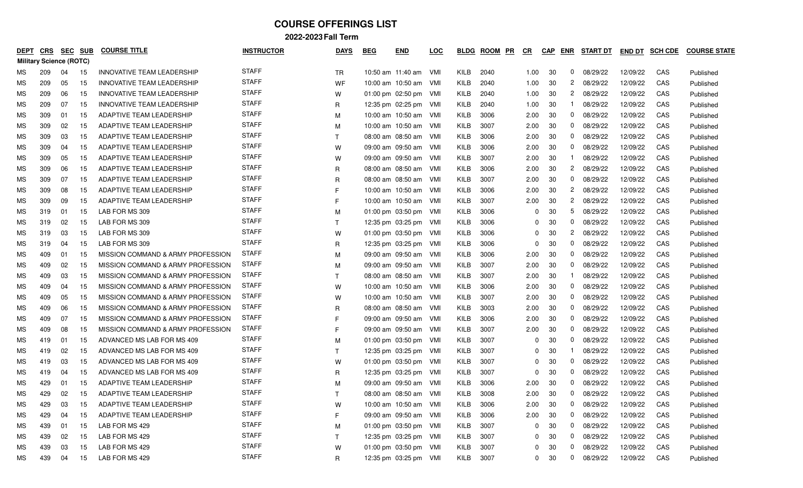| <b>DEPT</b> | CRS                            | <b>SEC</b> | <b>SUB</b> | <b>COURSE TITLE</b>               | <b>INSTRUCTOR</b> | <b>DAYS</b>  | <b>BEG</b> | <b>END</b>            | <u>LOC</u> | <b>BLDG</b> | <b>ROOM</b><br>PR | <u>CR</u>      | <b>CAP</b> | ENR              | <b>START DT</b> | <b>END DT</b> | <b>SCH CDE</b> | <b>COURSE STATE</b> |
|-------------|--------------------------------|------------|------------|-----------------------------------|-------------------|--------------|------------|-----------------------|------------|-------------|-------------------|----------------|------------|------------------|-----------------|---------------|----------------|---------------------|
|             | <b>Military Science (ROTC)</b> |            |            |                                   |                   |              |            |                       |            |             |                   |                |            |                  |                 |               |                |                     |
| МS          | 209                            | 04         | 15         | INNOVATIVE TEAM LEADERSHIP        | <b>STAFF</b>      | TR           |            | 10:50 am 11:40 am     | – VMI      | KILB        | 2040              | 1.00           | 30         | $\mathbf{0}$     | 08/29/22        | 12/09/22      | CAS            | Published           |
| МS          | 209                            | 05         | -15        | INNOVATIVE TEAM LEADERSHIP        | <b>STAFF</b>      | WF           |            | 10:00 am 10:50 am     | - VMI      | KILB        | 2040              | 1.00           | 30         | $\overline{c}$   | 08/29/22        | 12/09/22      | CAS            | Published           |
| МS          | 209                            | 06         | 15         | INNOVATIVE TEAM LEADERSHIP        | <b>STAFF</b>      | W            |            | 01:00 pm 02:50 pm VMI |            | KILB        | 2040              | 1.00           | 30         | 2                | 08/29/22        | 12/09/22      | CAS            | Published           |
| МS          | 209                            | 07         | 15         | INNOVATIVE TEAM LEADERSHIP        | <b>STAFF</b>      | R            |            | 12:35 pm 02:25 pm VMI |            | KILB        | 2040              | 1.00           | 30         |                  | 08/29/22        | 12/09/22      | CAS            | Published           |
| ΜS          | 309                            | 01         | -15        | ADAPTIVE TEAM LEADERSHIP          | <b>STAFF</b>      | M            |            | 10:00 am 10:50 am VMI |            | KILB        | 3006              | 2.00           | 30         | 0                | 08/29/22        | 12/09/22      | CAS            | Published           |
| МS          | 309                            | 02         | 15         | ADAPTIVE TEAM LEADERSHIP          | <b>STAFF</b>      | м            |            | 10:00 am 10:50 am VMI |            | KILB        | 3007              | 2.00           | 30         | 0                | 08/29/22        | 12/09/22      | CAS            | Published           |
| ΜS          | 309                            | 03         | 15         | <b>ADAPTIVE TEAM LEADERSHIP</b>   | <b>STAFF</b>      | $\top$       |            | 08:00 am 08:50 am VMI |            | KILB        | 3006              | 2.00           | 30         | 0                | 08/29/22        | 12/09/22      | CAS            | Published           |
| МS          | 309                            | 04         | 15         | ADAPTIVE TEAM LEADERSHIP          | <b>STAFF</b>      | W            |            | 09:00 am 09:50 am VMI |            | KILB        | 3006              | 2.00           | 30         | 0                | 08/29/22        | 12/09/22      | CAS            | Published           |
| МS          | 309                            | 05         | 15         | ADAPTIVE TEAM LEADERSHIP          | <b>STAFF</b>      | W            |            | 09:00 am 09:50 am     | – VMI      | KILB        | 3007              | 2.00           | 30         |                  | 08/29/22        | 12/09/22      | CAS            | Published           |
| МS          | 309                            | 06         | 15         | ADAPTIVE TEAM LEADERSHIP          | <b>STAFF</b>      | R            |            | 08:00 am 08:50 am     | - VMI      | KILB        | 3006              | 2.00           | 30         | 2                | 08/29/22        | 12/09/22      | CAS            | Published           |
| МS          | 309                            | 07         | 15         | ADAPTIVE TEAM LEADERSHIP          | <b>STAFF</b>      | R            |            | 08:00 am 08:50 am VMI |            | KILB        | 3007              | 2.00           | 30         | 0                | 08/29/22        | 12/09/22      | CAS            | Published           |
| МS          | 309                            | 08         | 15         | ADAPTIVE TEAM LEADERSHIP          | <b>STAFF</b>      | F            |            | 10:00 am 10:50 am VMI |            | KILB        | 3006              | 2.00           | 30         | 2                | 08/29/22        | 12/09/22      | CAS            | Published           |
| МS          | 309                            | 09         | 15         | ADAPTIVE TEAM LEADERSHIP          | <b>STAFF</b>      | F            |            | 10:00 am 10:50 am VMI |            | KILB        | 3007              | 2.00           | 30         | 2                | 08/29/22        | 12/09/22      | CAS            | Published           |
| МS          | 319                            | 01         | 15         | LAB FOR MS 309                    | <b>STAFF</b>      | M            |            | 01:00 pm 03:50 pm VMI |            | KILB        | 3006              | 0              | 30         | 5                | 08/29/22        | 12/09/22      | CAS            | Published           |
| МS          | 319                            | 02         | 15         | LAB FOR MS 309                    | <b>STAFF</b>      | $\top$       |            | 12:35 pm 03:25 pm VMI |            | KILB        | 3006              | O              | 30         | 0                | 08/29/22        | 12/09/22      | CAS            | Published           |
| МS          | 319                            | 03         | 15         | LAB FOR MS 309                    | <b>STAFF</b>      | W            |            | 01:00 pm 03:50 pm VMI |            | KILB        | 3006              | 0              | 30         | 2                | 08/29/22        | 12/09/22      | CAS            | Published           |
| МS          | 319                            | 04         | 15         | LAB FOR MS 309                    | <b>STAFF</b>      | R            |            | 12:35 pm 03:25 pm VMI |            | KILB        | 3006              | $\Omega$       | 30         | 0                | 08/29/22        | 12/09/22      | CAS            | Published           |
| МS          | 409                            | 01         | 15         | MISSION COMMAND & ARMY PROFESSION | <b>STAFF</b>      | M            |            | 09:00 am 09:50 am     | – VMI      | KILB        | 3006              | 2.00           | 30         | 0                | 08/29/22        | 12/09/22      | CAS            | Published           |
| МS          | 409                            | 02         | 15         | MISSION COMMAND & ARMY PROFESSION | <b>STAFF</b>      | M            |            | 09:00 am 09:50 am VMI |            | KILB        | 3007              | 2.00           | 30         | 0                | 08/29/22        | 12/09/22      | CAS            | Published           |
| МS          | 409                            | 03         | 15         | MISSION COMMAND & ARMY PROFESSION | <b>STAFF</b>      | т            |            | 08:00 am 08:50 am VMI |            | KILB        | 3007              | 2.00           | 30         |                  | 08/29/22        | 12/09/22      | CAS            | Published           |
| МS          | 409                            | 04         | 15         | MISSION COMMAND & ARMY PROFESSION | <b>STAFF</b>      | W            |            | 10:00 am 10:50 am     | - VMI      | KILB        | 3006              | 2.00           | 30         | 0                | 08/29/22        | 12/09/22      | CAS            | Published           |
| ΜS          | 409                            | 05         | -15        | MISSION COMMAND & ARMY PROFESSION | <b>STAFF</b>      | w            |            | 10:00 am 10:50 am     | – VMI      | KILB        | 3007              | 2.00           | 30         | 0                | 08/29/22        | 12/09/22      | CAS            | Published           |
| МS          | 409                            | 06         | 15         | MISSION COMMAND & ARMY PROFESSION | <b>STAFF</b>      | R            |            | 08:00 am 08:50 am     | - VMI      | KILB        | 3003              | 2.00           | 30         | 0                | 08/29/22        | 12/09/22      | CAS            | Published           |
| МS          | 409                            | 07         | 15         | MISSION COMMAND & ARMY PROFESSION | <b>STAFF</b>      |              |            | 09:00 am 09:50 am VMI |            | KILB        | 3006              | 2.00           | 30         | 0                | 08/29/22        | 12/09/22      | CAS            | Published           |
| МS          | 409                            | 08         | -15        | MISSION COMMAND & ARMY PROFESSION | <b>STAFF</b>      | E            |            | 09:00 am 09:50 am     | - VMI      | KILB        | 3007              | 2.00           | 30         | 0                | 08/29/22        | 12/09/22      | CAS            | Published           |
| ΜS          | 419                            | 01         | -15        | ADVANCED MS LAB FOR MS 409        | <b>STAFF</b>      | M            |            | 01:00 pm 03:50 pm VMI |            | KILB        | 3007              | 0              | 30         | 0                | 08/29/22        | 12/09/22      | CAS            | Published           |
| МS          | 419                            | 02         | 15         | ADVANCED MS LAB FOR MS 409        | <b>STAFF</b>      | $\top$       |            | 12:35 pm 03:25 pm VMI |            | KILB        | 3007              | O              | 30         |                  | 08/29/22        | 12/09/22      | CAS            | Published           |
| МS          | 419                            | 03         | 15         | ADVANCED MS LAB FOR MS 409        | <b>STAFF</b>      | w            |            | 01:00 pm 03:50 pm VMI |            | KILB        | 3007              | 0              | 30         | 0                | 08/29/22        | 12/09/22      | CAS            | Published           |
| МS          | 419                            | 04         | 15         | ADVANCED MS LAB FOR MS 409        | <b>STAFF</b>      | R            |            | 12:35 pm 03:25 pm VMI |            | KILB        | 3007              |                | 30         | 0                | 08/29/22        | 12/09/22      | CAS            | Published           |
| МS          | 429                            | -01        | 15         | ADAPTIVE TEAM LEADERSHIP          | <b>STAFF</b>      | M            |            | 09:00 am 09:50 am     | – VMI      | KILB        | 3006              | 2.00           | 30         | 0                | 08/29/22        | 12/09/22      | CAS            | Published           |
| ΜS          | 429                            | 02         | 15         | ADAPTIVE TEAM LEADERSHIP          | <b>STAFF</b>      | $\top$       |            | 08:00 am 08:50 am VMI |            | KILB        | 3008              | 2.00           | 30         | 0                | 08/29/22        | 12/09/22      | CAS            | Published           |
| <b>MS</b>   | 429                            | 03         | 15         | ADAPTIVE TEAM LEADERSHIP          | <b>STAFF</b>      | W            |            | 10:00 am 10:50 am VMI |            | KILB        | 3006              | 2.00           | 30         | $\boldsymbol{0}$ | 08/29/22        | 12/09/22      | CAS            | Published           |
| ΜS          | 429                            | 04         | 15         | ADAPTIVE TEAM LEADERSHIP          | <b>STAFF</b>      | F            |            | 09:00 am 09:50 am VMI |            | KILB        | 3006              | 2.00           | 30         |                  | 0 08/29/22      | 12/09/22      | CAS            | Published           |
| ΜS          | 439                            | 01         | 15         | LAB FOR MS 429                    | <b>STAFF</b>      | M            |            | 01:00 pm 03:50 pm VMI |            | KILB        | 3007              | 0              | 30         |                  | 0 08/29/22      | 12/09/22      | CAS            | Published           |
| МS          | 439                            | 02         | 15         | LAB FOR MS 429                    | <b>STAFF</b>      | $\mathsf{T}$ |            | 12:35 pm 03:25 pm VMI |            | KILB        | 3007              | 0              | 30         |                  | 0 08/29/22      | 12/09/22      | CAS            | Published           |
| МS          | 439                            | 03         | 15         | LAB FOR MS 429                    | <b>STAFF</b>      | W            |            | 01:00 pm 03:50 pm VMI |            | KILB        | 3007              | $\mathbf{0}$   | 30         |                  | 0 08/29/22      | 12/09/22      | CAS            | Published           |
| МS          | 439                            | 04         | 15         | LAB FOR MS 429                    | <b>STAFF</b>      | R            |            | 12:35 pm 03:25 pm VMI |            | KILB        | 3007              | $\overline{0}$ | 30         |                  | 0 08/29/22      | 12/09/22      | CAS            | Published           |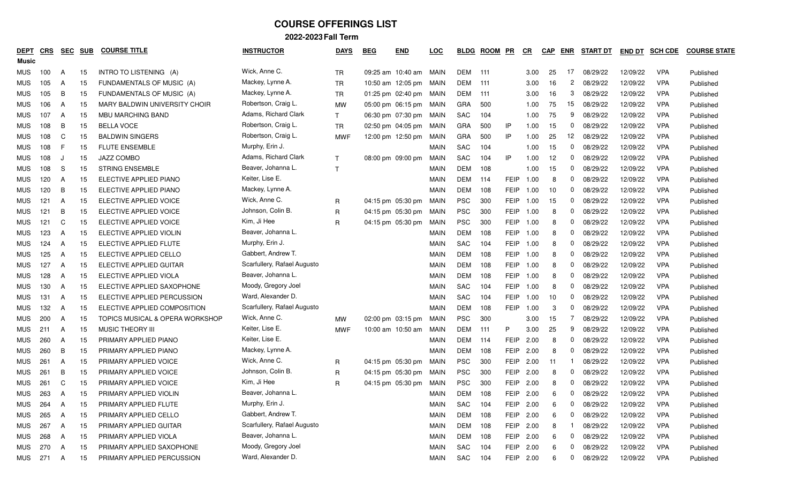| DEPT<br>Music | CRS | <u>SEC</u> | <b>SUB</b> | <b>COURSE TITLE</b>             | <b>INSTRUCTOR</b>           | <b>DAYS</b>  | <b>BEG</b> | <b>END</b>        | <b>LOC</b>  | <b>BLDG</b> | <b>ROOM</b> | <u>PR</u>   | $_{CR}$   | <b>CAP</b> | <b>ENR</b>     | <b>START DT</b> | <b>END DT</b> | <b>SCH CDE</b> | <b>COURSE STATE</b> |
|---------------|-----|------------|------------|---------------------------------|-----------------------------|--------------|------------|-------------------|-------------|-------------|-------------|-------------|-----------|------------|----------------|-----------------|---------------|----------------|---------------------|
| <b>MUS</b>    | 100 | A          | 15         | INTRO TO LISTENING (A)          | Wick, Anne C.               | <b>TR</b>    |            | 09:25 am 10:40 am | MAIN        | <b>DEM</b>  | 111         |             | 3.00      | 25         | 17             | 08/29/22        | 12/09/22      | <b>VPA</b>     | Published           |
| <b>MUS</b>    | 105 | A          | 15         | FUNDAMENTALS OF MUSIC (A)       | Mackey, Lynne A.            | <b>TR</b>    |            | 10:50 am 12:05 pm | MAIN        | DEM         | 111         |             | 3.00      | 16         | $\overline{c}$ | 08/29/22        | 12/09/22      | <b>VPA</b>     | Published           |
| <b>MUS</b>    | 105 | B          | 15         | FUNDAMENTALS OF MUSIC (A)       | Mackey, Lynne A.            | <b>TR</b>    |            | 01:25 pm 02:40 pm | MAIN        | DEM         | 111         |             | 3.00      | 16         | 3              | 08/29/22        | 12/09/22      | <b>VPA</b>     | Published           |
| <b>MUS</b>    | 106 | A          | 15         | MARY BALDWIN UNIVERSITY CHOIR   | Robertson, Craig L.         | MW           |            | 05:00 pm 06:15 pm | MAIN        | GRA         | 500         |             | 1.00      | 75         | 15             | 08/29/22        | 12/09/22      | <b>VPA</b>     | Published           |
| MUS.          | 107 | A          | 15         | MBU MARCHING BAND               | Adams, Richard Clark        | $\mathsf{T}$ |            | 06:30 pm 07:30 pm | MAIN        | <b>SAC</b>  | 104         |             | 1.00      | 75         | 9              | 08/29/22        | 12/09/22      | <b>VPA</b>     | Published           |
| <b>MUS</b>    | 108 | B          | 15         | <b>BELLA VOCE</b>               | Robertson, Craig L.         | <b>TR</b>    |            | 02:50 pm 04:05 pm | MAIN        | GRA         | 500         | IP          | 1.00      | 15         | 0              | 08/29/22        | 12/09/22      | <b>VPA</b>     | Published           |
| <b>MUS</b>    | 108 | C          | 15         | <b>BALDWIN SINGERS</b>          | Robertson, Craig L.         | <b>MWF</b>   |            | 12:00 pm 12:50 pm | MAIN        | GRA         | 500         | IP          | 1.00      | 25         | 12             | 08/29/22        | 12/09/22      | <b>VPA</b>     | Published           |
| MUS.          | 108 | F          | 15         | <b>FLUTE ENSEMBLE</b>           | Murphy, Erin J.             |              |            |                   | <b>MAIN</b> | SAC         | 104         |             | 1.00      | 15         | $\mathbf{0}$   | 08/29/22        | 12/09/22      | <b>VPA</b>     | Published           |
| <b>MUS</b>    | 108 | $\epsilon$ | 15         | <b>JAZZ COMBO</b>               | Adams, Richard Clark        | $\mathsf{T}$ |            | 08:00 pm 09:00 pm | MAIN        | <b>SAC</b>  | 104         | IP          | 1.00      | 12         | 0              | 08/29/22        | 12/09/22      | <b>VPA</b>     | Published           |
| MUS           | 108 | S          | 15         | <b>STRING ENSEMBLE</b>          | Beaver, Johanna L.          | $\mathsf{T}$ |            |                   | <b>MAIN</b> | DEM         | 108         |             | 1.00      | 15         | 0              | 08/29/22        | 12/09/22      | <b>VPA</b>     | Published           |
| <b>MUS</b>    | 120 | A          | 15         | ELECTIVE APPLIED PIANO          | Keiter, Lise E.             |              |            |                   | <b>MAIN</b> | DEM         | 114         | FEIP        | 1.00      | 8          | 0              | 08/29/22        | 12/09/22      | <b>VPA</b>     | Published           |
| <b>MUS</b>    | 120 | B          | 15         | ELECTIVE APPLIED PIANO          | Mackey, Lynne A.            |              |            |                   | MAIN        | <b>DEM</b>  | 108         | FEIP        | 1.00      | 10         | 0              | 08/29/22        | 12/09/22      | <b>VPA</b>     | Published           |
| <b>MUS</b>    | 121 | A          | 15         | ELECTIVE APPLIED VOICE          | Wick, Anne C.               | $\mathsf{R}$ |            | 04:15 pm 05:30 pm | MAIN        | <b>PSC</b>  | 300         | <b>FEIP</b> | 1.00      | 15         | 0              | 08/29/22        | 12/09/22      | <b>VPA</b>     | Published           |
| <b>MUS</b>    | 121 | B          | 15         | ELECTIVE APPLIED VOICE          | Johnson, Colin B.           | $\mathsf{R}$ |            | 04:15 pm 05:30 pm | MAIN        | <b>PSC</b>  | 300         | <b>FEIP</b> | 1.00      | 8          | 0              | 08/29/22        | 12/09/22      | <b>VPA</b>     | Published           |
| <b>MUS</b>    | 121 | C          | 15         | ELECTIVE APPLIED VOICE          | Kim, Ji Hee                 | R            |            | 04:15 pm 05:30 pm | MAIN        | <b>PSC</b>  | 300         | <b>FEIP</b> | 1.00      | 8          | 0              | 08/29/22        | 12/09/22      | <b>VPA</b>     | Published           |
| <b>MUS</b>    | 123 | A          | 15         | ELECTIVE APPLIED VIOLIN         | Beaver, Johanna L.          |              |            |                   | <b>MAIN</b> | DEM         | 108         | <b>FEIP</b> | 1.00      | 8          | 0              | 08/29/22        | 12/09/22      | <b>VPA</b>     | Published           |
| <b>MUS</b>    | 124 | A          | 15         | ELECTIVE APPLIED FLUTE          | Murphy, Erin J.             |              |            |                   | <b>MAIN</b> | SAC         | 104         | FEIP        | 1.00      | 8          | 0              | 08/29/22        | 12/09/22      | <b>VPA</b>     | Published           |
| <b>MUS</b>    | 125 | A          | 15         | ELECTIVE APPLIED CELLO          | Gabbert, Andrew T.          |              |            |                   | MAIN        | DEM         | 108         | FEIP        | 1.00      | 8          | 0              | 08/29/22        | 12/09/22      | <b>VPA</b>     | Published           |
| <b>MUS</b>    | 127 | A          | 15         | ELECTIVE APPLIED GUITAR         | Scarfullery, Rafael Augusto |              |            |                   | MAIN        | DEM         | 108         | FEIP        | 1.00      | 8          | 0              | 08/29/22        | 12/09/22      | <b>VPA</b>     | Published           |
| <b>MUS</b>    | 128 | A          | 15         | ELECTIVE APPLIED VIOLA          | Beaver, Johanna L.          |              |            |                   | MAIN        | DEM         | 108         | <b>FEIP</b> | 1.00      | 8          | 0              | 08/29/22        | 12/09/22      | <b>VPA</b>     | Published           |
| <b>MUS</b>    | 130 | A          | 15         | ELECTIVE APPLIED SAXOPHONE      | Moody, Gregory Joel         |              |            |                   | <b>MAIN</b> | <b>SAC</b>  | 104         | <b>FEIP</b> | 1.00      | 8          | 0              | 08/29/22        | 12/09/22      | <b>VPA</b>     | Published           |
| <b>MUS</b>    | 131 | A          | 15         | ELECTIVE APPLIED PERCUSSION     | Ward, Alexander D.          |              |            |                   | <b>MAIN</b> | SAC         | 104         | <b>FEIP</b> | 1.00      | 10         | 0              | 08/29/22        | 12/09/22      | <b>VPA</b>     | Published           |
| <b>MUS</b>    | 132 | A          | 15         | ELECTIVE APPLIED COMPOSITION    | Scarfullery, Rafael Augusto |              |            |                   | <b>MAIN</b> | <b>DEM</b>  | 108         | <b>FEIP</b> | 1.00      | 3          | 0              | 08/29/22        | 12/09/22      | <b>VPA</b>     | Published           |
| <b>MUS</b>    | 200 | A          | 15         | TOPICS MUSICAL & OPERA WORKSHOP | Wick, Anne C.               | MW           |            | 02:00 pm 03:15 pm | MAIN        | <b>PSC</b>  | 300         |             | 3.00      | 15         | 7              | 08/29/22        | 12/09/22      | <b>VPA</b>     | Published           |
| <b>MUS</b>    | 211 | A          | 15         | <b>MUSIC THEORY III</b>         | Keiter, Lise E.             | <b>MWF</b>   |            | 10:00 am 10:50 am | MAIN        | DEM         | 111         | P           | 3.00      | 25         | 9              | 08/29/22        | 12/09/22      | <b>VPA</b>     | Published           |
| MUS           | 260 | A          | 15         | PRIMARY APPLIED PIANO           | Keiter, Lise E.             |              |            |                   | MAIN        | DEM         | 114         | <b>FEIP</b> | 2.00      | 8          | 0              | 08/29/22        | 12/09/22      | <b>VPA</b>     | Published           |
| <b>MUS</b>    | 260 | B          | 15         | PRIMARY APPLIED PIANO           | Mackey, Lynne A.            |              |            |                   | <b>MAIN</b> | <b>DEM</b>  | 108         | <b>FEIP</b> | 2.00      | 8          | 0              | 08/29/22        | 12/09/22      | <b>VPA</b>     | Published           |
| <b>MUS</b>    | 261 | A          | 15         | PRIMARY APPLIED VOICE           | Wick, Anne C.               | R            |            | 04:15 pm 05:30 pm | MAIN        | <b>PSC</b>  | 300         | <b>FEIP</b> | 2.00      | 11         |                | 08/29/22        | 12/09/22      | <b>VPA</b>     | Published           |
| <b>MUS</b>    | 261 | B          | 15         | PRIMARY APPLIED VOICE           | Johnson, Colin B.           | R            |            | 04:15 pm 05:30 pm | MAIN        | <b>PSC</b>  | 300         | <b>FEIP</b> | 2.00      | 8          | 0              | 08/29/22        | 12/09/22      | <b>VPA</b>     | Published           |
| <b>MUS</b>    | 261 | C          | 15         | PRIMARY APPLIED VOICE           | Kim, Ji Hee                 | $\mathsf{R}$ |            | 04:15 pm 05:30 pm | MAIN        | <b>PSC</b>  | 300         | <b>FEIP</b> | 2.00      | 8          | 0              | 08/29/22        | 12/09/22      | <b>VPA</b>     | Published           |
| <b>MUS</b>    | 263 | A          | 15         | PRIMARY APPLIED VIOLIN          | Beaver, Johanna L.          |              |            |                   | MAIN        | <b>DEM</b>  | 108         | <b>FEIP</b> | 2.00      | 6          | $\Omega$       | 08/29/22        | 12/09/22      | <b>VPA</b>     | Published           |
| <b>MUS</b>    | 264 | A          | 15         | PRIMARY APPLIED FLUTE           | Murphy, Erin J.             |              |            |                   | <b>MAIN</b> | SAC         | 104         | FEIP        | 2.00      | 6          | 0              | 08/29/22        | 12/09/22      | <b>VPA</b>     | Published           |
| <b>MUS</b>    | 265 | A          | 15         | PRIMARY APPLIED CELLO           | Gabbert, Andrew T.          |              |            |                   | <b>MAIN</b> | DEM         | 108         | FEIP        | 2.00      | 6          | 0              | 08/29/22        | 12/09/22      | <b>VPA</b>     | Published           |
| <b>MUS</b>    | 267 | A          | 15         | PRIMARY APPLIED GUITAR          | Scarfullery, Rafael Augusto |              |            |                   | <b>MAIN</b> | <b>DEM</b>  | 108         |             | FEIP 2.00 | 8          |                | 08/29/22        | 12/09/22      | <b>VPA</b>     | Published           |
| <b>MUS</b>    | 268 | A          | 15         | PRIMARY APPLIED VIOLA           | Beaver, Johanna L.          |              |            |                   | <b>MAIN</b> | DEM         | 108         | FEIP        | 2.00      | 6          | 0              | 08/29/22        | 12/09/22      | <b>VPA</b>     | Published           |
| <b>MUS</b>    | 270 | A          | 15         | PRIMARY APPLIED SAXOPHONE       | Moody, Gregory Joel         |              |            |                   | <b>MAIN</b> | SAC         | 104         |             | FEIP 2.00 | 6          | 0              | 08/29/22        | 12/09/22      | <b>VPA</b>     | Published           |
| MUS           | 271 | A          | 15         | PRIMARY APPLIED PERCUSSION      | Ward, Alexander D.          |              |            |                   | MAIN        | SAC         | 104         |             | FEIP 2.00 | 6          | 0              | 08/29/22        | 12/09/22      | <b>VPA</b>     | Published           |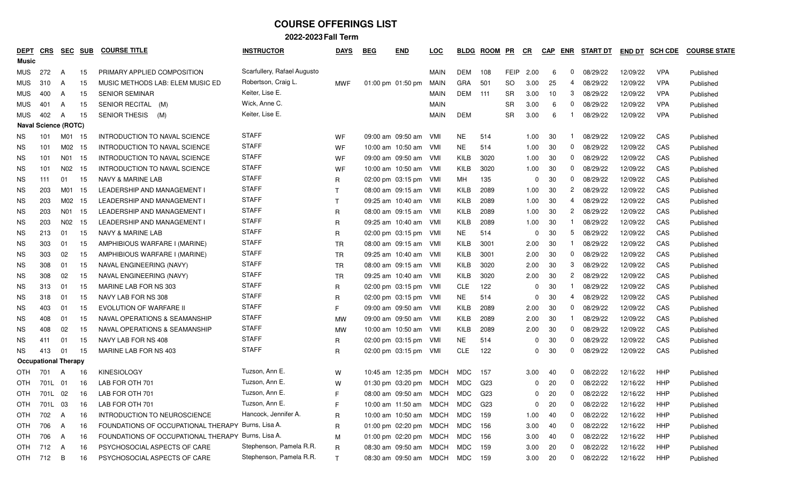| <u>DEPT</u> | CRS                         | <u>SEC</u> | <u>SUB</u> | <b>COURSE TITLE</b>                                | <b>INSTRUCTOR</b>           | <b>DAYS</b>  | <b>BEG</b> | <b>END</b>                     | <u>LOC</u>  | <b>BLDG</b> | <b>ROOM</b>     | PR        | $_{CR}$      | <b>CAP</b> | <b>ENR</b>     | <b>START DT</b> | <b>END DT</b> | <b>SCH CDE</b> | <b>COURSE STATE</b> |
|-------------|-----------------------------|------------|------------|----------------------------------------------------|-----------------------------|--------------|------------|--------------------------------|-------------|-------------|-----------------|-----------|--------------|------------|----------------|-----------------|---------------|----------------|---------------------|
| Music       |                             |            |            |                                                    |                             |              |            |                                |             |             |                 |           |              |            |                |                 |               |                |                     |
| MUS.        | 272                         | A          | 15         | PRIMARY APPLIED COMPOSITION                        | Scarfullery, Rafael Augusto |              |            |                                | MAIN        | DEM         | 108             | FEIP      | 2.00         | 6          | $\mathbf{0}$   | 08/29/22        | 12/09/22      | <b>VPA</b>     | Published           |
| <b>MUS</b>  | 310                         | A          | 15         | MUSIC METHODS LAB: ELEM MUSIC ED                   | Robertson, Craig L.         | MWF          |            | 01:00 pm 01:50 pm              | MAIN        | <b>GRA</b>  | 501             | <b>SO</b> | 3.00         | 25         | 4              | 08/29/22        | 12/09/22      | <b>VPA</b>     | Published           |
| MUS.        | 400                         | A          | 15         | <b>SENIOR SEMINAR</b>                              | Keiter, Lise E.             |              |            |                                | <b>MAIN</b> | DEM         | 111             | SR        | 3.00         | 10         | 3              | 08/29/22        | 12/09/22      | <b>VPA</b>     | Published           |
| <b>MUS</b>  | 401                         | A          | 15         | SENIOR RECITAL (M)                                 | Wick, Anne C.               |              |            |                                | <b>MAIN</b> |             |                 | SR        | 3.00         | 6          | 0              | 08/29/22        | 12/09/22      | <b>VPA</b>     | Published           |
| <b>MUS</b>  | 402                         | A          | 15         | <b>SENIOR THESIS</b><br>(M)                        | Keiter, Lise E.             |              |            |                                | <b>MAIN</b> | <b>DEM</b>  |                 | SR        | 3.00         | 6          |                | 08/29/22        | 12/09/22      | <b>VPA</b>     | Published           |
|             | <b>Naval Science (ROTC)</b> |            |            |                                                    |                             |              |            |                                |             |             |                 |           |              |            |                |                 |               |                |                     |
| NS.         | 101                         | M01        | - 15       | INTRODUCTION TO NAVAL SCIENCE                      | <b>STAFF</b>                | WF           |            | 09:00 am 09:50 am              | - VMI       | <b>NE</b>   | 514             |           | 1.00         | 30         |                | 08/29/22        | 12/09/22      | CAS            | Published           |
| NS.         | 101                         | M02        | -15        | INTRODUCTION TO NAVAL SCIENCE                      | <b>STAFF</b>                | WF           |            | 10:00 am 10:50 am              | - VMI       | <b>NE</b>   | 514             |           | 1.00         | 30         | $\mathbf{0}$   | 08/29/22        | 12/09/22      | CAS            | Published           |
| NS.         | 101                         | N01        | -15        | INTRODUCTION TO NAVAL SCIENCE                      | <b>STAFF</b>                | WF           |            | 09:00 am 09:50 am              | - VMI       | KILB        | 3020            |           | 1.00         | 30         | $\mathbf{0}$   | 08/29/22        | 12/09/22      | CAS            | Published           |
| NS.         | 101                         | N02        | 15         | INTRODUCTION TO NAVAL SCIENCE                      | <b>STAFF</b>                | WF           |            | 10:00 am 10:50 am              | - VMI       | KILB        | 3020            |           | 1.00         | 30         | 0              | 08/29/22        | 12/09/22      | CAS            | Published           |
| NS.         | 111                         | 01         | 15         | NAVY & MARINE LAB                                  | <b>STAFF</b>                | R            |            | $02:00 \text{ pm}$ 03:15 pm    | - VMI       | MН          | 135             |           | <sup>0</sup> | 30         | 0              | 08/29/22        | 12/09/22      | CAS            | Published           |
| NS.         | 203                         | M01        | 15         | LEADERSHIP AND MANAGEMENT I                        | <b>STAFF</b>                | $\top$       |            | 08:00 am 09:15 am              | - VMI       | KILB        | 2089            |           | 1.00         | 30         | $\overline{c}$ | 08/29/22        | 12/09/22      | CAS            | Published           |
| NS.         | 203                         | M02        | -15        | LEADERSHIP AND MANAGEMENT I                        | <b>STAFF</b>                | $\mathsf{T}$ |            | 09:25 am 10:40 am              | - VMI       | KILB        | 2089            |           | 1.00         | 30         | 4              | 08/29/22        | 12/09/22      | CAS            | Published           |
| NS.         | 203                         | N01        | 15         | LEADERSHIP AND MANAGEMENT I                        | <b>STAFF</b>                | R            |            | 08:00 am 09:15 am              | - VMI       | KILB        | 2089            |           | 1.00         | 30         | $\mathbf{2}$   | 08/29/22        | 12/09/22      | CAS            | Published           |
| NS.         | 203                         | N02        | 15         | LEADERSHIP AND MANAGEMENT I                        | <b>STAFF</b>                | R            |            | 09:25 am 10:40 am              | - VMI       | KILB        | 2089            |           | 1.00         | 30         |                | 08/29/22        | 12/09/22      | CAS            | Published           |
| ΝS          | 213                         | 01         | 15         | NAVY & MARINE LAB                                  | <b>STAFF</b>                | R            |            | $02:00 \text{ pm}$ 03:15 pm    | - VMI       | <b>NE</b>   | 514             |           | <sup>0</sup> | 30         | 5              | 08/29/22        | 12/09/22      | CAS            | Published           |
| NS.         | 303                         | 01         | 15         | AMPHIBIOUS WARFARE I (MARINE)                      | <b>STAFF</b>                | <b>TR</b>    |            | 08:00 am 09:15 am              | – VMI       | KILB        | 3001            |           | 2.00         | 30         |                | 08/29/22        | 12/09/22      | CAS            | Published           |
| ΝS          | 303                         | 02         | 15         | AMPHIBIOUS WARFARE I (MARINE)                      | <b>STAFF</b>                | <b>TR</b>    |            | 09:25 am 10:40 am              | - VMI       | KILB        | 3001            |           | 2.00         | 30         | 0              | 08/29/22        | 12/09/22      | CAS            | Published           |
| NS.         | 308                         | 01         | 15         | NAVAL ENGINEERING (NAVY)                           | <b>STAFF</b>                | <b>TR</b>    |            | 08:00 am 09:15 am              | - VMI       | KILB        | 3020            |           | 2.00         | 30         | 3              | 08/29/22        | 12/09/22      | CAS            | Published           |
| <b>NS</b>   | 308                         | 02         | 15         | NAVAL ENGINEERING (NAVY)                           | <b>STAFF</b>                | TR           |            | 09:25 am 10:40 am              | - VMI       | KILB        | 3020            |           | 2.00         | 30         | $\mathbf{2}$   | 08/29/22        | 12/09/22      | CAS            | Published           |
| NS.         | 313                         | 01         | 15         | MARINE LAB FOR NS 303                              | <b>STAFF</b>                | R            |            | 02:00 pm 03:15 pm VMI          |             | <b>CLE</b>  | 122             |           |              | 30         |                | 08/29/22        | 12/09/22      | CAS            | Published           |
| ΝS          | 318                         | 01         | 15         | NAVY LAB FOR NS 308                                | <b>STAFF</b>                | R            |            | 02:00 pm 03:15 pm VMI          |             | <b>NE</b>   | 514             |           | <sup>0</sup> | 30         | 4              | 08/29/22        | 12/09/22      | CAS            | Published           |
| ΝS          | 403                         | 01         | 15         | EVOLUTION OF WARFARE II                            | <b>STAFF</b>                | F            |            | 09:00 am 09:50 am              | - VMI       | KILB        | 2089            |           | 2.00         | 30         | $\mathbf{0}$   | 08/29/22        | 12/09/22      | CAS            | Published           |
| ΝS          | 408                         | 01         | 15         | NAVAL OPERATIONS & SEAMANSHIP                      | <b>STAFF</b>                | МW           |            | 09:00 am 09:50 am              | - VMI       | KILB        | 2089            |           | 2.00         | 30         |                | 08/29/22        | 12/09/22      | CAS            | Published           |
| NS.         | 408                         | 02         | 15         | NAVAL OPERATIONS & SEAMANSHIP                      | <b>STAFF</b>                | МW           |            | 10:00 am 10:50 am              | – VMI       | KILB        | 2089            |           | 2.00         | 30         | 0              | 08/29/22        | 12/09/22      | CAS            | Published           |
| NS.         | 411                         | 01         | 15         | NAVY LAB FOR NS 408                                | <b>STAFF</b>                | R            |            | 02:00 pm 03:15 pm              | – VMI       | NE          | 514             |           |              | 30         | 0              | 08/29/22        | 12/09/22      | CAS            | Published           |
| NS.         | 413                         | 01         | 15         | MARINE LAB FOR NS 403                              | <b>STAFF</b>                | R            |            | 02:00 pm 03:15 pm              | - VMI       | <b>CLE</b>  | 122             |           | $\Omega$     | 30         | 0              | 08/29/22        | 12/09/22      | CAS            | Published           |
|             | <b>Occupational Therapy</b> |            |            |                                                    |                             |              |            |                                |             |             |                 |           |              |            |                |                 |               |                |                     |
| OTH         | 701                         | A          | 16         | <b>KINESIOLOGY</b>                                 | Tuzson, Ann E.              | W            |            | 10:45 am 12:35 pm              | MDCH        | MDC         | 157             |           | 3.00         | 40         | 0              | 08/22/22        | 12/16/22      | HHP            | Published           |
| OTH         | 701L                        | - 01       | 16         | LAB FOR OTH 701                                    | Tuzson, Ann E.              | W            |            | 01:30 pm 03:20 pm              | MDCH        | MDC         | G23             |           | 0            | 20         | $\mathbf{0}$   | 08/22/22        | 12/16/22      | HHP            | Published           |
| OTH         | 701L                        | 02         | 16         | LAB FOR OTH 701                                    | Tuzson, Ann E.              | F            |            | 08:00 am 09:50 am MDCH MDC     |             |             | G <sub>23</sub> |           | $\Omega$     | 20         | $\mathbf{0}$   | 08/22/22        | 12/16/22      | HHP            | Published           |
| OTH         | 701L 03                     |            | 16         | LAB FOR OTH 701                                    | Tuzson, Ann E.              | F            |            | 10:00 am 11:50 am MDCH MDC     |             |             | G23             |           | 0            | 20         | $\mathbf 0$    | 08/22/22        | 12/16/22      | HHP            | Published           |
| <b>OTH</b>  | 702                         | A          | 16         | INTRODUCTION TO NEUROSCIENCE                       | Hancock, Jennifer A.        | R            |            | 10:00 am 10:50 am MDCH MDC     |             |             | 159             |           | 1.00         | 40         | 0              | 08/22/22        | 12/16/22      | HHP            | Published           |
| <b>OTH</b>  | 706                         | A          | 16         | FOUNDATIONS OF OCCUPATIONAL THERAPY Burns, Lisa A. |                             | R            |            | 01:00 pm 02:20 pm MDCH MDC     |             |             | 156             |           | 3.00         | 40         | 0              | 08/22/22        | 12/16/22      | HHP            | Published           |
| OTH         | 706                         | A          | 16         | FOUNDATIONS OF OCCUPATIONAL THERAPY Burns, Lisa A. |                             | M            |            | 01:00 pm 02:20 pm MDCH MDC     |             |             | 156             |           | 3.00         | 40         | 0              | 08/22/22        | 12/16/22      | HHP            | Published           |
| OTH         | 712                         | A          | 16         | PSYCHOSOCIAL ASPECTS OF CARE                       | Stephenson, Pamela R.R.     | $\mathsf R$  |            | 08:30 am 09:50 am MDCH MDC     |             |             | 159             |           | 3.00         | 20         | $\mathbf{0}$   | 08/22/22        | 12/16/22      | HHP            | Published           |
| OTH         | 712                         | В          | 16         | PSYCHOSOCIAL ASPECTS OF CARE                       | Stephenson, Pamela R.R.     | T            |            | 08:30 am 09:50 am MDCH MDC 159 |             |             |                 |           | 3.00         | 20         | $\mathbf{0}$   | 08/22/22        | 12/16/22      | HHP            | Published           |
|             |                             |            |            |                                                    |                             |              |            |                                |             |             |                 |           |              |            |                |                 |               |                |                     |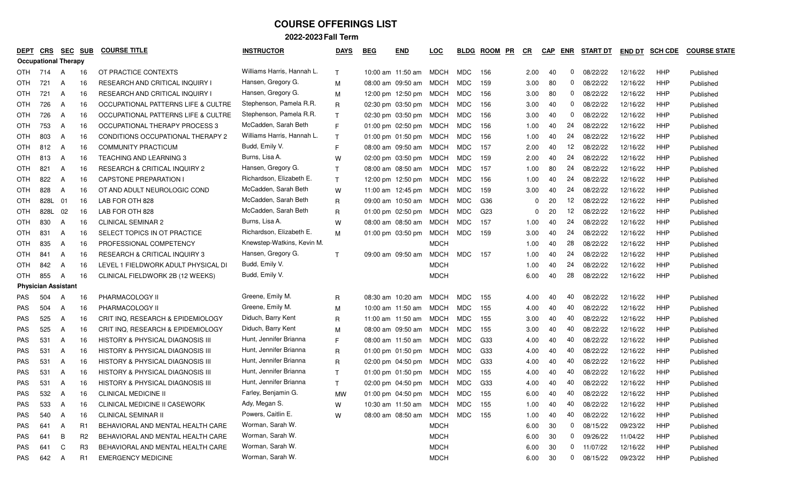| DEPT                        | CRS  | <u>SEC</u> | <b>SUB</b>     | <b>COURSE TITLE</b>                         | <b>INSTRUCTOR</b>          | <b>DAYS</b>  | <b>BEG</b> | <b>END</b>                  | LOC         | <b>BLDG</b> | <b>ROOM</b><br>PR | $_{CR}$ | <b>CAP</b> | <b>ENR</b>   | <b>START DT</b> | <b>END DT</b> | <b>SCH CDE</b> | <b>COURSE STATE</b> |
|-----------------------------|------|------------|----------------|---------------------------------------------|----------------------------|--------------|------------|-----------------------------|-------------|-------------|-------------------|---------|------------|--------------|-----------------|---------------|----------------|---------------------|
| <b>Occupational Therapy</b> |      |            |                |                                             |                            |              |            |                             |             |             |                   |         |            |              |                 |               |                |                     |
| <b>OTH</b>                  | 714  | A          | -16            | OT PRACTICE CONTEXTS                        | Williams Harris, Hannah L. | $\mathsf{T}$ |            | 10:00 am 11:50 am MDCH      |             | MDC         | 156               | 2.00    | 40         | 0            | 08/22/22        | 12/16/22      | HHP            | Published           |
| <b>OTH</b>                  | 721  | A          | 16             | <b>RESEARCH AND CRITICAL INQUIRY I</b>      | Hansen, Gregory G.         | M            |            | 08:00 am 09:50 am           | MDCH        | MDC         | 159               | 3.00    | 80         | $\mathbf{0}$ | 08/22/22        | 12/16/22      | <b>HHP</b>     | Published           |
| OTH                         | 721  | A          | 16             | <b>RESEARCH AND CRITICAL INQUIRY I</b>      | Hansen, Gregory G.         | м            |            | 12:00 pm 12:50 pm MDCH      |             | MDC         | 156               | 3.00    | 80         | 0            | 08/22/22        | 12/16/22      | HHP            | Published           |
| OTH                         | 726  | A          | 16             | OCCUPATIONAL PATTERNS LIFE & CULTRE         | Stephenson, Pamela R.R.    | R            |            | 02:30 pm 03:50 pm MDCH      |             | MDC         | 156               | 3.00    | 40         | $\mathbf{0}$ | 08/22/22        | 12/16/22      | HHP            | Published           |
| OTH                         | 726  | A          | 16             | OCCUPATIONAL PATTERNS LIFE & CULTRE         | Stephenson, Pamela R.R.    | T            |            | 02:30 pm 03:50 pm MDCH      |             | MDC         | 156               | 3.00    | 40         | 0            | 08/22/22        | 12/16/22      | HHP            | Published           |
| OTH                         | 753  | A          | 16             | OCCUPATIONAL THERAPY PROCESS 3              | McCadden, Sarah Beth       | E            |            | 01:00 pm 02:50 pm MDCH      |             | MDC         | 156               | 1.00    | 40         | 24           | 08/22/22        | 12/16/22      | <b>HHP</b>     | Published           |
| OTH                         | 803  | A          | 16             | CONDITIONS OCCUPATIONAL THERAPY 2           | Williams Harris, Hannah L. | T            |            | 01:00 pm 01:50 pm MDCH      |             | MDC         | 156               | 1.00    | 40         | 24           | 08/22/22        | 12/16/22      | HHP            | Published           |
| OTH                         | 812  | A          | 16             | <b>COMMUNITY PRACTICUM</b>                  | Budd, Emily V.             | E            |            | 08:00 am 09:50 am MDCH      |             | MDC         | 157               | 2.00    | 40         | 12           | 08/22/22        | 12/16/22      | HHP            | Published           |
| OTH                         | 813  | A          | 16             | <b>TEACHING AND LEARNING 3</b>              | Burns, Lisa A.             | W            |            | 02:00 pm 03:50 pm           | MDCH        | MDC         | 159               | 2.00    | 40         | 24           | 08/22/22        | 12/16/22      | HHP            | Published           |
| OTH                         | 821  | A          | 16             | RESEARCH & CRITICAL INQUIRY 2               | Hansen, Gregory G.         | T            |            | 08:00 am 08:50 am           | MDCH        | MDC         | 157               | 1.00    | 80         | 24           | 08/22/22        | 12/16/22      | HHP            | Published           |
| OTH                         | 822  | A          | 16             | <b>CAPSTONE PREPARATION I</b>               | Richardson, Elizabeth E.   | T            |            | 12:00 pm 12:50 pm MDCH      |             | MDC         | 156               | 1.00    | 40         | 24           | 08/22/22        | 12/16/22      | HHP            | Published           |
| OTH                         | 828  | A          | 16             | OT AND ADULT NEUROLOGIC COND                | McCadden, Sarah Beth       | W            |            | 11:00 am 12:45 pm MDCH      |             | MDC         | 159               | 3.00    | 40         | 24           | 08/22/22        | 12/16/22      | HHP            | Published           |
| OTH                         | 828L | 01         | 16             | LAB FOR OTH 828                             | McCadden, Sarah Beth       | R            |            | 09:00 am 10:50 am MDCH      |             | MDC         | G36               |         | 20         | 12           | 08/22/22        | 12/16/22      | HHP            | Published           |
| OTH                         | 828L | 02         | 16             | LAB FOR OTH 828                             | McCadden, Sarah Beth       | R            |            | $01:00 \text{ pm}$ 02:50 pm | MDCH        | MDC         | G <sub>23</sub>   |         | 20         | 12           | 08/22/22        | 12/16/22      | HHP            | Published           |
| OTH                         | 830  | A          | 16             | <b>CLINICAL SEMINAR 2</b>                   | Burns, Lisa A.             | W            |            | 08:00 am 08:50 am           | MDCH        | MDC         | 157               | 1.00    | 40         | 24           | 08/22/22        | 12/16/22      | <b>HHP</b>     | Published           |
| OTH                         | 831  | A          | 16             | SELECT TOPICS IN OT PRACTICE                | Richardson, Elizabeth E.   | M            |            | 01:00 pm 03:50 pm           | MDCH        | MDC         | 159               | 3.00    | 40         | 24           | 08/22/22        | 12/16/22      | HHP            | Published           |
| OTH                         | 835  | A          | 16             | PROFESSIONAL COMPETENCY                     | Knewstep-Watkins, Kevin M. |              |            |                             | <b>MDCH</b> |             |                   | 1.00    | 40         | 28           | 08/22/22        | 12/16/22      | HHP            | Published           |
| OTH                         | 841  | A          | 16             | RESEARCH & CRITICAL INQUIRY 3               | Hansen, Gregory G.         | T            |            | 09:00 am 09:50 am           | MDCH        | MDC         | 157               | 1.00    | 40         | 24           | 08/22/22        | 12/16/22      | HHP            | Published           |
| <b>OTH</b>                  | 842  | A          | 16             | LEVEL 1 FIELDWORK ADULT PHYSICAL DI         | Budd, Emily V.             |              |            |                             | <b>MDCH</b> |             |                   | 1.00    | 40         | 24           | 08/22/22        | 12/16/22      | <b>HHP</b>     | Published           |
| <b>OTH</b>                  | 855  | A          | 16             | CLINICAL FIELDWORK 2B (12 WEEKS)            | Budd, Emily V.             |              |            |                             | <b>MDCH</b> |             |                   | 6.00    | 40         | 28           | 08/22/22        | 12/16/22      | HHP            | Published           |
| <b>Physician Assistant</b>  |      |            |                |                                             |                            |              |            |                             |             |             |                   |         |            |              |                 |               |                |                     |
| <b>PAS</b>                  | 504  | A          | 16             | PHARMACOLOGY II                             | Greene, Emily M.           | R            |            | 08:30 am 10:20 am           | MDCH        | MDC         | 155               | 4.00    | 40         | 40           | 08/22/22        | 12/16/22      | HHP            | Published           |
| PAS                         | 504  | A          | 16             | PHARMACOLOGY II                             | Greene, Emily M.           | M            |            | 10:00 am 11:50 am           | MDCH        | MDC         | 155               | 4.00    | 40         | 40           | 08/22/22        | 12/16/22      | <b>HHP</b>     | Published           |
| PAS                         | 525  | A          | 16             | CRIT INQ, RESEARCH & EPIDEMIOLOGY           | Diduch, Barry Kent         | $\mathsf{R}$ |            | 11:00 am 11:50 am           | MDCH        | MDC         | 155               | 3.00    | 40         | 40           | 08/22/22        | 12/16/22      | HHP            | Published           |
| PAS                         | 525  | A          | 16             | CRIT INQ, RESEARCH & EPIDEMIOLOGY           | Diduch, Barry Kent         | M            |            | 08:00 am 09:50 am           | MDCH        | MDC         | 155               | 3.00    | 40         | 40           | 08/22/22        | 12/16/22      | HHP            | Published           |
| PAS                         | 531  | A          | 16             | HISTORY & PHYSICAL DIAGNOSIS III            | Hunt, Jennifer Brianna     | E            |            | 08:00 am 11:50 am           | MDCH        | MDC         | G33               | 4.00    | 40         | 40           | 08/22/22        | 12/16/22      | HHP            | Published           |
| PAS                         | 531  | A          | 16             | HISTORY & PHYSICAL DIAGNOSIS III            | Hunt, Jennifer Brianna     | R            |            | 01:00 pm 01:50 pm MDCH      |             | MDC         | G33               | 4.00    | 40         | 40           | 08/22/22        | 12/16/22      | <b>HHP</b>     | Published           |
| PAS                         | 531  | A          | 16             | HISTORY & PHYSICAL DIAGNOSIS III            | Hunt, Jennifer Brianna     | R            |            | 02:00 pm 04:50 pm MDCH      |             | MDC         | G33               | 4.00    | 40         | 40           | 08/22/22        | 12/16/22      | HHP            | Published           |
| <b>PAS</b>                  | 531  | A          | 16             | <b>HISTORY &amp; PHYSICAL DIAGNOSIS III</b> | Hunt, Jennifer Brianna     | T            |            | 01:00 pm 01:50 pm MDCH      |             | MDC         | 155               | 4.00    | 40         | 40           | 08/22/22        | 12/16/22      | HHP            | Published           |
| <b>PAS</b>                  | 531  | A          | 16             | <b>HISTORY &amp; PHYSICAL DIAGNOSIS III</b> | Hunt, Jennifer Brianna     | $\mathsf{T}$ |            | 02:00 pm 04:50 pm MDCH      |             | MDC         | G33               | 4.00    | 40         | 40           | 08/22/22        | 12/16/22      | HHP            | Published           |
| <b>PAS</b>                  | 532  | A          | 16             | <b>CLINICAL MEDICINE II</b>                 | Farley, Benjamin G.        | МW           |            | 01:00 pm 04:50 pm MDCH      |             | MDC         | 155               | 6.00    | 40         | 40           | 08/22/22        | 12/16/22      | <b>HHP</b>     | Published           |
| PAS                         | 533  | A          | 16             | CLINICAL MEDICINE II CASEWORK               | Ady, Megan S.              | W            |            | 10:30 am 11:50 am MDCH MDC  |             |             | 155               | 1.00    | 40         | 40           | 08/22/22        | 12/16/22      | HHP            | Published           |
| <b>PAS</b>                  | 540  | A          | 16             | <b>CLINICAL SEMINAR II</b>                  | Powers, Caitlin E.         | W            |            | 08:00 am 08:50 am MDCH MDC  |             |             | 155               | 1.00    | 40         | 40           | 08/22/22        | 12/16/22      | HHP            | Published           |
| <b>PAS</b>                  | 641  | A          | R <sub>1</sub> | BEHAVIORAL AND MENTAL HEALTH CARE           | Worman, Sarah W.           |              |            |                             | <b>MDCH</b> |             |                   | 6.00    | 30         |              | $0$ 08/15/22    | 09/23/22      | HHP            | Published           |
| <b>PAS</b>                  | 641  | B          | R <sub>2</sub> | BEHAVIORAL AND MENTAL HEALTH CARE           | Worman, Sarah W.           |              |            |                             | <b>MDCH</b> |             |                   | 6.00    | 30         |              | 0 09/26/22      | 11/04/22      | HHP            | Published           |
| <b>PAS</b>                  | 641  | C          | R <sub>3</sub> | BEHAVIORAL AND MENTAL HEALTH CARE           | Worman, Sarah W.           |              |            |                             | <b>MDCH</b> |             |                   | 6.00    | -30        |              | 0 11/07/22      | 12/16/22      | HHP            | Published           |
| PAS                         | 642  | A          | R <sub>1</sub> | <b>EMERGENCY MEDICINE</b>                   | Worman, Sarah W.           |              |            |                             | <b>MDCH</b> |             |                   | 6.00    | 30         |              | $0$ 08/15/22    | 09/23/22      | HHP            | Published           |
|                             |      |            |                |                                             |                            |              |            |                             |             |             |                   |         |            |              |                 |               |                |                     |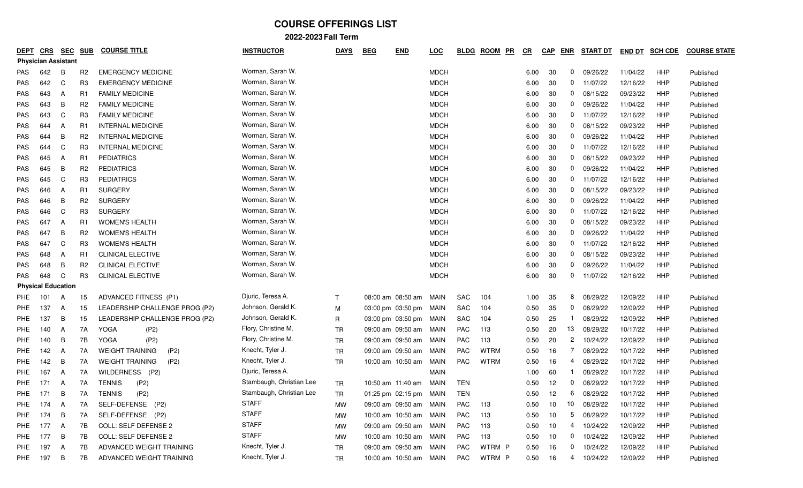| <b>DEPT</b> | CRS                        | <b>SEC</b> | <b>SUB</b>     | <b>COURSE TITLE</b>            | <b>INSTRUCTOR</b>        | <b>DAYS</b>  | <b>END</b><br><b>BEG</b> | <u>LOC</u>  | <u>BLDG</u> | <b>ROOM</b><br>PR | $_{CR}$ | <b>CAP</b> | <b>ENR</b>   | <b>START DT</b> | <b>END DT</b> | <b>SCH CDE</b> | <b>COURSE STATE</b> |
|-------------|----------------------------|------------|----------------|--------------------------------|--------------------------|--------------|--------------------------|-------------|-------------|-------------------|---------|------------|--------------|-----------------|---------------|----------------|---------------------|
|             | <b>Physician Assistant</b> |            |                |                                |                          |              |                          |             |             |                   |         |            |              |                 |               |                |                     |
| <b>PAS</b>  | 642                        | В          | R <sub>2</sub> | <b>EMERGENCY MEDICINE</b>      | Worman, Sarah W.         |              |                          | <b>MDCH</b> |             |                   | 6.00    | 30         | 0            | 09/26/22        | 11/04/22      | HHP            | Published           |
| <b>PAS</b>  | 642                        | C          | R <sub>3</sub> | <b>EMERGENCY MEDICINE</b>      | Worman, Sarah W.         |              |                          | <b>MDCH</b> |             |                   | 6.00    | 30         | 0            | 11/07/22        | 12/16/22      | HHP            | Published           |
| <b>PAS</b>  | 643                        | A          | R1             | <b>FAMILY MEDICINE</b>         | Worman, Sarah W.         |              |                          | <b>MDCH</b> |             |                   | 6.00    | 30         | 0            | 08/15/22        | 09/23/22      | HHP            | Published           |
| <b>PAS</b>  | 643                        | B          | R <sub>2</sub> | <b>FAMILY MEDICINE</b>         | Worman, Sarah W.         |              |                          | <b>MDCH</b> |             |                   | 6.00    | 30         | 0            | 09/26/22        | 11/04/22      | HHP            | Published           |
| <b>PAS</b>  | 643                        | C          | R <sub>3</sub> | <b>FAMILY MEDICINE</b>         | Worman, Sarah W.         |              |                          | <b>MDCH</b> |             |                   | 6.00    | 30         | 0            | 11/07/22        | 12/16/22      | HHP            | Published           |
| <b>PAS</b>  | 644                        | A          | R1             | <b>INTERNAL MEDICINE</b>       | Worman, Sarah W.         |              |                          | <b>MDCH</b> |             |                   | 6.00    | 30         | 0            | 08/15/22        | 09/23/22      | HHP            | Published           |
| <b>PAS</b>  | 644                        | B          | R <sub>2</sub> | <b>INTERNAL MEDICINE</b>       | Worman, Sarah W.         |              |                          | <b>MDCH</b> |             |                   | 6.00    | 30         | 0            | 09/26/22        | 11/04/22      | HHP            | Published           |
| <b>PAS</b>  | 644                        | C          | R <sub>3</sub> | <b>INTERNAL MEDICINE</b>       | Worman, Sarah W.         |              |                          | <b>MDCH</b> |             |                   | 6.00    | 30         |              | $0$ 11/07/22    | 12/16/22      | HHP            | Published           |
| <b>PAS</b>  | 645                        | A          | R1             | <b>PEDIATRICS</b>              | Worman, Sarah W.         |              |                          | <b>MDCH</b> |             |                   | 6.00    | 30         | 0            | 08/15/22        | 09/23/22      | HHP            | Published           |
| <b>PAS</b>  | 645                        | B          | R <sub>2</sub> | <b>PEDIATRICS</b>              | Worman, Sarah W.         |              |                          | <b>MDCH</b> |             |                   | 6.00    | 30         | 0            | 09/26/22        | 11/04/22      | HHP            | Published           |
| <b>PAS</b>  | 645                        | C          | R <sub>3</sub> | <b>PEDIATRICS</b>              | Worman, Sarah W.         |              |                          | <b>MDCH</b> |             |                   | 6.00    | 30         | 0            | 11/07/22        | 12/16/22      | HHP            | Published           |
| <b>PAS</b>  | 646                        | A          | R <sub>1</sub> | <b>SURGERY</b>                 | Worman, Sarah W.         |              |                          | <b>MDCH</b> |             |                   | 6.00    | 30         | 0            | 08/15/22        | 09/23/22      | HHP            | Published           |
| <b>PAS</b>  | 646                        | B          | R <sub>2</sub> | <b>SURGERY</b>                 | Worman, Sarah W.         |              |                          | <b>MDCH</b> |             |                   | 6.00    | 30         | 0            | 09/26/22        | 11/04/22      | HHP            | Published           |
| <b>PAS</b>  | 646                        | C          | R <sub>3</sub> | <b>SURGERY</b>                 | Worman, Sarah W.         |              |                          | <b>MDCH</b> |             |                   | 6.00    | 30         | 0            | 11/07/22        | 12/16/22      | HHP            | Published           |
| <b>PAS</b>  | 647                        | A          | R1             | <b>WOMEN'S HEALTH</b>          | Worman, Sarah W.         |              |                          | <b>MDCH</b> |             |                   | 6.00    | 30         | 0            | 08/15/22        | 09/23/22      | HHP            | Published           |
| <b>PAS</b>  | 647                        | В          | R <sub>2</sub> | <b>WOMEN'S HEALTH</b>          | Worman, Sarah W.         |              |                          | <b>MDCH</b> |             |                   | 6.00    | 30         | 0            | 09/26/22        | 11/04/22      | HHP            | Published           |
| <b>PAS</b>  | 647                        | C          | R <sub>3</sub> | <b>WOMEN'S HEALTH</b>          | Worman, Sarah W.         |              |                          | <b>MDCH</b> |             |                   | 6.00    | 30         |              | $0$ 11/07/22    | 12/16/22      | HHP            | Published           |
| <b>PAS</b>  | 648                        | A          | R1             | <b>CLINICAL ELECTIVE</b>       | Worman, Sarah W.         |              |                          | <b>MDCH</b> |             |                   | 6.00    | 30         | 0            | 08/15/22        | 09/23/22      | HHP            | Published           |
| <b>PAS</b>  | 648                        | В          | R <sub>2</sub> | <b>CLINICAL ELECTIVE</b>       | Worman, Sarah W.         |              |                          | <b>MDCH</b> |             |                   | 6.00    | 30         | 0            | 09/26/22        | 11/04/22      | HHP            | Published           |
| <b>PAS</b>  | 648                        | C          | R <sub>3</sub> | CLINICAL ELECTIVE              | Worman, Sarah W.         |              |                          | <b>MDCH</b> |             |                   | 6.00    | 30         | 0            | 11/07/22        | 12/16/22      | HHP            | Published           |
|             | <b>Physical Education</b>  |            |                |                                |                          |              |                          |             |             |                   |         |            |              |                 |               |                |                     |
| PHE         | 101                        | A          | 15             | ADVANCED FITNESS (P1)          | Djuric, Teresa A.        | $\mathsf{T}$ | 08:00 am 08:50 am MAIN   |             | <b>SAC</b>  | 104               | 1.00    | 35         | 8            | 08/29/22        | 12/09/22      | HHP            | Published           |
| PHE         | 137                        | A          | 15             | LEADERSHIP CHALLENGE PROG (P2) | Johnson, Gerald K.       | М            | 03:00 pm 03:50 pm MAIN   |             | SAC         | 104               | 0.50    | 35         | 0            | 08/29/22        | 12/09/22      | HHP            | Published           |
| PHE         | 137                        | B          | 15             | LEADERSHIP CHALLENGE PROG (P2) | Johnson, Gerald K.       | R            | 03:00 pm 03:50 pm MAIN   |             | <b>SAC</b>  | 104               | 0.50    | 25         |              | 08/29/22        | 12/09/22      | HHP            | Published           |
| PHE         | 140                        | A          | 7A             | <b>YOGA</b><br>(P2)            | Flory, Christine M.      | TR           | 09:00 am 09:50 am MAIN   |             | PAC         | 113               | 0.50    | 20         | 13           | 08/29/22        | 10/17/22      | HHP            | Published           |
| PHE         | 140                        | B          | 7B             | <b>YOGA</b><br>(P2)            | Flory, Christine M.      | <b>TR</b>    | 09:00 am 09:50 am        | MAIN        | <b>PAC</b>  | 113               | 0.50    | 20         | $\mathbf{2}$ | 10/24/22        | 12/09/22      | HHP            | Published           |
| PHE         | 142                        | A          | 7A             | <b>WEIGHT TRAINING</b><br>(P2) | Knecht, Tyler J.         | <b>TR</b>    | 09:00 am 09:50 am        | MAIN        | <b>PAC</b>  | <b>WTRM</b>       | 0.50    | 16         | 7            | 08/29/22        | 10/17/22      | HHP            | Published           |
| PHE         | 142                        | B          | 7A             | <b>WEIGHT TRAINING</b><br>(P2) | Knecht, Tyler J.         | <b>TR</b>    | 10:00 am 10:50 am        | MAIN        | <b>PAC</b>  | <b>WTRM</b>       | 0.50    | 16         | 4            | 08/29/22        | 10/17/22      | HHP            | Published           |
| <b>PHE</b>  | 167                        | A          | 7A             | WILDERNESS (P2)                | Djuric, Teresa A.        |              |                          | <b>MAIN</b> |             |                   | 1.00    | 60         |              | 08/29/22        | 10/17/22      | HHP            | Published           |
| <b>PHE</b>  | 171                        | A          | 7A             | <b>TENNIS</b><br>(P2)          | Stambaugh, Christian Lee | <b>TR</b>    | 10:50 am 11:40 am        | MAIN        | TEN         |                   | 0.50    | 12         | 0            | 08/29/22        | 10/17/22      | HHP            | Published           |
| <b>PHE</b>  | 171                        | B          | 7A             | <b>TENNIS</b><br>(P2)          | Stambaugh, Christian Lee | TR           | 01:25 pm 02:15 pm MAIN   |             | TEN         |                   | 0.50    | 12         | 6            | 08/29/22        | 10/17/22      | <b>HHP</b>     | Published           |
| PHE         | 174                        | A          | 7A             | SELF-DEFENSE (P2)              | <b>STAFF</b>             | МW           | 09:00 am 09:50 am MAIN   |             | PAC         | 113               | 0.50    | 10         | $10$         | 08/29/22        | 10/17/22      | HHP            | Published           |
| <b>PHE</b>  | 174                        | B          | 7A             | SELF-DEFENSE (P2)              | <b>STAFF</b>             | МW           | 10:00 am 10:50 am MAIN   |             | PAC         | 113               | 0.50    | 10         | 5            | 08/29/22        | 10/17/22      | HHP            | Published           |
| PHE         | 177                        | A          | 7B             | COLL: SELF DEFENSE 2           | <b>STAFF</b>             | MW           | 09:00 am 09:50 am MAIN   |             | PAC         | 113               | 0.50    | 10         |              | 4 10/24/22      | 12/09/22      | HHP            | Published           |
| PHE         | 177                        | B          | 7B             | <b>COLL: SELF DEFENSE 2</b>    | <b>STAFF</b>             | МW           | 10:00 am 10:50 am MAIN   |             | PAC         | 113               | 0.50    | 10         | $\mathbf{0}$ | 10/24/22        | 12/09/22      | HHP            | Published           |
| PHE         | 197                        | A          | 7B             | ADVANCED WEIGHT TRAINING       | Knecht, Tyler J.         | TR           | 09:00 am 09:50 am MAIN   |             | PAC         | WTRM P            | 0.50    | 16         |              | $0$ 10/24/22    | 12/09/22      | HHP            | Published           |
| PHE         | 197                        | B          | 7B             | ADVANCED WEIGHT TRAINING       | Knecht, Tyler J.         | TR           | 10:00 am 10:50 am MAIN   |             | PAC         | WTRM P            |         | $0.50$ 16  |              | 4 10/24/22      | 12/09/22      | HHP            | Published           |
|             |                            |            |                |                                |                          |              |                          |             |             |                   |         |            |              |                 |               |                |                     |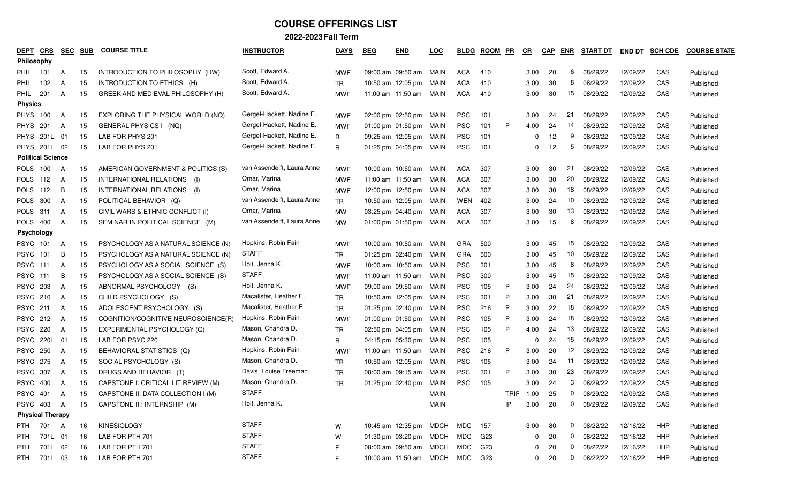| <u>DEPT</u>       | CRS                      | <b>SEC</b> | <b>SUB</b> | <b>COURSE TITLE</b>                 | <b>INSTRUCTOR</b>          | <b>DAYS</b> | <b>BEG</b> | <b>END</b>                     | <u>LOC</u>  | <b>BLDG</b> | <b>ROOM</b> | <u>PR</u>   | $_{CR}$      | <b>CAP</b> | <b>ENR</b>     | <b>START DT</b> | <b>END DT</b> | <b>SCH CDE</b> | <b>COURSE STATE</b> |
|-------------------|--------------------------|------------|------------|-------------------------------------|----------------------------|-------------|------------|--------------------------------|-------------|-------------|-------------|-------------|--------------|------------|----------------|-----------------|---------------|----------------|---------------------|
| <b>Philosophy</b> |                          |            |            |                                     |                            |             |            |                                |             |             |             |             |              |            |                |                 |               |                |                     |
|                   | <b>PHIL</b> 101          | A          | 15         | INTRODUCTION TO PHILOSOPHY (HW)     | Scott, Edward A.           | <b>MWF</b>  |            | 09:00 am 09:50 am MAIN         |             | ACA         | 410         |             | 3.00         | -20        | 6              | 08/29/22        | 12/09/22      | CAS            | Published           |
| PHIL              | 102                      | A          | 15         | INTRODUCTION TO ETHICS (H)          | Scott, Edward A.           | <b>TR</b>   |            | 10:50 am 12:05 pm MAIN         |             | <b>ACA</b>  | 410         |             | 3.00         | 30         | 8              | 08/29/22        | 12/09/22      | CAS            | Published           |
| <b>PHIL</b>       | 201                      | A          | 15         | GREEK AND MEDIEVAL PHILOSOPHY (H)   | Scott, Edward A.           | <b>MWF</b>  |            | 11:00 am 11:50 am              | MAIN        | ACA         | 410         |             | 3.00         | 30         | 15             | 08/29/22        | 12/09/22      | CAS            | Published           |
|                   | <b>Physics</b>           |            |            |                                     |                            |             |            |                                |             |             |             |             |              |            |                |                 |               |                |                     |
| <b>PHYS</b>       | 100                      | A          | 15         | EXPLORING THE PHYSICAL WORLD (NQ)   | Gergel-Hackett, Nadine E.  | <b>MWF</b>  |            | 02:00 pm 02:50 pm MAIN         |             | <b>PSC</b>  | 101         |             | 3.00         | 24         | 21             | 08/29/22        | 12/09/22      | CAS            | Published           |
|                   | <b>PHYS 201</b>          | A          | 15         | GENERAL PHYSICS   (NQ)              | Gergel-Hackett, Nadine E.  | MWF         |            | 01:00 pm 01:50 pm MAIN         |             | <b>PSC</b>  | 101         | P           | 4.00         | 24         | 14             | 08/29/22        | 12/09/22      | CAS            | Published           |
|                   | PHYS 201L                | 01         | 15         | LAB FOR PHYS 201                    | Gergel-Hackett, Nadine E.  | R           |            | 09:25 am 12:05 pm MAIN         |             | <b>PSC</b>  | 101         |             | 0            | 12         | 9              | 08/29/22        | 12/09/22      | CAS            | Published           |
|                   | PHYS 201L 02             |            | 15         | LAB FOR PHYS 201                    | Gergel-Hackett, Nadine E.  | R           |            | 01:25 pm 04:05 pm MAIN         |             | <b>PSC</b>  | 101         |             |              | 12         | 5              | 08/29/22        | 12/09/22      | CAS            | Published           |
|                   | <b>Political Science</b> |            |            |                                     |                            |             |            |                                |             |             |             |             |              |            |                |                 |               |                |                     |
| <b>POLS</b>       | 100                      | A          | 15         | AMERICAN GOVERNMENT & POLITICS (S)  | van Assendelft, Laura Anne | <b>MWF</b>  |            | 10:00 am 10:50 am MAIN         |             | ACA         | 307         |             | 3.00         | 30         | 21             | 08/29/22        | 12/09/22      | CAS            | Published           |
| POLS              | 112                      | A          | 15         | INTERNATIONAL RELATIONS (I)         | Omar, Marina               | <b>MWF</b>  |            | 11:00 am 11:50 am              | MAIN        | <b>ACA</b>  | 307         |             | 3.00         | 30         | 20             | 08/29/22        | 12/09/22      | CAS            | Published           |
| <b>POLS</b>       | 112                      | B          | 15         | INTERNATIONAL RELATIONS (I)         | Omar, Marina               | <b>MWF</b>  |            | 12:00 pm 12:50 pm MAIN         |             | ACA         | 307         |             | 3.00         | 30         | 18             | 08/29/22        | 12/09/22      | CAS            | Published           |
| POLS              | 300                      | A          | 15         | POLITICAL BEHAVIOR (Q)              | van Assendelft, Laura Anne | TR          |            | 10:50 am 12:05 pm MAIN         |             | WEN         | 402         |             | 3.00         | 24         | 10             | 08/29/22        | 12/09/22      | CAS            | Published           |
| POLS              | 311                      | A          | 15         | CIVIL WARS & ETHNIC CONFLICT (I)    | Omar, Marina               | МW          |            | 03:25 pm 04:40 pm MAIN         |             | <b>ACA</b>  | 307         |             | 3.00         | 30         | 13             | 08/29/22        | 12/09/22      | CAS            | Published           |
| <b>POLS</b>       | 400                      | A          | 15         | SEMINAR IN POLITICAL SCIENCE (M)    | van Assendelft, Laura Anne | MW          |            | 01:00 pm 01:50 pm MAIN         |             | ACA         | 307         |             | 3.00         | 15         | 8              | 08/29/22        | 12/09/22      | CAS            | Published           |
|                   | Psychology               |            |            |                                     |                            |             |            |                                |             |             |             |             |              |            |                |                 |               |                |                     |
|                   | PSYC 101                 | A          | 15         | PSYCHOLOGY AS A NATURAL SCIENCE (N) | Hopkins, Robin Fain        | <b>MWF</b>  |            | 10:00 am 10:50 am MAIN         |             | GRA         | 500         |             | 3.00         | 45         | 15             | 08/29/22        | 12/09/22      | CAS            | Published           |
| <b>PSYC</b>       | 101                      | В          | 15         | PSYCHOLOGY AS A NATURAL SCIENCE (N) | STAFF                      | <b>TR</b>   |            | 01:25 pm 02:40 pm MAIN         |             | <b>GRA</b>  | 500         |             | 3.00         | 45         | 10             | 08/29/22        | 12/09/22      | CAS            | Published           |
| <b>PSYC</b>       | 111                      | A          | 15         | PSYCHOLOGY AS A SOCIAL SCIENCE (S)  | Holt, Jenna K.             | <b>MWF</b>  |            | 10:00 am 10:50 am MAIN         |             | <b>PSC</b>  | 301         |             | 3.00         | 45         | 8              | 08/29/22        | 12/09/22      | CAS            | Published           |
| <b>PSYC</b>       | 111                      | B          | 15         | PSYCHOLOGY AS A SOCIAL SCIENCE (S)  | <b>STAFF</b>               | MWF         |            | 11:00 am 11:50 am              | MAIN        | <b>PSC</b>  | 300         |             | 3.00         | 45         | 15             | 08/29/22        | 12/09/22      | CAS            | Published           |
|                   | <b>PSYC 203</b>          | A          | 15         | ABNORMAL PSYCHOLOGY (S)             | Holt, Jenna K.             | <b>MWF</b>  |            | 09:00 am 09:50 am MAIN         |             | <b>PSC</b>  | 105         | P           | 3.00         | 24         | 24             | 08/29/22        | 12/09/22      | CAS            | Published           |
| <b>PSYC</b>       | 210                      | A          | 15         | CHILD PSYCHOLOGY (S)                | Macalister, Heather E.     | <b>TR</b>   |            | 10:50 am 12:05 pm MAIN         |             | <b>PSC</b>  | 301         | P           | 3.00         | 30         | 21             | 08/29/22        | 12/09/22      | CAS            | Published           |
|                   | <b>PSYC 211</b>          | A          | 15         | ADOLESCENT PSYCHOLOGY (S)           | Macalister, Heather E.     | <b>TR</b>   |            | 01:25 pm 02:40 pm MAIN         |             | <b>PSC</b>  | 216         | P           | 3.00         | 22         | 18             | 08/29/22        | 12/09/22      | CAS            | Published           |
|                   | <b>PSYC 212</b>          | A          | 15         | COGNITION/COGNITIVE NEUROSCIENCE(R) | Hopkins, Robin Fain        | <b>MWF</b>  |            | 01:00 pm 01:50 pm MAIN         |             | <b>PSC</b>  | 105         | P           | 3.00         | 24         | 18             | 08/29/22        | 12/09/22      | CAS            | Published           |
|                   | <b>PSYC 220</b>          | A          | 15         | EXPERIMENTAL PSYCHOLOGY (Q)         | Mason, Chandra D.          | <b>TR</b>   |            | 02:50 pm 04:05 pm MAIN         |             | <b>PSC</b>  | 105         | P           | 4.00         | 24         | 13             | 08/29/22        | 12/09/22      | CAS            | Published           |
|                   | PSYC 220L 01             |            | 15         | LAB FOR PSYC 220                    | Mason, Chandra D.          | R           |            | 04:15 pm 05:30 pm MAIN         |             | <b>PSC</b>  | 105         |             | 0            | 24         | 15             | 08/29/22        | 12/09/22      | CAS            | Published           |
|                   | <b>PSYC 250</b>          | A          | 15         | BEHAVIORAL STATISTICS (Q)           | Hopkins, Robin Fain        | <b>MWF</b>  |            | 11:00 am 11:50 am MAIN         |             | <b>PSC</b>  | 216         | P           | 3.00         | 20         | 12             | 08/29/22        | 12/09/22      | CAS            | Published           |
| <b>PSYC</b>       | 275                      | A          | 15         | SOCIAL PSYCHOLOGY (S)               | Mason, Chandra D.          | TR          |            | 10:50 am 12:05 pm MAIN         |             | <b>PSC</b>  | 105         |             | 3.00         | 24         | -11            | 08/29/22        | 12/09/22      | CAS            | Published           |
|                   | <b>PSYC 307</b>          | A          | 15         | DRUGS AND BEHAVIOR (T)              | Davis, Louise Freeman      | <b>TR</b>   |            | 08:00 am 09:15 am              | MAIN        | <b>PSC</b>  | 301         | P           | 3.00         | 30         | 23             | 08/29/22        | 12/09/22      | CAS            | Published           |
| <b>PSYC</b>       | 400                      | A          | 15         | CAPSTONE I: CRITICAL LIT REVIEW (M) | Mason, Chandra D.          | TR          |            | 01:25 pm $02:40$ pm            | MAIN        | <b>PSC</b>  | 105         |             | 3.00         | 24         | 3              | 08/29/22        | 12/09/22      | CAS            | Published           |
|                   | <b>PSYC 401</b>          | A          | 15         | CAPSTONE II: DATA COLLECTION I (M)  | <b>STAFF</b>               |             |            |                                | <b>MAIN</b> |             |             | <b>TRIP</b> | 1.00         | 25         | 0              | 08/29/22        | 12/09/22      | CAS            | Published           |
|                   | PSYC 403 A               |            | 15         | CAPSTONE III: INTERNSHIP (M)        | Holt, Jenna K.             |             |            |                                | <b>MAIN</b> |             |             | IP          | 3.00         | 20         | $\overline{0}$ | 08/29/22        | 12/09/22      | CAS            | Published           |
|                   | <b>Physical Therapy</b>  |            |            |                                     |                            |             |            |                                |             |             |             |             |              |            |                |                 |               |                |                     |
|                   | PTH 701 A                |            | 16         | KINESIOLOGY                         | <b>STAFF</b>               | W           |            | 10:45 am 12:35 pm MDCH MDC 157 |             |             |             |             |              | 3.00 80    |                | 0 08/22/22      | 12/16/22      | HHP            | Published           |
| PTH               |                          | 701L 01    | 16         | LAB FOR PTH 701                     | <b>STAFF</b>               | W           |            | 01:30 pm 03:20 pm MDCH MDC     |             |             | G23         |             | 0            | 20         |                | $0$ $08/22/22$  | 12/16/22      | HHP            | Published           |
| PTH               |                          | 701L 02    | 16         | LAB FOR PTH 701                     | <b>STAFF</b>               | F           |            | 08:00 am 09:50 am MDCH MDC     |             |             | G23         |             | $\mathbf{0}$ | 20         |                | $0$ 08/22/22    | 12/16/22      | HHP            | Published           |
| PTH               |                          | 701L 03    | 16         | LAB FOR PTH 701                     | <b>STAFF</b>               | F           |            | 10:00 am 11:50 am MDCH MDC     |             |             | G23         |             | $\mathbf{0}$ | 20         | $\mathbf{0}$   | 08/22/22        | 12/16/22      | HHP            | Published           |
|                   |                          |            |            |                                     |                            |             |            |                                |             |             |             |             |              |            |                |                 |               |                |                     |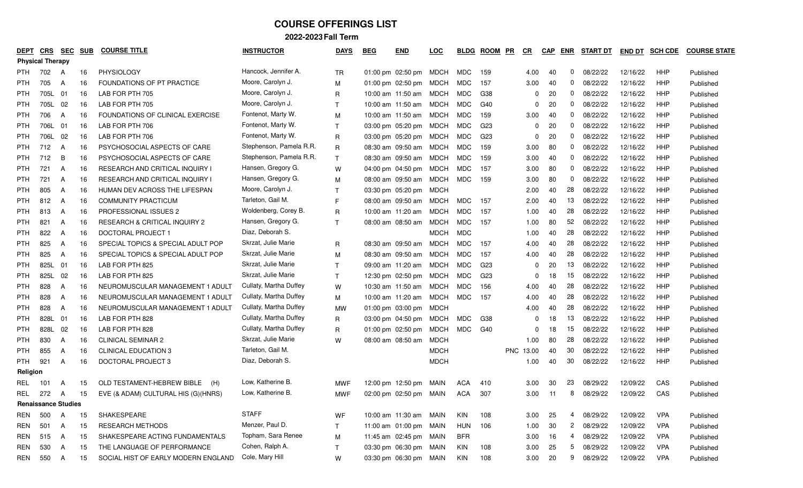|            | <b>DEPT</b>                | CRS  | <b>SEC</b> | <b>SUB</b> | <b>COURSE TITLE</b>                    | <b>INSTRUCTOR</b>       | <b>DAYS</b>  | <b>BEG</b> | <b>END</b>             | <u>LOC</u>  | <b>BLDG</b> | <b>ROOM</b>     | PR<br>$_{CR}$       | <b>CAP</b>     | <b>ENR</b> | <b>START DT</b> | END DT   | <b>SCH CDE</b> | <b>COURSE STATE</b> |
|------------|----------------------------|------|------------|------------|----------------------------------------|-------------------------|--------------|------------|------------------------|-------------|-------------|-----------------|---------------------|----------------|------------|-----------------|----------|----------------|---------------------|
|            | <b>Physical Therapy</b>    |      |            |            |                                        |                         |              |            |                        |             |             |                 |                     |                |            |                 |          |                |                     |
| PTH.       |                            | 702  | A          | 16         | PHYSIOLOGY                             | Hancock, Jennifer A.    | <b>TR</b>    |            | 01:00 pm 02:50 pm MDCH |             | MDC         | 159             | 4.00                | 40             | 0          | 08/22/22        | 12/16/22 | <b>HHP</b>     | Published           |
| <b>PTH</b> |                            | 705  | A          | 16         | FOUNDATIONS OF PT PRACTICE             | Moore, Carolyn J.       | M            |            | 01:00 pm 02:50 pm      | MDCH        | <b>MDC</b>  | 157             | 3.00                | 40             | 0          | 08/22/22        | 12/16/22 | HHP            | Published           |
| <b>PTH</b> |                            | 705L | 01         | 16         | LAB FOR PTH 705                        | Moore, Carolyn J.       | R            |            | 10:00 am 11:50 am      | MDCH        | MDC         | G38             |                     | 20<br>0        | 0          | 08/22/22        | 12/16/22 | HHP            | Published           |
| <b>PTH</b> |                            | 705L | 02         | 16         | LAB FOR PTH 705                        | Moore, Carolyn J.       | $\mathsf{T}$ |            | 10:00 am 11:50 am      | <b>MDCH</b> | MDC         | G40             |                     | 20<br>0        | 0          | 08/22/22        | 12/16/22 | HHP            | Published           |
| <b>PTH</b> |                            | 706  | A          | 16         | FOUNDATIONS OF CLINICAL EXERCISE       | Fontenot, Marty W.      | M            |            | 10:00 am 11:50 am      | MDCH        | MDC         | 159             | 3.00                | 40             | 0          | 08/22/22        | 12/16/22 | HHP            | Published           |
| <b>PTH</b> |                            | 706L | 01         | 16         | LAB FOR PTH 706                        | Fontenot, Marty W.      | $\mathsf{T}$ |            | 03:00 pm 05:20 pm      | MDCH        | MDC         | G <sub>23</sub> |                     | 20<br>0        | 0          | 08/22/22        | 12/16/22 | HHP            | Published           |
| <b>PTH</b> |                            | 706L | 02         | 16         | LAB FOR PTH 706                        | Fontenot, Marty W.      | R            |            | 03:00 pm 05:20 pm      | <b>MDCH</b> | MDC         | G <sub>23</sub> |                     | 20             | 0          | 08/22/22        | 12/16/22 | HHP            | Published           |
| <b>PTH</b> |                            | 712  | A          | 16         | PSYCHOSOCIAL ASPECTS OF CARE           | Stephenson, Pamela R.R. | R            |            | 08:30 am 09:50 am      | MDCH        | MDC         | 159             | 3.00                | 80             | 0          | 08/22/22        | 12/16/22 | <b>HHP</b>     | Published           |
| <b>PTH</b> |                            | 712  | B          | 16         | PSYCHOSOCIAL ASPECTS OF CARE           | Stephenson, Pamela R.R. | $\mathsf{T}$ |            | 08:30 am 09:50 am      | MDCH        | MDC         | 159             | 3.00                | 40             | 0          | 08/22/22        | 12/16/22 | HHP            | Published           |
| <b>PTH</b> |                            | 721  | A          | 16         | <b>RESEARCH AND CRITICAL INQUIRY I</b> | Hansen, Gregory G.      | W            |            | 04:00 pm 04:50 pm      | MDCH        | MDC         | 157             | 3.00                | 80             | 0          | 08/22/22        | 12/16/22 | HHP            | Published           |
| <b>PTH</b> |                            | 721  | A          | 16         | RESEARCH AND CRITICAL INQUIRY I        | Hansen, Gregory G.      | M            |            | 08:00 am 09:50 am      | MDCH        | MDC         | 159             | 3.00                | 80             | 0          | 08/22/22        | 12/16/22 | HHP            | Published           |
| <b>PTH</b> |                            | 805  | A          | 16         | HUMAN DEV ACROSS THE LIFESPAN          | Moore, Carolyn J.       | $\mathsf{T}$ |            | 03:30 pm 05:20 pm      | MDCH        |             |                 | 2.00                | 40             | 28         | 08/22/22        | 12/16/22 | HHP            | Published           |
| <b>PTH</b> |                            | 812  | A          | 16         | <b>COMMUNITY PRACTICUM</b>             | Tarleton, Gail M.       | F            |            | 08:00 am 09:50 am      | MDCH        | MDC         | 157             | 2.00                | 40             | 13         | 08/22/22        | 12/16/22 | HHP            | Published           |
| <b>PTH</b> |                            | 813  | A          | 16         | PROFESSIONAL ISSUES 2                  | Woldenberg, Corey B.    | R            |            | 10:00 am $11:20$ am    | MDCH        | <b>MDC</b>  | 157             | 1.00                | 40             | 28         | 08/22/22        | 12/16/22 | <b>HHP</b>     | Published           |
| <b>PTH</b> |                            | 821  | A          | 16         | RESEARCH & CRITICAL INQUIRY 2          | Hansen, Gregory G.      | $\mathsf{T}$ |            | 08:00 am 08:50 am      | MDCH        | MDC         | 157             | 1.00                | 80             | 52         | 08/22/22        | 12/16/22 | HHP            | Published           |
| <b>PTH</b> |                            | 822  | A          | 16         | DOCTORAL PROJECT 1                     | Diaz, Deborah S.        |              |            |                        | <b>MDCH</b> | <b>MDC</b>  |                 | 1.00                | 40             | 28         | 08/22/22        | 12/16/22 | <b>HHP</b>     | Published           |
| <b>PTH</b> |                            | 825  | A          | 16         | SPECIAL TOPICS & SPECIAL ADULT POP     | Skrzat, Julie Marie     | R            |            | 08:30 am 09:50 am      | MDCH        | <b>MDC</b>  | 157             | 4.00                | 40             | 28         | 08/22/22        | 12/16/22 | HHP            | Published           |
| <b>PTH</b> |                            | 825  | A          | 16         | SPECIAL TOPICS & SPECIAL ADULT POP     | Skrzat, Julie Marie     | M            |            | 08:30 am 09:50 am      | MDCH        | MDC         | 157             | 4.00                | 40             | 28         | 08/22/22        | 12/16/22 | <b>HHP</b>     | Published           |
| <b>PTH</b> |                            | 825L | 01         | 16         | LAB FOR PTH 825                        | Skrzat, Julie Marie     | T            |            | 09:00 am 11:20 am      | MDCH        | MDC         | G23             |                     | 20<br>0        | 13         | 08/22/22        | 12/16/22 | HHP            | Published           |
| <b>PTH</b> |                            | 825L | 02         | 16         | LAB FOR PTH 825                        | Skrzat, Julie Marie     | $\mathsf{T}$ |            | 12:30 pm 02:50 pm      | MDCH        | MDC         | G23             |                     | 18<br>0        | 15         | 08/22/22        | 12/16/22 | HHP            | Published           |
| <b>PTH</b> |                            | 828  | A          | 16         | NEUROMUSCULAR MANAGEMENT 1 ADULT       | Cullaty, Martha Duffey  | W            |            | 10:30 am 11:50 am      | MDCH        | MDC         | 156             | 4.00                | 40             | 28         | 08/22/22        | 12/16/22 | HHP            | Published           |
| <b>PTH</b> |                            | 828  | A          | 16         | NEUROMUSCULAR MANAGEMENT 1 ADULT       | Cullaty, Martha Duffey  | М            |            | 10:00 am 11:20 am      | <b>MDCH</b> | MDC         | 157             | 4.00                | 40             | 28         | 08/22/22        | 12/16/22 | <b>HHP</b>     | Published           |
| <b>PTH</b> |                            | 828  | A          | 16         | NEUROMUSCULAR MANAGEMENT 1 ADULT       | Cullaty, Martha Duffey  | МW           |            | 01:00 pm 03:00 pm      | <b>MDCH</b> |             |                 | 4.00                | 40             | 28         | 08/22/22        | 12/16/22 | HHP            | Published           |
| <b>PTH</b> |                            | 828L | 01         | 16         | LAB FOR PTH 828                        | Cullaty, Martha Duffey  | R            |            | 03:00 pm 04:50 pm      | MDCH        | MDC         | G38             |                     | 18<br>0        | 13         | 08/22/22        | 12/16/22 | HHP            | Published           |
| <b>PTH</b> |                            | 828L | 02         | 16         | LAB FOR PTH 828                        | Cullaty, Martha Duffey  | R            |            | 01:00 pm 02:50 pm      | <b>MDCH</b> | MDC         | G40             |                     | 18<br>$\Omega$ | 15         | 08/22/22        | 12/16/22 | HHP            | Published           |
| <b>PTH</b> |                            | 830  | A          | 16         | <b>CLINICAL SEMINAR 2</b>              | Skrzat, Julie Marie     | W            |            | 08:00 am 08:50 am      | <b>MDCH</b> |             |                 | 1.00                | 80             | 28         | 08/22/22        | 12/16/22 | <b>HHP</b>     | Published           |
| <b>PTH</b> |                            | 855  | A          | 16         | <b>CLINICAL EDUCATION 3</b>            | Tarleton, Gail M.       |              |            |                        | <b>MDCH</b> |             |                 | <b>PNC</b><br>13.00 | 40             | 30         | 08/22/22        | 12/16/22 | HHP            | Published           |
| <b>PTH</b> |                            | 921  | A          | 16         | <b>DOCTORAL PROJECT 3</b>              | Diaz, Deborah S.        |              |            |                        | <b>MDCH</b> |             |                 | 1.00                | 40             | 30         | 08/22/22        | 12/16/22 | HHP            | Published           |
|            | Religion                   |      |            |            |                                        |                         |              |            |                        |             |             |                 |                     |                |            |                 |          |                |                     |
| REL        |                            | 101  | A          | 15         | OLD TESTAMENT-HEBREW BIBLE<br>(H)      | Low, Katherine B.       | <b>MWF</b>   |            | 12:00 pm 12:50 pm      | MAIN        | <b>ACA</b>  | 410             | 3.00                | 30             | 23         | 08/29/22        | 12/09/22 | CAS            | Published           |
| REL.       |                            | 272  | A          | 15         | EVE (& ADAM) CULTURAL HIS (G)(HNRS)    | Low, Katherine B.       | <b>MWF</b>   |            | 02:00 pm 02:50 pm MAIN |             | ACA         | 307             | 3.00                | 11             | 8          | 08/29/22        | 12/09/22 | CAS            | Published           |
|            | <b>Renaissance Studies</b> |      |            |            |                                        |                         |              |            |                        |             |             |                 |                     |                |            |                 |          |                |                     |
| REN        |                            | 500  | A          | 15         | SHAKESPEARE                            | <b>STAFF</b>            | WF           |            | 10:00 am 11:30 am MAIN |             | KIN         | 108             | 3.00                | 25             | 4          | 08/29/22        | 12/09/22 | <b>VPA</b>     | Published           |
| REN        |                            | 501  | A          | 15         | <b>RESEARCH METHODS</b>                | Menzer, Paul D.         | $\mathsf{T}$ |            | 11:00 am 01:00 pm MAIN |             | <b>HUN</b>  | 106             | 1.00                | 30             |            | 2 08/29/22      | 12/09/22 | <b>VPA</b>     | Published           |
| REN        |                            | 515  | A          | 15         | SHAKESPEARE ACTING FUNDAMENTALS        | Topham, Sara Renee      | M            |            | 11:45 am 02:45 pm MAIN |             | BFR         |                 | 3.00                | 16             | 4          | 08/29/22        | 12/09/22 | <b>VPA</b>     | Published           |
| REN        |                            | 530  | A          | 15         | THE LANGUAGE OF PERFORMANCE            | Cohen, Ralph A.         | $\mathsf{T}$ |            | 03:30 pm 06:30 pm MAIN |             | KIN         | 108             | 3.00                | 25             | 5          | 08/29/22        | 12/09/22 | <b>VPA</b>     | Published           |
| REN        |                            | 550  | A          | 15         | SOCIAL HIST OF EARLY MODERN ENGLAND    | Cole, Mary Hill         | W            |            | 03:30 pm 06:30 pm MAIN |             | KIN         | 108             | 3.00                | 20             | 9          | 08/29/22        | 12/09/22 | <b>VPA</b>     | Published           |
|            |                            |      |            |            |                                        |                         |              |            |                        |             |             |                 |                     |                |            |                 |          |                |                     |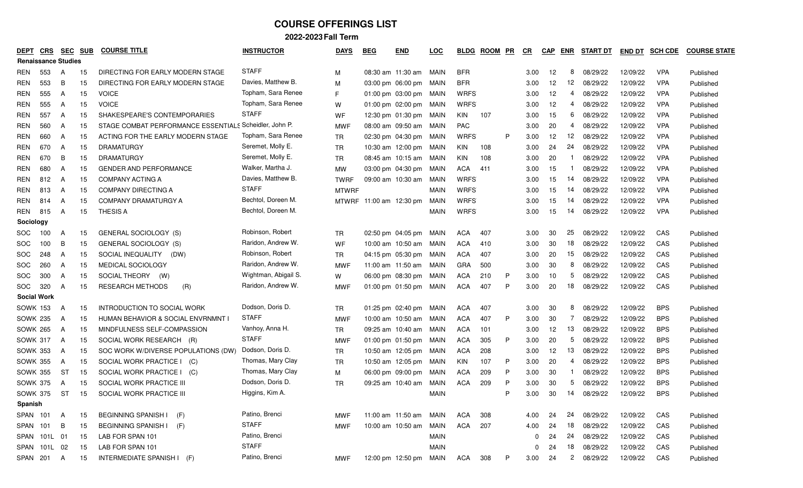|                            | <b>CRS</b><br><b>DEPT</b> |                | <b>SEC</b> | <b>SUB</b> | <b>COURSE TITLE</b>                                    | <b>INSTRUCTOR</b>    | <b>DAYS</b>  | <b>BEG</b> | <b>END</b>                  | <b>LOC</b>  | BLDG        | <b>ROOM</b> | <b>PR</b> | <u>CR</u> | <b>CAP</b> | ENR | <b>START DT</b> | <b>END DT</b> | <b>SCH CDE</b> | <b>COURSE STATE</b> |
|----------------------------|---------------------------|----------------|------------|------------|--------------------------------------------------------|----------------------|--------------|------------|-----------------------------|-------------|-------------|-------------|-----------|-----------|------------|-----|-----------------|---------------|----------------|---------------------|
| <b>Renaissance Studies</b> |                           |                |            |            |                                                        |                      |              |            |                             |             |             |             |           |           |            |     |                 |               |                |                     |
| REN                        | 553                       | $\mathsf{A}$   |            | 15         | DIRECTING FOR EARLY MODERN STAGE                       | <b>STAFF</b>         | М            |            | 08:30 am 11:30 am           | MAIN        | <b>BFR</b>  |             |           | 3.00      | 12         | 8   | 08/29/22        | 12/09/22      | <b>VPA</b>     | Published           |
| REN                        | 553                       | B              |            | 15         | DIRECTING FOR EARLY MODERN STAGE                       | Davies, Matthew B.   | M            |            | 03:00 pm 06:00 pm           | MAIN        | <b>BFR</b>  |             |           | 3.00      | 12         | 12  | 08/29/22        | 12/09/22      | <b>VPA</b>     | Published           |
| REN                        | 555                       | A              |            | 15         | <b>VOICE</b>                                           | Topham, Sara Renee   | F            |            | $01:00 \text{ pm}$ 03:00 pm | MAIN        | <b>WRFS</b> |             |           | 3.00      | 12         | 4   | 08/29/22        | 12/09/22      | <b>VPA</b>     | Published           |
| <b>REN</b>                 | 555                       | A              |            | 15         | <b>VOICE</b>                                           | Topham, Sara Renee   | W            |            | 01:00 pm 02:00 pm MAIN      |             | <b>WRFS</b> |             |           | 3.00      | 12         | 4   | 08/29/22        | 12/09/22      | <b>VPA</b>     | Published           |
| REN                        | 557                       | A              |            | 15         | SHAKESPEARE'S CONTEMPORARIES                           | <b>STAFF</b>         | WF           |            | 12:30 pm 01:30 pm           | MAIN        | KIN         | 107         |           | 3.00      | 15         | 6   | 08/29/22        | 12/09/22      | <b>VPA</b>     | Published           |
| REN                        | 560                       | A              |            | 15         | STAGE COMBAT PERFORMANCE ESSENTIALS Scheidler, John P. |                      | <b>MWF</b>   |            | 08:00 am 09:50 am           | MAIN        | PAC         |             |           | 3.00      | 20         | 4   | 08/29/22        | 12/09/22      | <b>VPA</b>     | Published           |
| REN                        | 660                       | A              |            | 15         | ACTING FOR THE EARLY MODERN STAGE                      | Topham, Sara Renee   | <b>TR</b>    |            | 02:30 pm 04:30 pm           | MAIN        | <b>WRFS</b> |             | P         | 3.00      | 12         | 12  | 08/29/22        | 12/09/22      | <b>VPA</b>     | Published           |
| REN                        | 670                       | A              |            | 15         | <b>DRAMATURGY</b>                                      | Seremet, Molly E.    | <b>TR</b>    |            | 10:30 am 12:00 pm           | MAIN        | KIN         | 108         |           | 3.00      | 24         | 24  | 08/29/22        | 12/09/22      | <b>VPA</b>     | Published           |
| REN                        | 670                       | B              |            | 15         | <b>DRAMATURGY</b>                                      | Seremet, Molly E.    | <b>TR</b>    |            | 08:45 am 10:15 am           | MAIN        | KIN         | 108         |           | 3.00      | 20         |     | 08/29/22        | 12/09/22      | <b>VPA</b>     | Published           |
| REN                        | 680                       | A              |            | 15         | <b>GENDER AND PERFORMANCE</b>                          | Walker, Martha J.    | MW           |            | 03:00 pm 04:30 pm           | MAIN        | <b>ACA</b>  | 411         |           | 3.00      | 15         |     | 08/29/22        | 12/09/22      | <b>VPA</b>     | Published           |
| REN                        | 812                       | A              |            | 15         | <b>COMPANY ACTING A</b>                                | Davies, Matthew B.   | <b>TWRF</b>  |            | 09:00 am 10:30 am           | MAIN        | <b>WRFS</b> |             |           | 3.00      | 15         | 14  | 08/29/22        | 12/09/22      | <b>VPA</b>     | Published           |
| REN                        | 813                       | A              |            | 15         | <b>COMPANY DIRECTING A</b>                             | <b>STAFF</b>         | <b>MTWRF</b> |            |                             | MAIN        | <b>WRFS</b> |             |           | 3.00      | 15         | 14  | 08/29/22        | 12/09/22      | <b>VPA</b>     | Published           |
| REN                        | 814                       | A              |            | 15         | COMPANY DRAMATURGY A                                   | Bechtol, Doreen M.   | MTWRF        |            | 11:00 am 12:30 pm           | MAIN        | <b>WRFS</b> |             |           | 3.00      | 15         | -14 | 08/29/22        | 12/09/22      | <b>VPA</b>     | Published           |
| REN                        | 815                       | A              |            | 15         | <b>THESIS A</b>                                        | Bechtol, Doreen M.   |              |            |                             | <b>MAIN</b> | <b>WRFS</b> |             |           | 3.00      | 15         | 14  | 08/29/22        | 12/09/22      | <b>VPA</b>     | Published           |
| Sociology                  |                           |                |            |            |                                                        |                      |              |            |                             |             |             |             |           |           |            |     |                 |               |                |                     |
| SOC.                       | 100                       | A              |            | 15         | GENERAL SOCIOLOGY (S)                                  | Robinson, Robert     | TR.          |            | 02:50 pm 04:05 pm           | MAIN        | ACA         | 407         |           | 3.00      | 30         | 25  | 08/29/22        | 12/09/22      | CAS            | Published           |
| <b>SOC</b>                 | 100                       | B              |            | 15         | <b>GENERAL SOCIOLOGY (S)</b>                           | Raridon, Andrew W.   | WF           |            | 10:00 am 10:50 am           | MAIN        | ACA         | 410         |           | 3.00      | 30         | 18  | 08/29/22        | 12/09/22      | CAS            | Published           |
| <b>SOC</b>                 | 248                       | A              |            | 15         | SOCIAL INEQUALITY<br>(DW)                              | Robinson, Robert     | <b>TR</b>    |            | 04:15 pm 05:30 pm           | MAIN        | <b>ACA</b>  | 407         |           | 3.00      | 20         | 15  | 08/29/22        | 12/09/22      | CAS            | Published           |
| <b>SOC</b>                 | 260                       | A              |            | 15         | MEDICAL SOCIOLOGY                                      | Raridon, Andrew W.   | <b>MWF</b>   |            | 11:00 am 11:50 am           | MAIN        | <b>GRA</b>  | 500         |           | 3.00      | 30         | 8   | 08/29/22        | 12/09/22      | CAS            | Published           |
| <b>SOC</b>                 | 300                       | A              |            | 15         | SOCIAL THEORY<br>(W)                                   | Wightman, Abigail S. | W            |            | 06:00 pm 08:30 pm           | MAIN        | <b>ACA</b>  | 210         | P         | 3.00      | 10         | 5   | 08/29/22        | 12/09/22      | CAS            | Published           |
| <b>SOC</b>                 | 320                       | A              |            | 15         | <b>RESEARCH METHODS</b><br>(R)                         | Raridon, Andrew W.   | <b>MWF</b>   |            | 01:00 pm $01:50$ pm         | MAIN        | ACA         | 407         | P         | 3.00      | 20         | 18  | 08/29/22        | 12/09/22      | CAS            | Published           |
|                            | <b>Social Work</b>        |                |            |            |                                                        |                      |              |            |                             |             |             |             |           |           |            |     |                 |               |                |                     |
|                            | <b>SOWK 153</b>           | A              |            | 15         | INTRODUCTION TO SOCIAL WORK                            | Dodson, Doris D.     | <b>TR</b>    |            | 01:25 pm 02:40 pm           | MAIN        | ACA         | 407         |           | 3.00      | 30         | 8   | 08/29/22        | 12/09/22      | <b>BPS</b>     | Published           |
|                            | <b>SOWK 235</b>           | A              |            | 15         | HUMAN BEHAVIOR & SOCIAL ENVRNMNT I                     | <b>STAFF</b>         | <b>MWF</b>   |            | 10:00 am 10:50 am           | MAIN        | ACA         | 407         | P         | 3.00      | 30         | 7   | 08/29/22        | 12/09/22      | <b>BPS</b>     | Published           |
|                            | <b>SOWK 265</b>           | A              |            | 15         | MINDFULNESS SELF-COMPASSION                            | Vanhoy, Anna H.      | <b>TR</b>    |            | 09:25 am 10:40 am           | MAIN        | ACA         | 101         |           | 3.00      | 12         | 13  | 08/29/22        | 12/09/22      | <b>BPS</b>     | Published           |
|                            | <b>SOWK 317</b>           | A              |            | 15         | SOCIAL WORK RESEARCH (R)                               | <b>STAFF</b>         | <b>MWF</b>   |            | 01:00 pm $01:50$ pm         | MAIN        | ACA         | 305         | P         | 3.00      | 20         | 5   | 08/29/22        | 12/09/22      | <b>BPS</b>     | Published           |
|                            | <b>SOWK 353</b>           | A              |            | 15         | SOC WORK W/DIVERSE POPULATIONS (DW)                    | Dodson, Doris D.     | <b>TR</b>    |            | 10:50 am 12:05 pm           | MAIN        | <b>ACA</b>  | 208         |           | 3.00      | 12         | 13  | 08/29/22        | 12/09/22      | <b>BPS</b>     | Published           |
|                            | <b>SOWK 355</b>           | A              |            | 15         | SOCIAL WORK PRACTICE I (C)                             | Thomas, Mary Clay    | <b>TR</b>    |            | 10:50 am 12:05 pm           | MAIN        | KIN         | 107         | P         | 3.00      | 20         | 4   | 08/29/22        | 12/09/22      | <b>BPS</b>     | Published           |
|                            | <b>SOWK 355</b>           | ST             |            | 15         | SOCIAL WORK PRACTICE I (C)                             | Thomas, Mary Clay    | M            |            | 06:00 pm 09:00 pm           | MAIN        | <b>ACA</b>  | 209         | P         | 3.00      | 30         |     | 08/29/22        | 12/09/22      | <b>BPS</b>     | Published           |
|                            | <b>SOWK 375</b>           | A              |            | 15         | SOCIAL WORK PRACTICE III                               | Dodson, Doris D.     | <b>TR</b>    |            | 09:25 am 10:40 am           | MAIN        | <b>ACA</b>  | 209         | P         | 3.00      | 30         | 5   | 08/29/22        | 12/09/22      | <b>BPS</b>     | Published           |
|                            | <b>SOWK 375</b>           | ST             |            | 15         | SOCIAL WORK PRACTICE III                               | Higgins, Kim A.      |              |            |                             | <b>MAIN</b> |             |             | P         | 3.00      | 30         | 14  | 08/29/22        | 12/09/22      | <b>BPS</b>     | Published           |
|                            | Spanish                   |                |            |            |                                                        |                      |              |            |                             |             |             |             |           |           |            |     |                 |               |                |                     |
|                            | SPAN 101                  | A              |            | 15         | <b>BEGINNING SPANISH</b><br>(F)                        | Patino, Brenci       | <b>MWF</b>   |            | 11:00 am 11:50 am MAIN      |             | <b>ACA</b>  | 308         |           | 4.00      | 24         | 24  | 08/29/22        | 12/09/22      | CAS            | Published           |
|                            | SPAN 101                  | $\overline{B}$ |            | 15         | <b>BEGINNING SPANISH I</b><br>(F)                      | <b>STAFF</b>         | <b>MWF</b>   |            | 10:00 am 10:50 am           | MAIN        | ACA         | 207         |           | 4.00      | 24         | 18  | 08/29/22        | 12/09/22      | CAS            | Published           |
|                            | SPAN 101L 01              |                |            | 15         | LAB FOR SPAN 101                                       | Patino, Brenci       |              |            |                             | <b>MAIN</b> |             |             |           | 0         | 24         | 24  | 08/29/22        | 12/09/22      | CAS            | Published           |
|                            | SPAN 101L 02              |                |            | 15         | LAB FOR SPAN 101                                       | <b>STAFF</b>         |              |            |                             | <b>MAIN</b> |             |             |           | 0         | 24         | 18  | 08/29/22        | 12/09/22      | CAS            | Published           |
|                            | SPAN 201 A                |                |            | 15         | INTERMEDIATE SPANISH I (F)                             | Patino, Brenci       | <b>MWF</b>   |            | 12:00 pm 12:50 pm MAIN      |             | ACA         | 308         | P         | 3.00      | 24         |     | 2 08/29/22      | 12/09/22      | CAS            | Published           |
|                            |                           |                |            |            |                                                        |                      |              |            |                             |             |             |             |           |           |            |     |                 |               |                |                     |